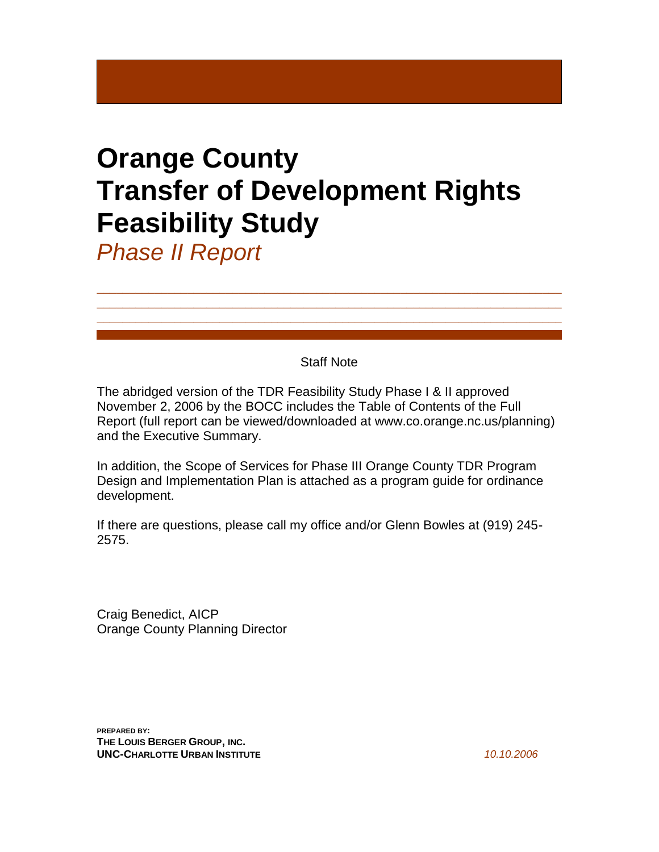# **Orange County Transfer of Development Rights Feasibility Study**

*Phase II Report* 

Staff Note

\_\_\_\_\_\_\_\_\_\_\_\_\_\_\_\_\_\_\_\_\_\_\_\_\_\_\_\_\_\_\_\_\_\_\_\_\_\_\_\_\_\_\_\_\_\_\_\_\_\_\_\_\_\_\_\_\_\_\_\_\_\_\_\_\_\_\_\_\_\_\_\_ \_\_\_\_\_\_\_\_\_\_\_\_\_\_\_\_\_\_\_\_\_\_\_\_\_\_\_\_\_\_\_\_\_\_\_\_\_\_\_\_\_\_\_\_\_\_\_\_\_\_\_\_\_\_\_\_\_\_\_\_\_\_\_\_\_\_\_\_\_\_\_\_ \_\_\_\_\_\_\_\_\_\_\_\_\_\_\_\_\_\_\_\_\_\_\_\_\_\_\_\_\_\_\_\_\_\_\_\_\_\_\_\_\_\_\_\_\_\_\_\_\_\_\_\_\_\_\_\_\_\_\_\_\_\_\_\_\_\_\_\_\_\_\_\_

The abridged version of the TDR Feasibility Study Phase I & II approved November 2, 2006 by the BOCC includes the Table of Contents of the Full Report (full report can be viewed/downloaded at [www.co.orange.nc.us/planning\)](http://www.co.orange.nc.us/planning) and the Executive Summary.

In addition, the Scope of Services for Phase III Orange County TDR Program Design and Implementation Plan is attached as a program guide for ordinance development.

If there are questions, please call my office and/or Glenn Bowles at (919) 245- 2575.

Craig Benedict, AICP Orange County Planning Director

**PREPARED BY: THE LOUIS BERGER GROUP, INC. UNC-CHARLOTTE URBAN INSTITUTE** *10.10.2006*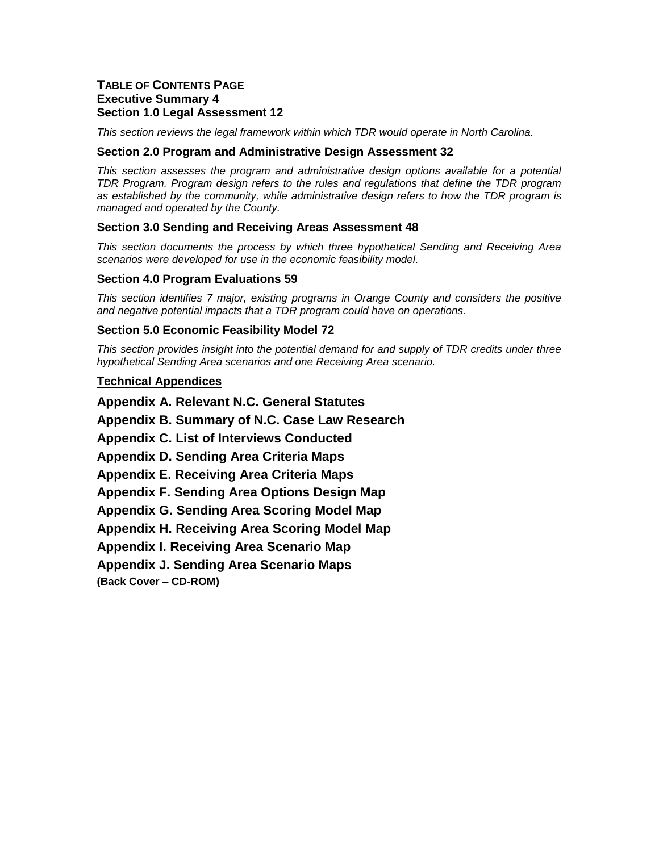## **TABLE OF CONTENTS PAGE Executive Summary 4 Section 1.0 Legal Assessment 12**

*This section reviews the legal framework within which TDR would operate in North Carolina.* 

## **Section 2.0 Program and Administrative Design Assessment 32**

*This section assesses the program and administrative design options available for a potential TDR Program. Program design refers to the rules and regulations that define the TDR program as established by the community, while administrative design refers to how the TDR program is managed and operated by the County.* 

## **Section 3.0 Sending and Receiving Areas Assessment 48**

*This section documents the process by which three hypothetical Sending and Receiving Area scenarios were developed for use in the economic feasibility model.* 

## **Section 4.0 Program Evaluations 59**

*This section identifies 7 major, existing programs in Orange County and considers the positive and negative potential impacts that a TDR program could have on operations.* 

## **Section 5.0 Economic Feasibility Model 72**

*This section provides insight into the potential demand for and supply of TDR credits under three hypothetical Sending Area scenarios and one Receiving Area scenario.* 

## **Technical Appendices**

**Appendix A. Relevant N.C. General Statutes Appendix B. Summary of N.C. Case Law Research Appendix C. List of Interviews Conducted Appendix D. Sending Area Criteria Maps Appendix E. Receiving Area Criteria Maps Appendix F. Sending Area Options Design Map Appendix G. Sending Area Scoring Model Map Appendix H. Receiving Area Scoring Model Map Appendix I. Receiving Area Scenario Map Appendix J. Sending Area Scenario Maps (Back Cover – CD-ROM)**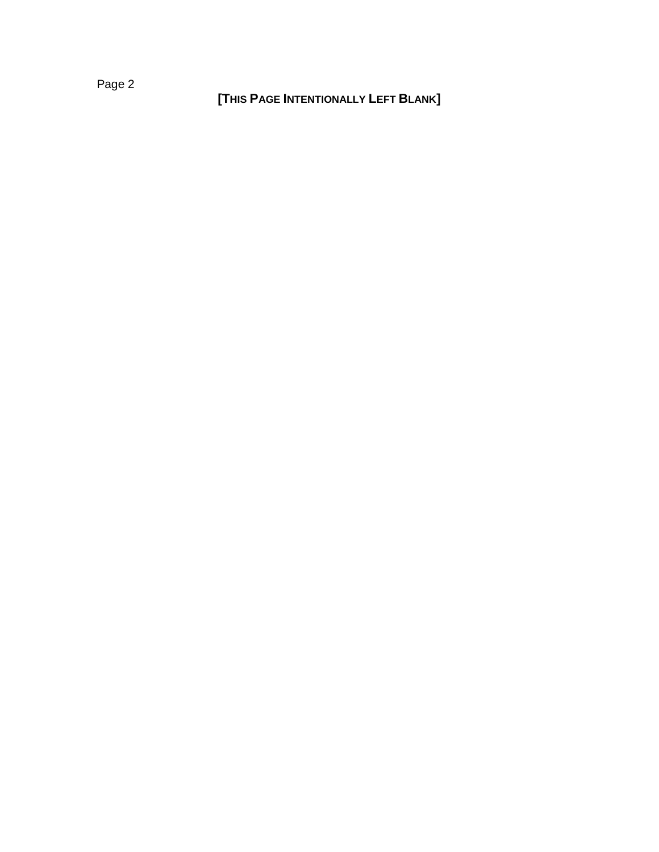**[THIS PAGE INTENTIONALLY LEFT BLANK]** 

Page 2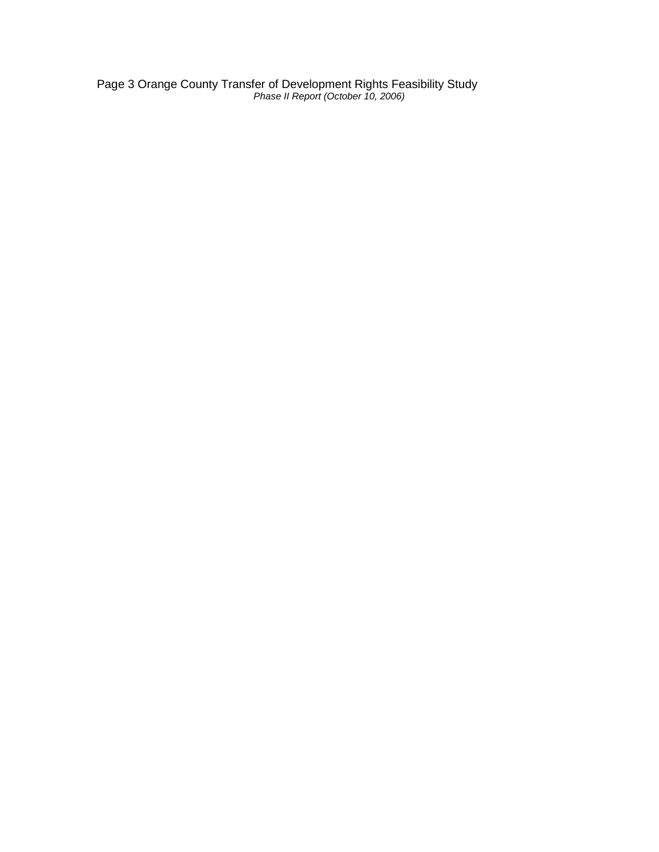Page 3 Orange County Transfer of Development Rights Feasibility Study *Phase II Report (October 10, 2006)*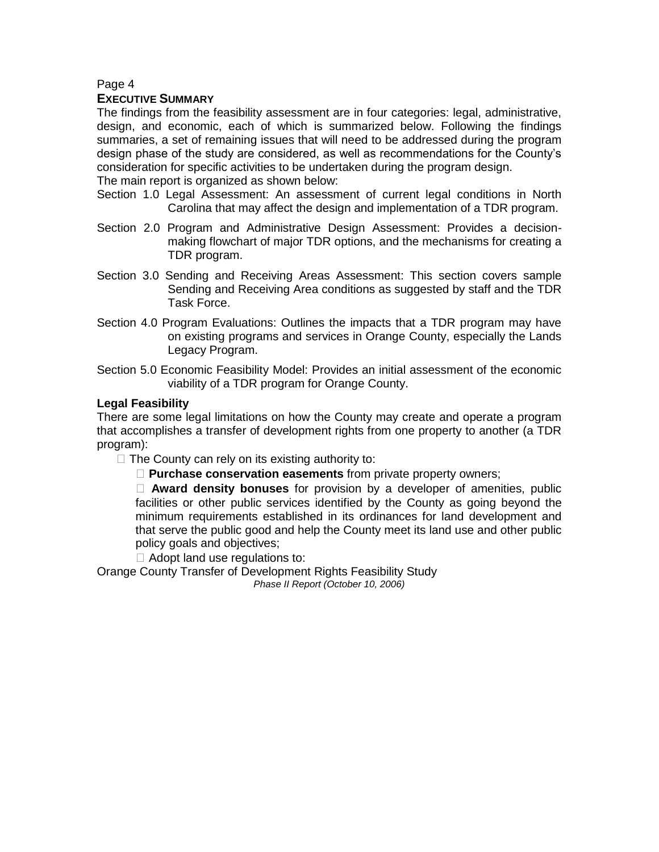## **EXECUTIVE SUMMARY**

The findings from the feasibility assessment are in four categories: legal, administrative, design, and economic, each of which is summarized below. Following the findings summaries, a set of remaining issues that will need to be addressed during the program design phase of the study are considered, as well as recommendations for the County's consideration for specific activities to be undertaken during the program design. The main report is organized as shown below:

Section 1.0 Legal Assessment: An assessment of current legal conditions in North Carolina that may affect the design and implementation of a TDR program.

- Section 2.0 Program and Administrative Design Assessment: Provides a decisionmaking flowchart of major TDR options, and the mechanisms for creating a TDR program.
- Section 3.0 Sending and Receiving Areas Assessment: This section covers sample Sending and Receiving Area conditions as suggested by staff and the TDR Task Force.
- Section 4.0 Program Evaluations: Outlines the impacts that a TDR program may have on existing programs and services in Orange County, especially the Lands Legacy Program.
- Section 5.0 Economic Feasibility Model: Provides an initial assessment of the economic viability of a TDR program for Orange County.

## **Legal Feasibility**

There are some legal limitations on how the County may create and operate a program that accomplishes a transfer of development rights from one property to another (a TDR program):

- $\Box$  The County can rely on its existing authority to:
	- **Purchase conservation easements** from private property owners;

 **Award density bonuses** for provision by a developer of amenities, public facilities or other public services identified by the County as going beyond the minimum requirements established in its ordinances for land development and that serve the public good and help the County meet its land use and other public policy goals and objectives;

 $\Box$  Adopt land use regulations to:

Orange County Transfer of Development Rights Feasibility Study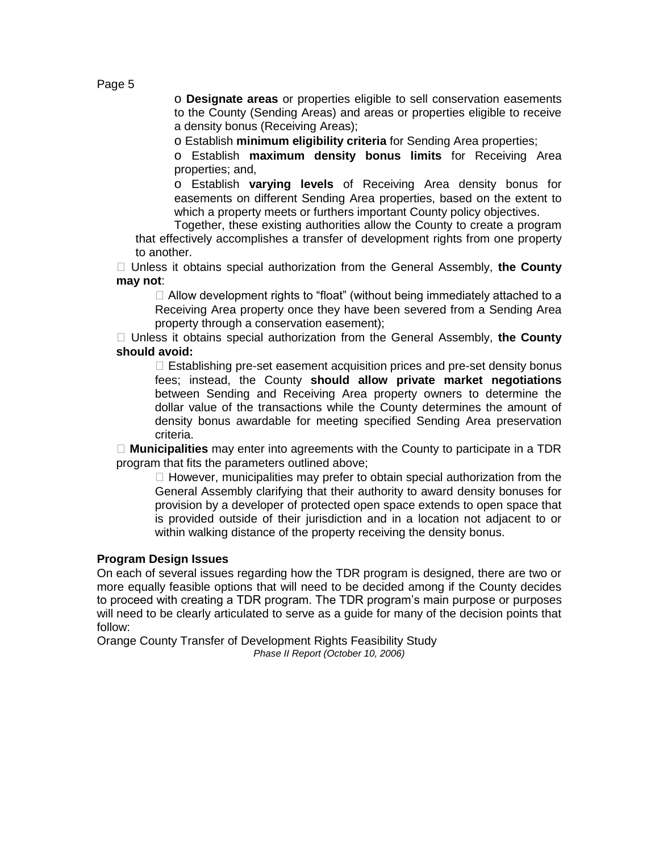o **Designate areas** or properties eligible to sell conservation easements to the County (Sending Areas) and areas or properties eligible to receive a density bonus (Receiving Areas);

o Establish **minimum eligibility criteria** for Sending Area properties;

o Establish **maximum density bonus limits** for Receiving Area properties; and,

o Establish **varying levels** of Receiving Area density bonus for easements on different Sending Area properties, based on the extent to which a property meets or furthers important County policy objectives.

Together, these existing authorities allow the County to create a program that effectively accomplishes a transfer of development rights from one property to another.

□ Unless it obtains special authorization from the General Assembly, the County **may not**:

 $\Box$  Allow development rights to "float" (without being immediately attached to a Receiving Area property once they have been severed from a Sending Area property through a conservation easement);

 Unless it obtains special authorization from the General Assembly, **the County should avoid:** 

 $\Box$  Establishing pre-set easement acquisition prices and pre-set density bonus fees; instead, the County **should allow private market negotiations**  between Sending and Receiving Area property owners to determine the dollar value of the transactions while the County determines the amount of density bonus awardable for meeting specified Sending Area preservation criteria.

 **Municipalities** may enter into agreements with the County to participate in a TDR program that fits the parameters outlined above;

 $\Box$  However, municipalities may prefer to obtain special authorization from the General Assembly clarifying that their authority to award density bonuses for provision by a developer of protected open space extends to open space that is provided outside of their jurisdiction and in a location not adjacent to or within walking distance of the property receiving the density bonus.

## **Program Design Issues**

On each of several issues regarding how the TDR program is designed, there are two or more equally feasible options that will need to be decided among if the County decides to proceed with creating a TDR program. The TDR program's main purpose or purposes will need to be clearly articulated to serve as a guide for many of the decision points that follow:

Orange County Transfer of Development Rights Feasibility Study *Phase II Report (October 10, 2006)*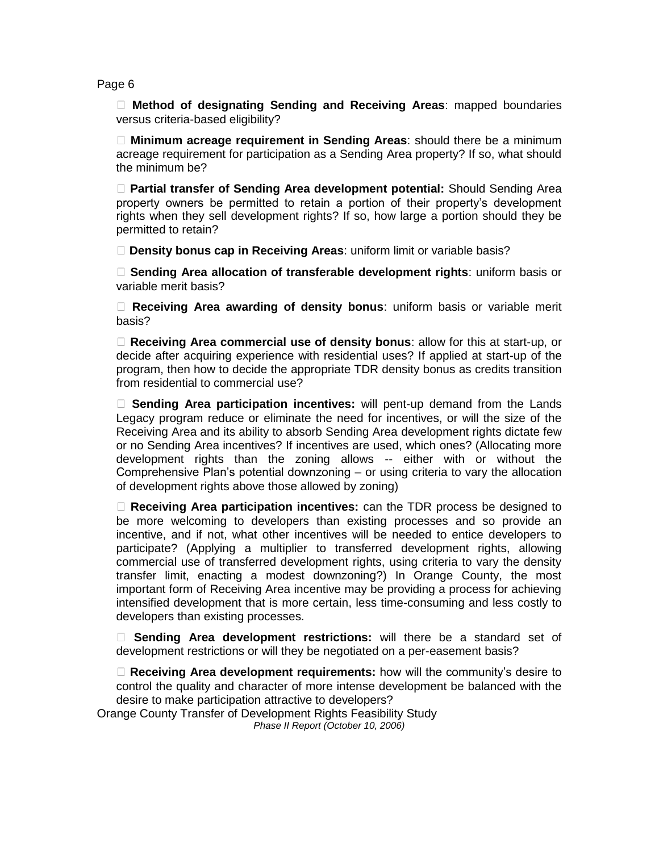**Method of designating Sending and Receiving Areas**: mapped boundaries versus criteria-based eligibility?

 **Minimum acreage requirement in Sending Areas**: should there be a minimum acreage requirement for participation as a Sending Area property? If so, what should the minimum be?

 **Partial transfer of Sending Area development potential:** Should Sending Area property owners be permitted to retain a portion of their property's development rights when they sell development rights? If so, how large a portion should they be permitted to retain?

**Density bonus cap in Receiving Areas**: uniform limit or variable basis?

 **Sending Area allocation of transferable development rights**: uniform basis or variable merit basis?

 **Receiving Area awarding of density bonus**: uniform basis or variable merit basis?

 **Receiving Area commercial use of density bonus**: allow for this at start-up, or decide after acquiring experience with residential uses? If applied at start-up of the program, then how to decide the appropriate TDR density bonus as credits transition from residential to commercial use?

 **Sending Area participation incentives:** will pent-up demand from the Lands Legacy program reduce or eliminate the need for incentives, or will the size of the Receiving Area and its ability to absorb Sending Area development rights dictate few or no Sending Area incentives? If incentives are used, which ones? (Allocating more development rights than the zoning allows -- either with or without the Comprehensive Plan's potential downzoning – or using criteria to vary the allocation of development rights above those allowed by zoning)

 **Receiving Area participation incentives:** can the TDR process be designed to be more welcoming to developers than existing processes and so provide an incentive, and if not, what other incentives will be needed to entice developers to participate? (Applying a multiplier to transferred development rights, allowing commercial use of transferred development rights, using criteria to vary the density transfer limit, enacting a modest downzoning?) In Orange County, the most important form of Receiving Area incentive may be providing a process for achieving intensified development that is more certain, less time-consuming and less costly to developers than existing processes.

 **Sending Area development restrictions:** will there be a standard set of development restrictions or will they be negotiated on a per-easement basis?

 **Receiving Area development requirements:** how will the community's desire to control the quality and character of more intense development be balanced with the desire to make participation attractive to developers?

Orange County Transfer of Development Rights Feasibility Study *Phase II Report (October 10, 2006)*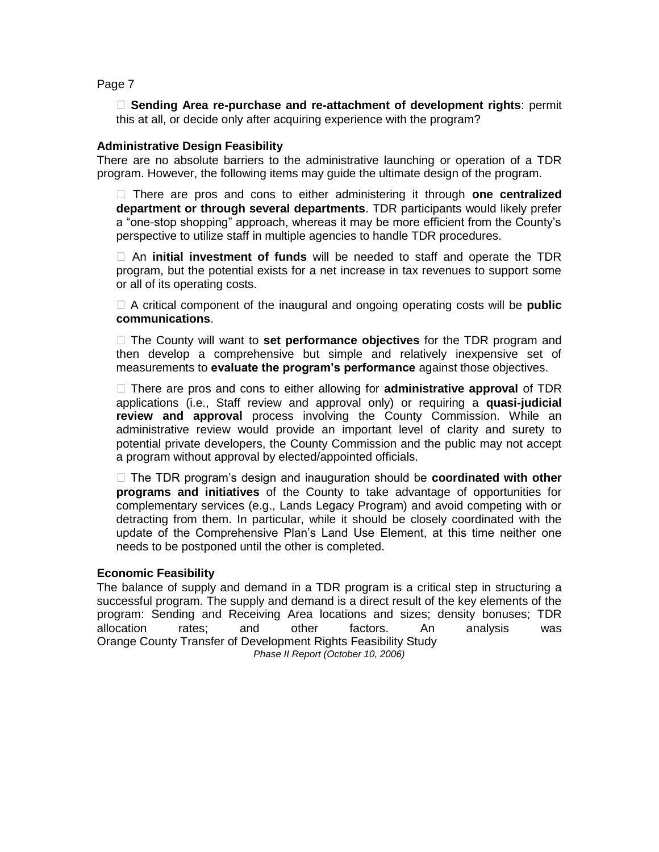**Sending Area re-purchase and re-attachment of development rights**: permit this at all, or decide only after acquiring experience with the program?

## **Administrative Design Feasibility**

There are no absolute barriers to the administrative launching or operation of a TDR program. However, the following items may guide the ultimate design of the program.

 There are pros and cons to either administering it through **one centralized department or through several departments**. TDR participants would likely prefer a "one-stop shopping" approach, whereas it may be more efficient from the County's perspective to utilize staff in multiple agencies to handle TDR procedures.

 An **initial investment of funds** will be needed to staff and operate the TDR program, but the potential exists for a net increase in tax revenues to support some or all of its operating costs.

 A critical component of the inaugural and ongoing operating costs will be **public communications**.

□ The County will want to **set performance objectives** for the TDR program and then develop a comprehensive but simple and relatively inexpensive set of measurements to **evaluate the program's performance** against those objectives.

 $\Box$  There are pros and cons to either allowing for **administrative approval** of TDR applications (i.e., Staff review and approval only) or requiring a **quasi-judicial review and approval** process involving the County Commission. While an administrative review would provide an important level of clarity and surety to potential private developers, the County Commission and the public may not accept a program without approval by elected/appointed officials.

 The TDR program's design and inauguration should be **coordinated with other programs and initiatives** of the County to take advantage of opportunities for complementary services (e.g., Lands Legacy Program) and avoid competing with or detracting from them. In particular, while it should be closely coordinated with the update of the Comprehensive Plan's Land Use Element, at this time neither one needs to be postponed until the other is completed.

## **Economic Feasibility**

The balance of supply and demand in a TDR program is a critical step in structuring a successful program. The supply and demand is a direct result of the key elements of the program: Sending and Receiving Area locations and sizes; density bonuses; TDR allocation rates; and other factors. An analysis was Orange County Transfer of Development Rights Feasibility Study *Phase II Report (October 10, 2006)*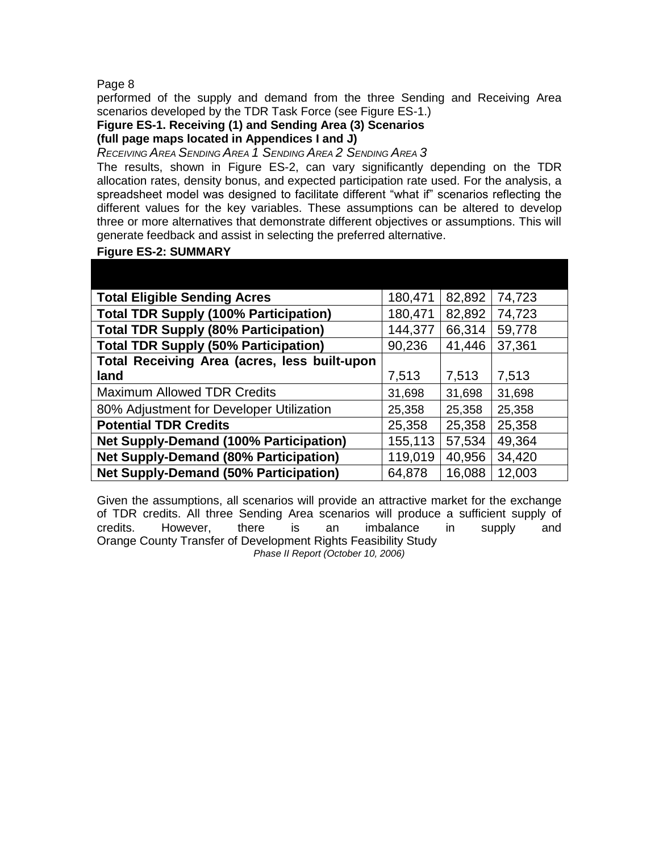performed of the supply and demand from the three Sending and Receiving Area scenarios developed by the TDR Task Force (see Figure ES-1.)

**Figure ES-1. Receiving (1) and Sending Area (3) Scenarios** 

## **(full page maps located in Appendices I and J)**

## *RECEIVING AREA SENDING AREA 1 SENDING AREA 2 SENDING AREA 3*

The results, shown in Figure ES-2, can vary significantly depending on the TDR allocation rates, density bonus, and expected participation rate used. For the analysis, a spreadsheet model was designed to facilitate different "what if" scenarios reflecting the different values for the key variables. These assumptions can be altered to develop three or more alternatives that demonstrate different objectives or assumptions. This will generate feedback and assist in selecting the preferred alternative.

## **Figure ES-2: SUMMARY**

| <b>Total Eligible Sending Acres</b>           | 180,471 | 82,892 | 74,723 |
|-----------------------------------------------|---------|--------|--------|
| <b>Total TDR Supply (100% Participation)</b>  | 180,471 | 82,892 | 74,723 |
| <b>Total TDR Supply (80% Participation)</b>   | 144,377 | 66,314 | 59,778 |
| <b>Total TDR Supply (50% Participation)</b>   | 90,236  | 41,446 | 37,361 |
| Total Receiving Area (acres, less built-upon  |         |        |        |
| land                                          | 7,513   | 7,513  | 7,513  |
| <b>Maximum Allowed TDR Credits</b>            | 31,698  | 31,698 | 31,698 |
| 80% Adjustment for Developer Utilization      | 25,358  | 25,358 | 25,358 |
| <b>Potential TDR Credits</b>                  | 25,358  | 25,358 | 25,358 |
| <b>Net Supply-Demand (100% Participation)</b> | 155,113 | 57,534 | 49,364 |
| <b>Net Supply-Demand (80% Participation)</b>  | 119,019 | 40,956 | 34,420 |
| <b>Net Supply-Demand (50% Participation)</b>  | 64,878  | 16,088 | 12,003 |

Given the assumptions, all scenarios will provide an attractive market for the exchange of TDR credits. All three Sending Area scenarios will produce a sufficient supply of credits. However, there is an imbalance in supply and Orange County Transfer of Development Rights Feasibility Study *Phase II Report (October 10, 2006)*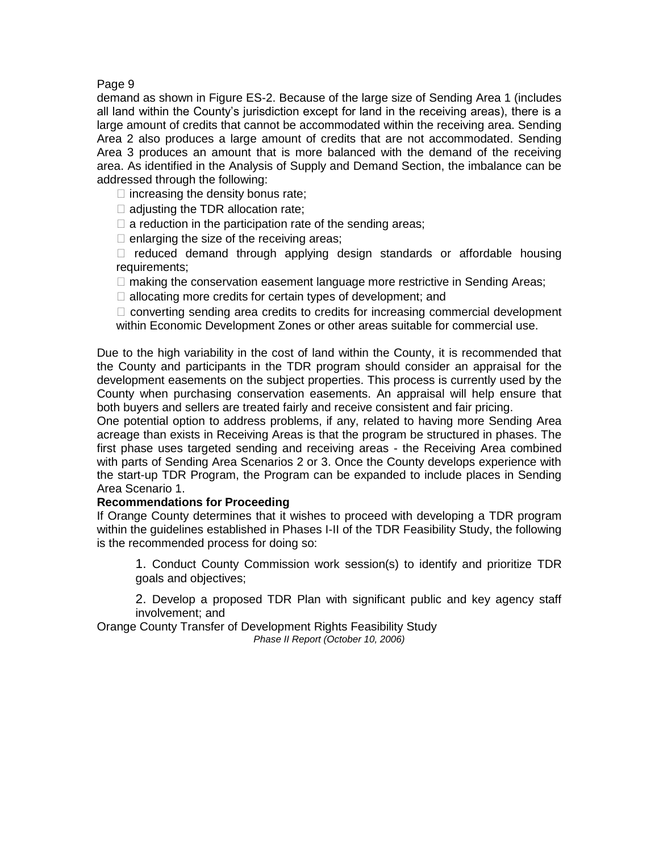demand as shown in Figure ES-2. Because of the large size of Sending Area 1 (includes all land within the County's jurisdiction except for land in the receiving areas), there is a large amount of credits that cannot be accommodated within the receiving area. Sending Area 2 also produces a large amount of credits that are not accommodated. Sending Area 3 produces an amount that is more balanced with the demand of the receiving area. As identified in the Analysis of Supply and Demand Section, the imbalance can be addressed through the following:

- $\Box$  increasing the density bonus rate;
- $\Box$  adjusting the TDR allocation rate;
- $\Box$  a reduction in the participation rate of the sending areas;
- $\Box$  enlarging the size of the receiving areas;

 $\Box$  reduced demand through applying design standards or affordable housing requirements;

- $\Box$  making the conservation easement language more restrictive in Sending Areas;
- $\Box$  allocating more credits for certain types of development; and

 $\Box$  converting sending area credits to credits for increasing commercial development within Economic Development Zones or other areas suitable for commercial use.

Due to the high variability in the cost of land within the County, it is recommended that the County and participants in the TDR program should consider an appraisal for the development easements on the subject properties. This process is currently used by the County when purchasing conservation easements. An appraisal will help ensure that both buyers and sellers are treated fairly and receive consistent and fair pricing.

One potential option to address problems, if any, related to having more Sending Area acreage than exists in Receiving Areas is that the program be structured in phases. The first phase uses targeted sending and receiving areas - the Receiving Area combined with parts of Sending Area Scenarios 2 or 3. Once the County develops experience with the start-up TDR Program, the Program can be expanded to include places in Sending Area Scenario 1.

## **Recommendations for Proceeding**

If Orange County determines that it wishes to proceed with developing a TDR program within the guidelines established in Phases I-II of the TDR Feasibility Study, the following is the recommended process for doing so:

1. Conduct County Commission work session(s) to identify and prioritize TDR goals and objectives;

2. Develop a proposed TDR Plan with significant public and key agency staff involvement; and

Orange County Transfer of Development Rights Feasibility Study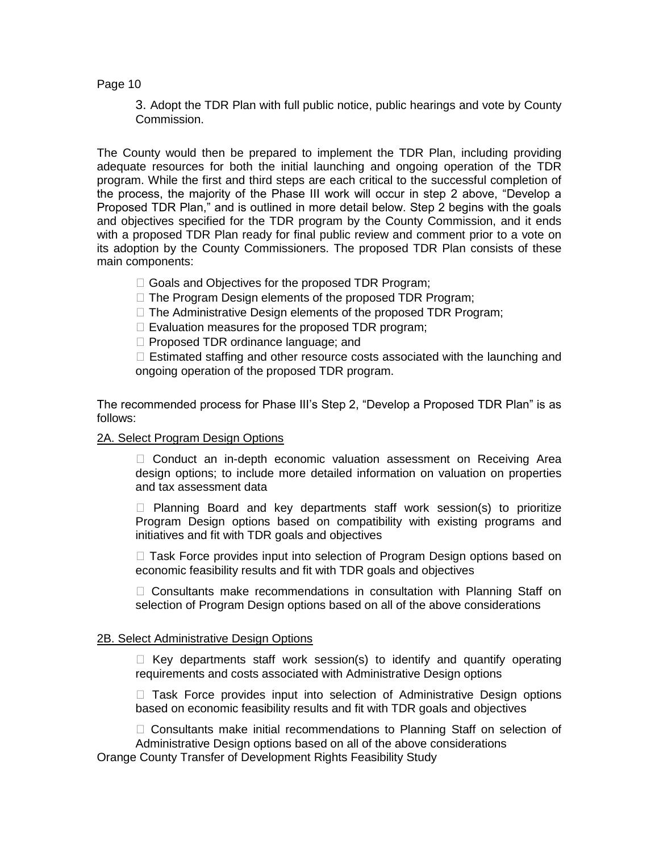3. Adopt the TDR Plan with full public notice, public hearings and vote by County Commission.

The County would then be prepared to implement the TDR Plan, including providing adequate resources for both the initial launching and ongoing operation of the TDR program. While the first and third steps are each critical to the successful completion of the process, the majority of the Phase III work will occur in step 2 above, "Develop a Proposed TDR Plan," and is outlined in more detail below. Step 2 begins with the goals and objectives specified for the TDR program by the County Commission, and it ends with a proposed TDR Plan ready for final public review and comment prior to a vote on its adoption by the County Commissioners. The proposed TDR Plan consists of these main components:

- $\Box$  Goals and Objectives for the proposed TDR Program;
- $\Box$  The Program Design elements of the proposed TDR Program;
- $\Box$  The Administrative Design elements of the proposed TDR Program;
- $\Box$  Evaluation measures for the proposed TDR program;
- □ Proposed TDR ordinance language; and

 $\Box$  Estimated staffing and other resource costs associated with the launching and ongoing operation of the proposed TDR program.

The recommended process for Phase III's Step 2, "Develop a Proposed TDR Plan" is as follows:

#### 2A. Select Program Design Options

 Conduct an in-depth economic valuation assessment on Receiving Area design options; to include more detailed information on valuation on properties and tax assessment data

□ Planning Board and key departments staff work session(s) to prioritize Program Design options based on compatibility with existing programs and initiatives and fit with TDR goals and objectives

□ Task Force provides input into selection of Program Design options based on economic feasibility results and fit with TDR goals and objectives

 $\Box$  Consultants make recommendations in consultation with Planning Staff on selection of Program Design options based on all of the above considerations

#### 2B. Select Administrative Design Options

 $\Box$  Key departments staff work session(s) to identify and quantify operating requirements and costs associated with Administrative Design options

 $\Box$  Task Force provides input into selection of Administrative Design options based on economic feasibility results and fit with TDR goals and objectives

 $\Box$  Consultants make initial recommendations to Planning Staff on selection of Administrative Design options based on all of the above considerations Orange County Transfer of Development Rights Feasibility Study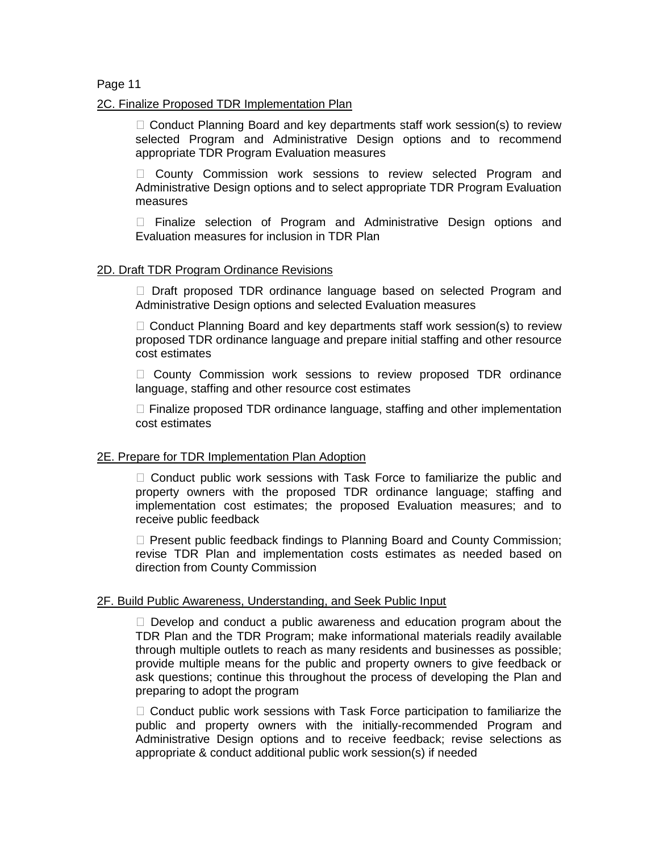## 2C. Finalize Proposed TDR Implementation Plan

 $\Box$  Conduct Planning Board and key departments staff work session(s) to review selected Program and Administrative Design options and to recommend appropriate TDR Program Evaluation measures

□ County Commission work sessions to review selected Program and Administrative Design options and to select appropriate TDR Program Evaluation measures

 Finalize selection of Program and Administrative Design options and Evaluation measures for inclusion in TDR Plan

#### 2D. Draft TDR Program Ordinance Revisions

 $\Box$  Draft proposed TDR ordinance language based on selected Program and Administrative Design options and selected Evaluation measures

 $\Box$  Conduct Planning Board and key departments staff work session(s) to review proposed TDR ordinance language and prepare initial staffing and other resource cost estimates

 County Commission work sessions to review proposed TDR ordinance language, staffing and other resource cost estimates

 $\Box$  Finalize proposed TDR ordinance language, staffing and other implementation cost estimates

## 2E. Prepare for TDR Implementation Plan Adoption

 $\Box$  Conduct public work sessions with Task Force to familiarize the public and property owners with the proposed TDR ordinance language; staffing and implementation cost estimates; the proposed Evaluation measures; and to receive public feedback

 $\Box$  Present public feedback findings to Planning Board and County Commission; revise TDR Plan and implementation costs estimates as needed based on direction from County Commission

#### 2F. Build Public Awareness, Understanding, and Seek Public Input

 $\Box$  Develop and conduct a public awareness and education program about the TDR Plan and the TDR Program; make informational materials readily available through multiple outlets to reach as many residents and businesses as possible; provide multiple means for the public and property owners to give feedback or ask questions; continue this throughout the process of developing the Plan and preparing to adopt the program

 $\Box$  Conduct public work sessions with Task Force participation to familiarize the public and property owners with the initially-recommended Program and Administrative Design options and to receive feedback; revise selections as appropriate & conduct additional public work session(s) if needed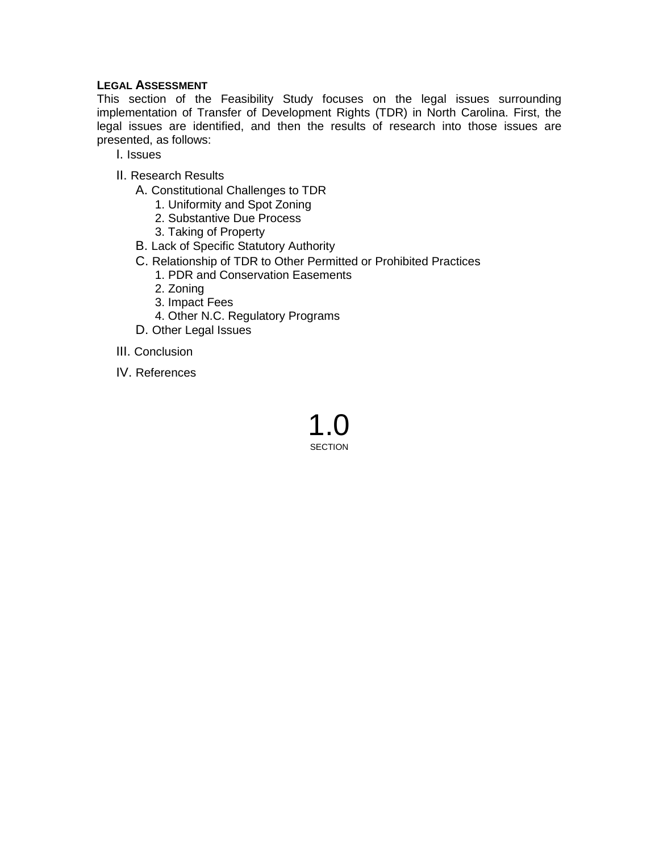## **LEGAL ASSESSMENT**

This section of the Feasibility Study focuses on the legal issues surrounding implementation of Transfer of Development Rights (TDR) in North Carolina. First, the legal issues are identified, and then the results of research into those issues are presented, as follows:

- I. Issues
- II. Research Results
	- A. Constitutional Challenges to TDR
		- 1. Uniformity and Spot Zoning
		- 2. Substantive Due Process
		- 3. Taking of Property
	- B. Lack of Specific Statutory Authority
	- C. Relationship of TDR to Other Permitted or Prohibited Practices
		- 1. PDR and Conservation Easements
		- 2. Zoning
		- 3. Impact Fees
		- 4. Other N.C. Regulatory Programs
	- D. Other Legal Issues

III. Conclusion

IV. References

## 1.0 **SECTION**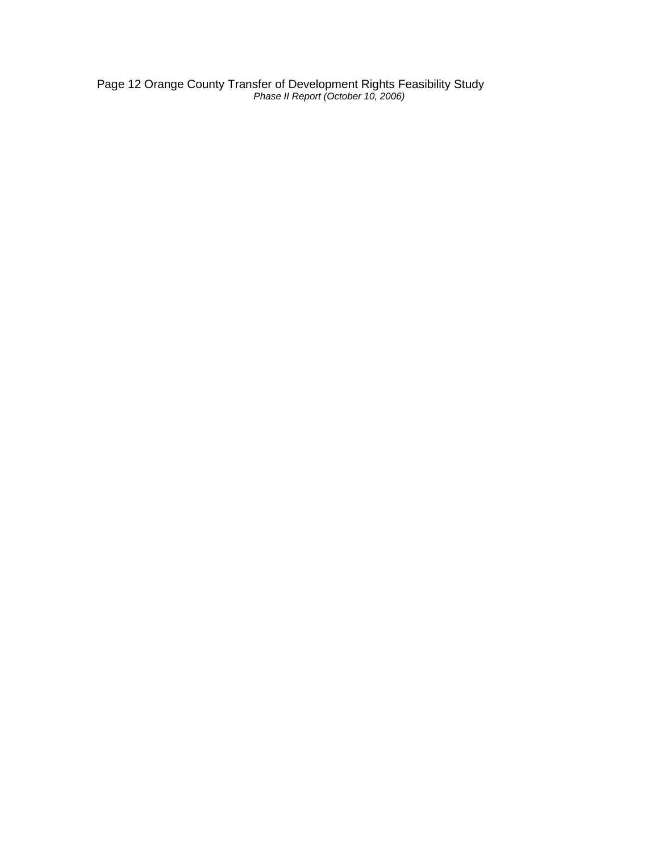Page 12 Orange County Transfer of Development Rights Feasibility Study *Phase II Report (October 10, 2006)*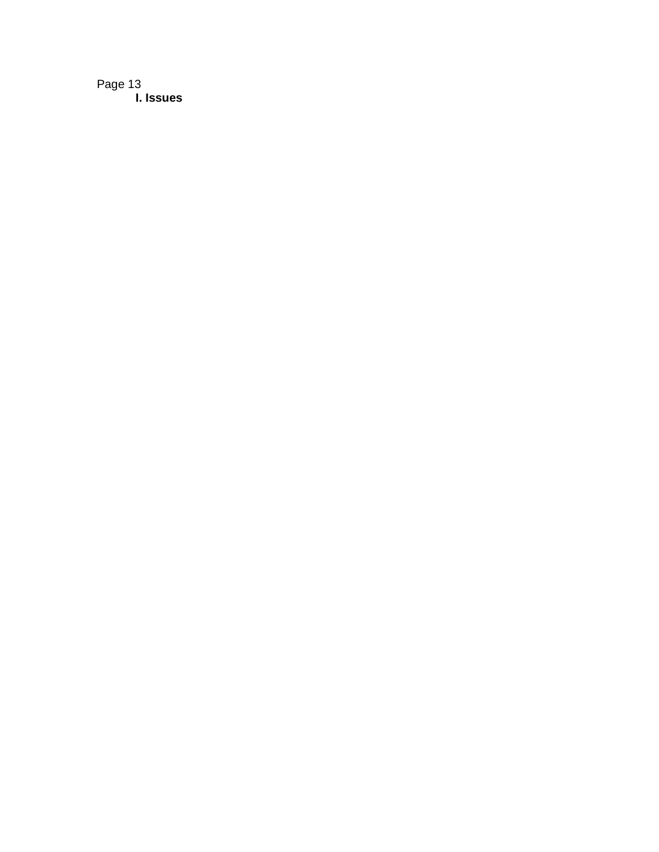Page 13 **I. Issues**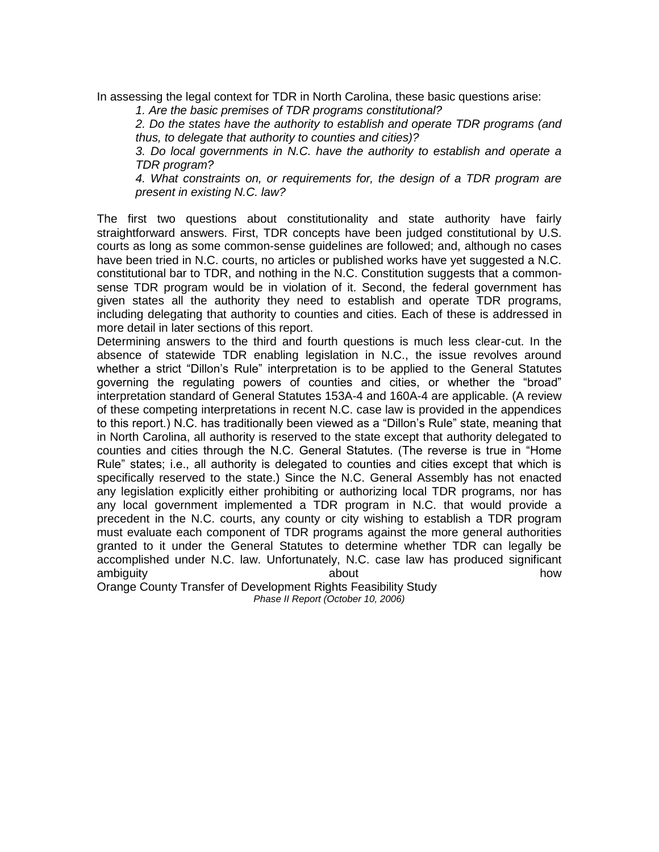In assessing the legal context for TDR in North Carolina, these basic questions arise:

*1. Are the basic premises of TDR programs constitutional?* 

*2. Do the states have the authority to establish and operate TDR programs (and thus, to delegate that authority to counties and cities)?* 

*3. Do local governments in N.C. have the authority to establish and operate a TDR program?* 

*4. What constraints on, or requirements for, the design of a TDR program are present in existing N.C. law?* 

The first two questions about constitutionality and state authority have fairly straightforward answers. First, TDR concepts have been judged constitutional by U.S. courts as long as some common-sense guidelines are followed; and, although no cases have been tried in N.C. courts, no articles or published works have yet suggested a N.C. constitutional bar to TDR, and nothing in the N.C. Constitution suggests that a commonsense TDR program would be in violation of it. Second, the federal government has given states all the authority they need to establish and operate TDR programs, including delegating that authority to counties and cities. Each of these is addressed in more detail in later sections of this report.

Determining answers to the third and fourth questions is much less clear-cut. In the absence of statewide TDR enabling legislation in N.C., the issue revolves around whether a strict "Dillon's Rule" interpretation is to be applied to the General Statutes governing the regulating powers of counties and cities, or whether the "broad" interpretation standard of General Statutes 153A-4 and 160A-4 are applicable. (A review of these competing interpretations in recent N.C. case law is provided in the appendices to this report.) N.C. has traditionally been viewed as a "Dillon's Rule" state, meaning that in North Carolina, all authority is reserved to the state except that authority delegated to counties and cities through the N.C. General Statutes. (The reverse is true in "Home Rule" states; i.e., all authority is delegated to counties and cities except that which is specifically reserved to the state.) Since the N.C. General Assembly has not enacted any legislation explicitly either prohibiting or authorizing local TDR programs, nor has any local government implemented a TDR program in N.C. that would provide a precedent in the N.C. courts, any county or city wishing to establish a TDR program must evaluate each component of TDR programs against the more general authorities granted to it under the General Statutes to determine whether TDR can legally be accomplished under N.C. law. Unfortunately, N.C. case law has produced significant ambiguity **about** about **how** 

Orange County Transfer of Development Rights Feasibility Study *Phase II Report (October 10, 2006)*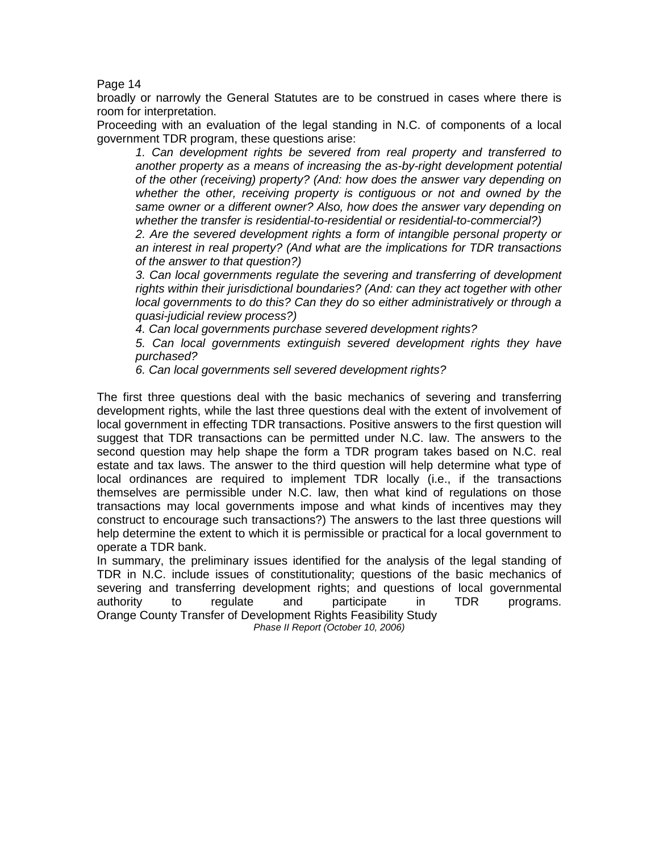broadly or narrowly the General Statutes are to be construed in cases where there is room for interpretation.

Proceeding with an evaluation of the legal standing in N.C. of components of a local government TDR program, these questions arise:

*1. Can development rights be severed from real property and transferred to another property as a means of increasing the as-by-right development potential of the other (receiving) property? (And: how does the answer vary depending on whether the other, receiving property is contiguous or not and owned by the same owner or a different owner? Also, how does the answer vary depending on whether the transfer is residential-to-residential or residential-to-commercial?)* 

*2. Are the severed development rights a form of intangible personal property or an interest in real property? (And what are the implications for TDR transactions of the answer to that question?)* 

*3. Can local governments regulate the severing and transferring of development rights within their jurisdictional boundaries? (And: can they act together with other local governments to do this? Can they do so either administratively or through a quasi-judicial review process?)* 

*4. Can local governments purchase severed development rights?* 

*5. Can local governments extinguish severed development rights they have purchased?* 

*6. Can local governments sell severed development rights?* 

The first three questions deal with the basic mechanics of severing and transferring development rights, while the last three questions deal with the extent of involvement of local government in effecting TDR transactions. Positive answers to the first question will suggest that TDR transactions can be permitted under N.C. law. The answers to the second question may help shape the form a TDR program takes based on N.C. real estate and tax laws. The answer to the third question will help determine what type of local ordinances are required to implement TDR locally (i.e., if the transactions themselves are permissible under N.C. law, then what kind of regulations on those transactions may local governments impose and what kinds of incentives may they construct to encourage such transactions?) The answers to the last three questions will help determine the extent to which it is permissible or practical for a local government to operate a TDR bank.

In summary, the preliminary issues identified for the analysis of the legal standing of TDR in N.C. include issues of constitutionality; questions of the basic mechanics of severing and transferring development rights; and questions of local governmental authority to regulate and participate in TDR programs. Orange County Transfer of Development Rights Feasibility Study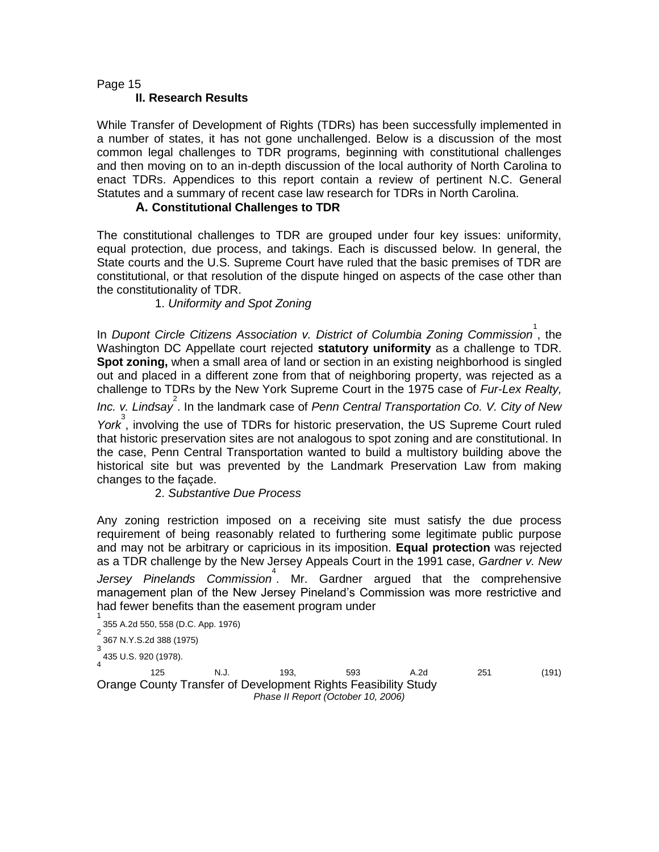## Page 15 **II. Research Results**

While Transfer of Development of Rights (TDRs) has been successfully implemented in a number of states, it has not gone unchallenged. Below is a discussion of the most common legal challenges to TDR programs, beginning with constitutional challenges and then moving on to an in-depth discussion of the local authority of North Carolina to enact TDRs. Appendices to this report contain a review of pertinent N.C. General Statutes and a summary of recent case law research for TDRs in North Carolina.

## **A. Constitutional Challenges to TDR**

The constitutional challenges to TDR are grouped under four key issues: uniformity, equal protection, due process, and takings. Each is discussed below. In general, the State courts and the U.S. Supreme Court have ruled that the basic premises of TDR are constitutional, or that resolution of the dispute hinged on aspects of the case other than the constitutionality of TDR.

1. *Uniformity and Spot Zoning* 

In *Dupont Circle Citizens Association v. District of Columbia Zoning Commission*<sup>1</sup>, the Washington DC Appellate court rejected **statutory uniformity** as a challenge to TDR. **Spot zoning,** when a small area of land or section in an existing neighborhood is singled out and placed in a different zone from that of neighboring property, was rejected as a challenge to TDRs by the New York Supreme Court in the 1975 case of *Fur-Lex Realty, Inc. v. Lindsay* 2 . In the landmark case of *Penn Central Transportation Co. V. City of New* 

York<sup>3</sup>, involving the use of TDRs for historic preservation, the US Supreme Court ruled that historic preservation sites are not analogous to spot zoning and are constitutional. In the case, Penn Central Transportation wanted to build a multistory building above the historical site but was prevented by the Landmark Preservation Law from making changes to the façade.

2. *Substantive Due Process* 

Any zoning restriction imposed on a receiving site must satisfy the due process requirement of being reasonably related to furthering some legitimate public purpose and may not be arbitrary or capricious in its imposition. **Equal protection** was rejected as a TDR challenge by the New Jersey Appeals Court in the 1991 case, *Gardner v. New Jersey Pinelands Commission* 4 . Mr. Gardner argued that the comprehensive

management plan of the New Jersey Pineland's Commission was more restrictive and had fewer benefits than the easement program under

- 1 355 A.2d 550, 558 (D.C. App. 1976) 2
- 367 N.Y.S.2d 388 (1975) 3
- 435 U.S. 920 (1978). 4

125 N.J. 193, 593 A.2d 251 (191) Orange County Transfer of Development Rights Feasibility Study *Phase II Report (October 10, 2006)*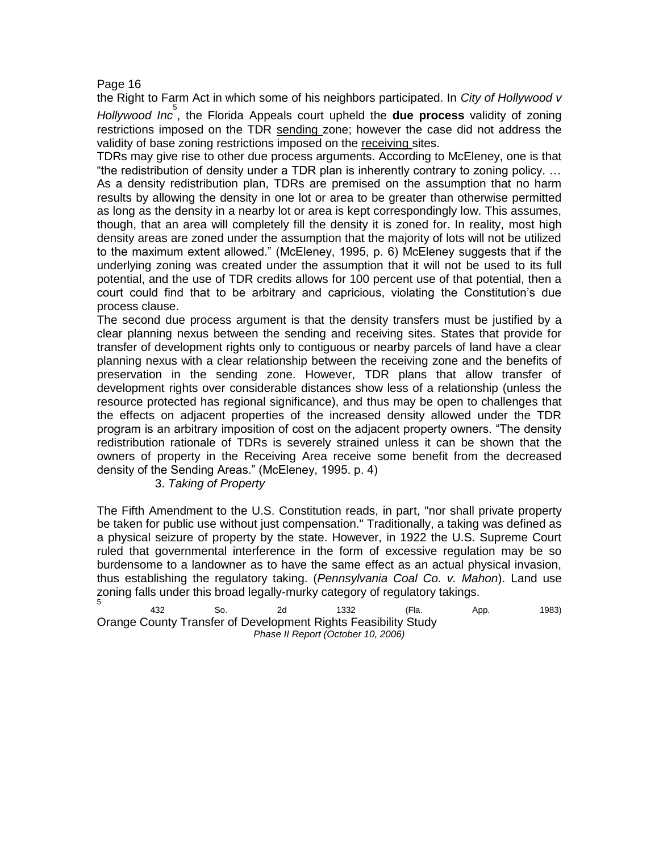the Right to Farm Act in which some of his neighbors participated. In *City of Hollywood v*

*Hollywood Inc* 5 , the Florida Appeals court upheld the **due process** validity of zoning restrictions imposed on the TDR sending zone; however the case did not address the validity of base zoning restrictions imposed on the receiving sites.

TDRs may give rise to other due process arguments. According to McEleney, one is that "the redistribution of density under a TDR plan is inherently contrary to zoning policy. … As a density redistribution plan, TDRs are premised on the assumption that no harm results by allowing the density in one lot or area to be greater than otherwise permitted as long as the density in a nearby lot or area is kept correspondingly low. This assumes, though, that an area will completely fill the density it is zoned for. In reality, most high density areas are zoned under the assumption that the majority of lots will not be utilized to the maximum extent allowed." (McEleney, 1995, p. 6) McEleney suggests that if the underlying zoning was created under the assumption that it will not be used to its full potential, and the use of TDR credits allows for 100 percent use of that potential, then a court could find that to be arbitrary and capricious, violating the Constitution's due process clause.

The second due process argument is that the density transfers must be justified by a clear planning nexus between the sending and receiving sites. States that provide for transfer of development rights only to contiguous or nearby parcels of land have a clear planning nexus with a clear relationship between the receiving zone and the benefits of preservation in the sending zone. However, TDR plans that allow transfer of development rights over considerable distances show less of a relationship (unless the resource protected has regional significance), and thus may be open to challenges that the effects on adjacent properties of the increased density allowed under the TDR program is an arbitrary imposition of cost on the adjacent property owners. "The density redistribution rationale of TDRs is severely strained unless it can be shown that the owners of property in the Receiving Area receive some benefit from the decreased density of the Sending Areas." (McEleney, 1995. p. 4)

3. *Taking of Property* 

The Fifth Amendment to the U.S. Constitution reads, in part, "nor shall private property be taken for public use without just compensation." Traditionally, a taking was defined as a physical seizure of property by the state. However, in 1922 the U.S. Supreme Court ruled that governmental interference in the form of excessive regulation may be so burdensome to a landowner as to have the same effect as an actual physical invasion, thus establishing the regulatory taking. (*Pennsylvania Coal Co. v. Mahon*). Land use zoning falls under this broad legally-murky category of regulatory takings.

5 432 So. 2d 1332 (Fla. App. 1983) Orange County Transfer of Development Rights Feasibility Study *Phase II Report (October 10, 2006)*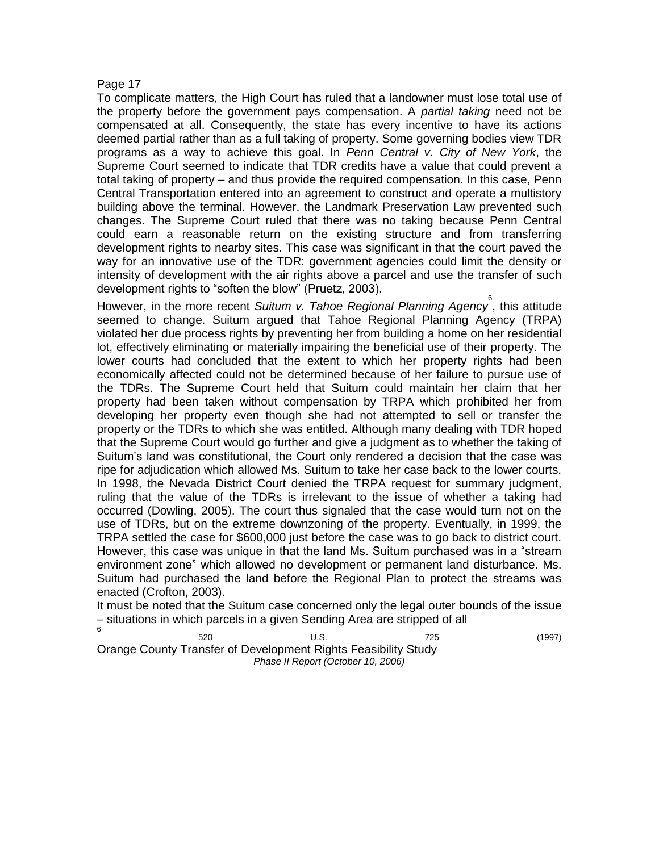To complicate matters, the High Court has ruled that a landowner must lose total use of the property before the government pays compensation. A *partial taking* need not be compensated at all. Consequently, the state has every incentive to have its actions deemed partial rather than as a full taking of property. Some governing bodies view TDR programs as a way to achieve this goal. In *Penn Central v. City of New York*, the Supreme Court seemed to indicate that TDR credits have a value that could prevent a total taking of property – and thus provide the required compensation. In this case, Penn Central Transportation entered into an agreement to construct and operate a multistory building above the terminal. However, the Landmark Preservation Law prevented such changes. The Supreme Court ruled that there was no taking because Penn Central could earn a reasonable return on the existing structure and from transferring development rights to nearby sites. This case was significant in that the court paved the way for an innovative use of the TDR: government agencies could limit the density or intensity of development with the air rights above a parcel and use the transfer of such development rights to "soften the blow" (Pruetz, 2003).

However, in the more recent Suitum v. Tahoe Regional Planning Agency<sup>6</sup>, this attitude seemed to change. Suitum argued that Tahoe Regional Planning Agency (TRPA) violated her due process rights by preventing her from building a home on her residential lot, effectively eliminating or materially impairing the beneficial use of their property. The lower courts had concluded that the extent to which her property rights had been economically affected could not be determined because of her failure to pursue use of the TDRs. The Supreme Court held that Suitum could maintain her claim that her property had been taken without compensation by TRPA which prohibited her from developing her property even though she had not attempted to sell or transfer the property or the TDRs to which she was entitled. Although many dealing with TDR hoped that the Supreme Court would go further and give a judgment as to whether the taking of Suitum's land was constitutional, the Court only rendered a decision that the case was ripe for adjudication which allowed Ms. Suitum to take her case back to the lower courts. In 1998, the Nevada District Court denied the TRPA request for summary judgment, ruling that the value of the TDRs is irrelevant to the issue of whether a taking had occurred (Dowling, 2005). The court thus signaled that the case would turn not on the use of TDRs, but on the extreme downzoning of the property. Eventually, in 1999, the TRPA settled the case for \$600,000 just before the case was to go back to district court. However, this case was unique in that the land Ms. Suitum purchased was in a "stream environment zone" which allowed no development or permanent land disturbance. Ms. Suitum had purchased the land before the Regional Plan to protect the streams was enacted (Crofton, 2003).

It must be noted that the Suitum case concerned only the legal outer bounds of the issue – situations in which parcels in a given Sending Area are stripped of all  $_{\rm 6}$ 

520 U.S. 725 (1997) Orange County Transfer of Development Rights Feasibility Study *Phase II Report (October 10, 2006)*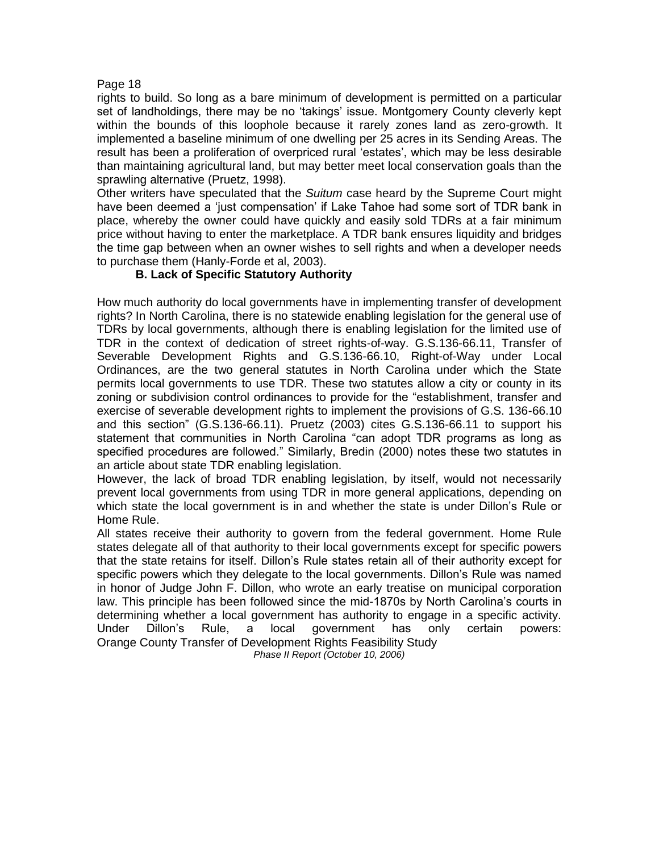rights to build. So long as a bare minimum of development is permitted on a particular set of landholdings, there may be no 'takings' issue. Montgomery County cleverly kept within the bounds of this loophole because it rarely zones land as zero-growth. It implemented a baseline minimum of one dwelling per 25 acres in its Sending Areas. The result has been a proliferation of overpriced rural 'estates', which may be less desirable than maintaining agricultural land, but may better meet local conservation goals than the sprawling alternative (Pruetz, 1998).

Other writers have speculated that the *Suitum* case heard by the Supreme Court might have been deemed a 'just compensation' if Lake Tahoe had some sort of TDR bank in place, whereby the owner could have quickly and easily sold TDRs at a fair minimum price without having to enter the marketplace. A TDR bank ensures liquidity and bridges the time gap between when an owner wishes to sell rights and when a developer needs to purchase them (Hanly-Forde et al, 2003).

## **B. Lack of Specific Statutory Authority**

How much authority do local governments have in implementing transfer of development rights? In North Carolina, there is no statewide enabling legislation for the general use of TDRs by local governments, although there is enabling legislation for the limited use of TDR in the context of dedication of street rights-of-way. G.S.136-66.11, Transfer of Severable Development Rights and G.S.136-66.10, Right-of-Way under Local Ordinances, are the two general statutes in North Carolina under which the State permits local governments to use TDR. These two statutes allow a city or county in its zoning or subdivision control ordinances to provide for the "establishment, transfer and exercise of severable development rights to implement the provisions of G.S. 136-66.10 and this section" (G.S.136-66.11). Pruetz (2003) cites G.S.136-66.11 to support his statement that communities in North Carolina "can adopt TDR programs as long as specified procedures are followed." Similarly, Bredin (2000) notes these two statutes in an article about state TDR enabling legislation.

However, the lack of broad TDR enabling legislation, by itself, would not necessarily prevent local governments from using TDR in more general applications, depending on which state the local government is in and whether the state is under Dillon's Rule or Home Rule.

All states receive their authority to govern from the federal government. Home Rule states delegate all of that authority to their local governments except for specific powers that the state retains for itself. Dillon's Rule states retain all of their authority except for specific powers which they delegate to the local governments. Dillon's Rule was named in honor of Judge John F. Dillon, who wrote an early treatise on municipal corporation law. This principle has been followed since the mid-1870s by North Carolina's courts in determining whether a local government has authority to engage in a specific activity. Under Dillon's Rule, a local government has only certain powers: Orange County Transfer of Development Rights Feasibility Study *Phase II Report (October 10, 2006)*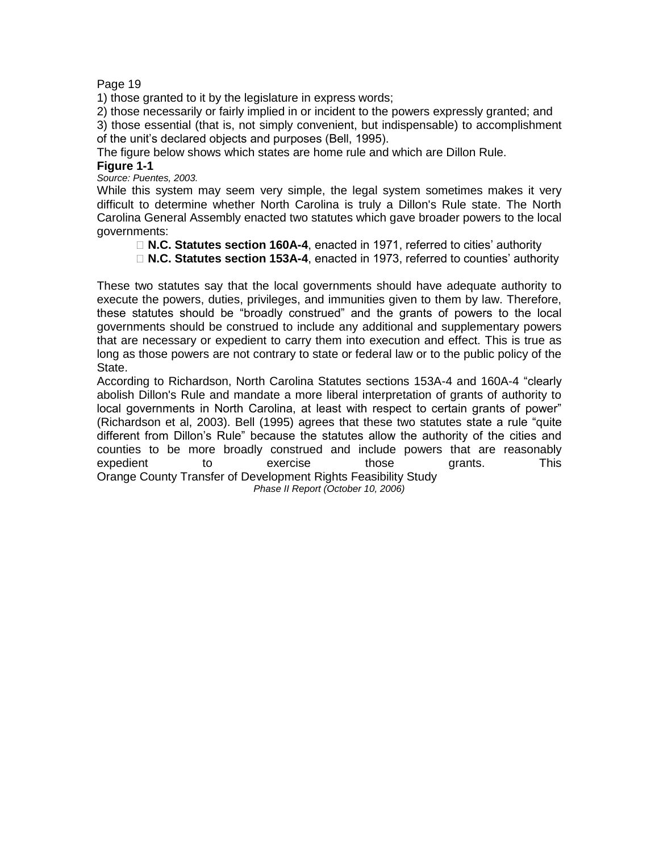1) those granted to it by the legislature in express words;

2) those necessarily or fairly implied in or incident to the powers expressly granted; and

3) those essential (that is, not simply convenient, but indispensable) to accomplishment of the unit's declared objects and purposes (Bell, 1995).

The figure below shows which states are home rule and which are Dillon Rule.

## **Figure 1-1**

*Source: Puentes, 2003.* 

While this system may seem very simple, the legal system sometimes makes it very difficult to determine whether North Carolina is truly a Dillon's Rule state. The North Carolina General Assembly enacted two statutes which gave broader powers to the local governments:

**N.C. Statutes section 160A-4**, enacted in 1971, referred to cities' authority

**N.C. Statutes section 153A-4**, enacted in 1973, referred to counties' authority

These two statutes say that the local governments should have adequate authority to execute the powers, duties, privileges, and immunities given to them by law. Therefore, these statutes should be "broadly construed" and the grants of powers to the local governments should be construed to include any additional and supplementary powers that are necessary or expedient to carry them into execution and effect. This is true as long as those powers are not contrary to state or federal law or to the public policy of the State.

According to Richardson, North Carolina Statutes sections 153A-4 and 160A-4 "clearly abolish Dillon's Rule and mandate a more liberal interpretation of grants of authority to local governments in North Carolina, at least with respect to certain grants of power" (Richardson et al, 2003). Bell (1995) agrees that these two statutes state a rule "quite different from Dillon's Rule" because the statutes allow the authority of the cities and counties to be more broadly construed and include powers that are reasonably expedient to exercise those grants. This Orange County Transfer of Development Rights Feasibility Study *Phase II Report (October 10, 2006)*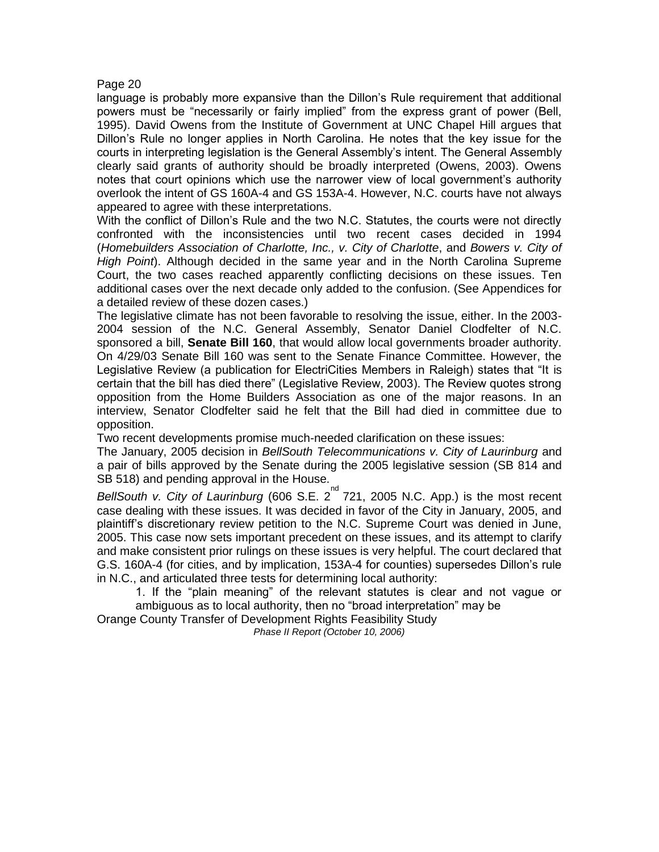language is probably more expansive than the Dillon's Rule requirement that additional powers must be "necessarily or fairly implied" from the express grant of power (Bell, 1995). David Owens from the Institute of Government at UNC Chapel Hill argues that Dillon's Rule no longer applies in North Carolina. He notes that the key issue for the courts in interpreting legislation is the General Assembly's intent. The General Assembly clearly said grants of authority should be broadly interpreted (Owens, 2003). Owens notes that court opinions which use the narrower view of local government's authority overlook the intent of GS 160A-4 and GS 153A-4. However, N.C. courts have not always appeared to agree with these interpretations.

With the conflict of Dillon's Rule and the two N.C. Statutes, the courts were not directly confronted with the inconsistencies until two recent cases decided in 1994 (*Homebuilders Association of Charlotte, Inc., v. City of Charlotte*, and *Bowers v. City of High Point*). Although decided in the same year and in the North Carolina Supreme Court, the two cases reached apparently conflicting decisions on these issues. Ten additional cases over the next decade only added to the confusion. (See Appendices for a detailed review of these dozen cases.)

The legislative climate has not been favorable to resolving the issue, either. In the 2003- 2004 session of the N.C. General Assembly, Senator Daniel Clodfelter of N.C. sponsored a bill, **Senate Bill 160**, that would allow local governments broader authority. On 4/29/03 Senate Bill 160 was sent to the Senate Finance Committee. However, the Legislative Review (a publication for ElectriCities Members in Raleigh) states that "It is certain that the bill has died there" (Legislative Review, 2003). The Review quotes strong opposition from the Home Builders Association as one of the major reasons. In an interview, Senator Clodfelter said he felt that the Bill had died in committee due to opposition.

Two recent developments promise much-needed clarification on these issues:

The January, 2005 decision in *BellSouth Telecommunications v. City of Laurinburg* and a pair of bills approved by the Senate during the 2005 legislative session (SB 814 and SB 518) and pending approval in the House.

BellSouth v. City of Laurinburg (606 S.E. 2<sup>nd</sup> 721, 2005 N.C. App.) is the most recent case dealing with these issues. It was decided in favor of the City in January, 2005, and plaintiff's discretionary review petition to the N.C. Supreme Court was denied in June, 2005. This case now sets important precedent on these issues, and its attempt to clarify and make consistent prior rulings on these issues is very helpful. The court declared that G.S. 160A-4 (for cities, and by implication, 153A-4 for counties) supersedes Dillon's rule in N.C., and articulated three tests for determining local authority:

1. If the "plain meaning" of the relevant statutes is clear and not vague or ambiguous as to local authority, then no "broad interpretation" may be

Orange County Transfer of Development Rights Feasibility Study *Phase II Report (October 10, 2006)*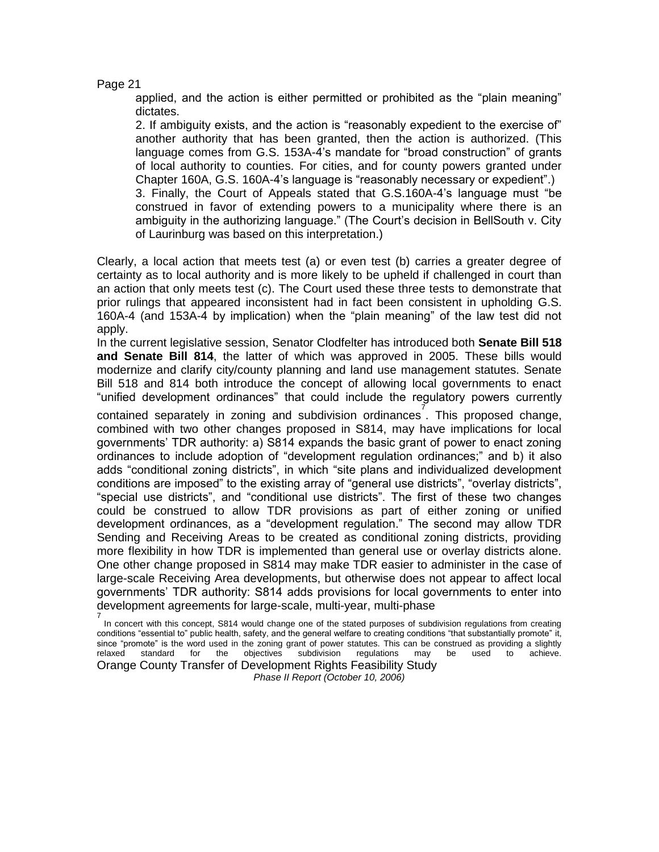applied, and the action is either permitted or prohibited as the "plain meaning" dictates.

2. If ambiguity exists, and the action is "reasonably expedient to the exercise of" another authority that has been granted, then the action is authorized. (This language comes from G.S. 153A-4's mandate for "broad construction" of grants of local authority to counties. For cities, and for county powers granted under Chapter 160A, G.S. 160A-4's language is "reasonably necessary or expedient".) 3. Finally, the Court of Appeals stated that G.S.160A-4's language must "be construed in favor of extending powers to a municipality where there is an ambiguity in the authorizing language." (The Court's decision in BellSouth v. City of Laurinburg was based on this interpretation.)

Clearly, a local action that meets test (a) or even test (b) carries a greater degree of certainty as to local authority and is more likely to be upheld if challenged in court than an action that only meets test (c). The Court used these three tests to demonstrate that prior rulings that appeared inconsistent had in fact been consistent in upholding G.S. 160A-4 (and 153A-4 by implication) when the "plain meaning" of the law test did not apply.

In the current legislative session, Senator Clodfelter has introduced both **Senate Bill 518 and Senate Bill 814**, the latter of which was approved in 2005. These bills would modernize and clarify city/county planning and land use management statutes. Senate Bill 518 and 814 both introduce the concept of allowing local governments to enact "unified development ordinances" that could include the regulatory powers currently

contained separately in zoning and subdivision ordinances 7 . This proposed change, combined with two other changes proposed in S814, may have implications for local governments' TDR authority: a) S814 expands the basic grant of power to enact zoning ordinances to include adoption of "development regulation ordinances;" and b) it also adds "conditional zoning districts", in which "site plans and individualized development conditions are imposed" to the existing array of "general use districts", "overlay districts", "special use districts", and "conditional use districts". The first of these two changes could be construed to allow TDR provisions as part of either zoning or unified development ordinances, as a "development regulation." The second may allow TDR Sending and Receiving Areas to be created as conditional zoning districts, providing more flexibility in how TDR is implemented than general use or overlay districts alone. One other change proposed in S814 may make TDR easier to administer in the case of large-scale Receiving Area developments, but otherwise does not appear to affect local governments' TDR authority: S814 adds provisions for local governments to enter into development agreements for large-scale, multi-year, multi-phase

7 In concert with this concept, S814 would change one of the stated purposes of subdivision regulations from creating conditions "essential to" public health, safety, and the general welfare to creating conditions "that substantially promote" it, since "promote" is the word used in the zoning grant of power statutes. This can be construed as providing a slightly relaxed standard for the objectives subdivision regulations may be used to achieve. Orange County Transfer of Development Rights Feasibility Study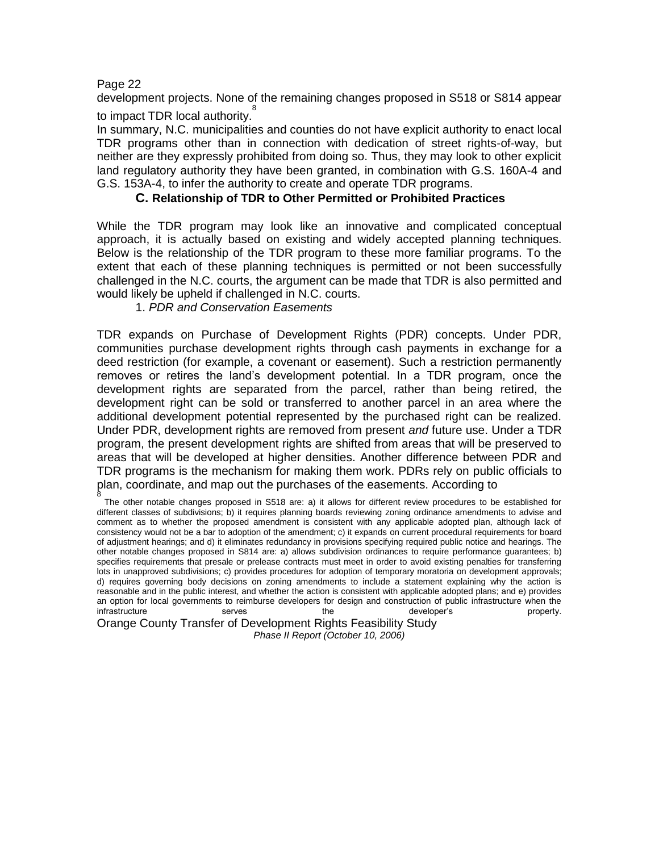development projects. None of the remaining changes proposed in S518 or S814 appear to impact TDR local authority. $\degree$ 

In summary, N.C. municipalities and counties do not have explicit authority to enact local TDR programs other than in connection with dedication of street rights-of-way, but neither are they expressly prohibited from doing so. Thus, they may look to other explicit land regulatory authority they have been granted, in combination with G.S. 160A-4 and G.S. 153A-4, to infer the authority to create and operate TDR programs.

## **C. Relationship of TDR to Other Permitted or Prohibited Practices**

While the TDR program may look like an innovative and complicated conceptual approach, it is actually based on existing and widely accepted planning techniques. Below is the relationship of the TDR program to these more familiar programs. To the extent that each of these planning techniques is permitted or not been successfully challenged in the N.C. courts, the argument can be made that TDR is also permitted and would likely be upheld if challenged in N.C. courts.

1. *PDR and Conservation Easements* 

TDR expands on Purchase of Development Rights (PDR) concepts. Under PDR, communities purchase development rights through cash payments in exchange for a deed restriction (for example, a covenant or easement). Such a restriction permanently removes or retires the land's development potential. In a TDR program, once the development rights are separated from the parcel, rather than being retired, the development right can be sold or transferred to another parcel in an area where the additional development potential represented by the purchased right can be realized. Under PDR, development rights are removed from present *and* future use. Under a TDR program, the present development rights are shifted from areas that will be preserved to areas that will be developed at higher densities. Another difference between PDR and TDR programs is the mechanism for making them work. PDRs rely on public officials to plan, coordinate, and map out the purchases of the easements. According to

8 The other notable changes proposed in S518 are: a) it allows for different review procedures to be established for different classes of subdivisions; b) it requires planning boards reviewing zoning ordinance amendments to advise and comment as to whether the proposed amendment is consistent with any applicable adopted plan, although lack of consistency would not be a bar to adoption of the amendment; c) it expands on current procedural requirements for board of adjustment hearings; and d) it eliminates redundancy in provisions specifying required public notice and hearings. The other notable changes proposed in S814 are: a) allows subdivision ordinances to require performance guarantees; b) specifies requirements that presale or prelease contracts must meet in order to avoid existing penalties for transferring lots in unapproved subdivisions; c) provides procedures for adoption of temporary moratoria on development approvals; d) requires governing body decisions on zoning amendments to include a statement explaining why the action is reasonable and in the public interest, and whether the action is consistent with applicable adopted plans; and e) provides an option for local governments to reimburse developers for design and construction of public infrastructure when the<br>infrastructure when the developer's property. infrastructure serves the the developer's property. Orange County Transfer of Development Rights Feasibility Study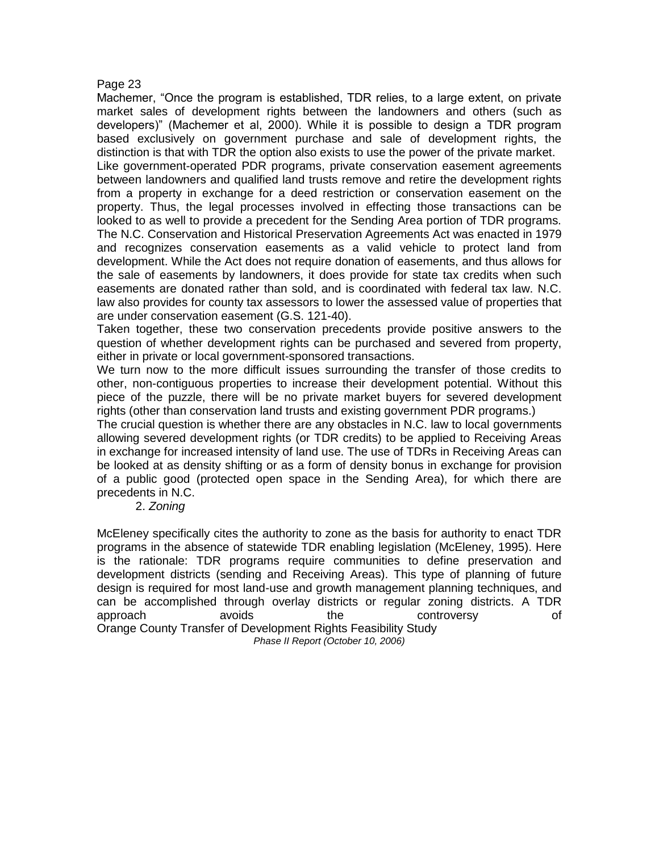Machemer, "Once the program is established, TDR relies, to a large extent, on private market sales of development rights between the landowners and others (such as developers)" (Machemer et al, 2000). While it is possible to design a TDR program based exclusively on government purchase and sale of development rights, the distinction is that with TDR the option also exists to use the power of the private market.

Like government-operated PDR programs, private conservation easement agreements between landowners and qualified land trusts remove and retire the development rights from a property in exchange for a deed restriction or conservation easement on the property. Thus, the legal processes involved in effecting those transactions can be looked to as well to provide a precedent for the Sending Area portion of TDR programs. The N.C. Conservation and Historical Preservation Agreements Act was enacted in 1979 and recognizes conservation easements as a valid vehicle to protect land from development. While the Act does not require donation of easements, and thus allows for the sale of easements by landowners, it does provide for state tax credits when such easements are donated rather than sold, and is coordinated with federal tax law. N.C. law also provides for county tax assessors to lower the assessed value of properties that are under conservation easement (G.S. 121-40).

Taken together, these two conservation precedents provide positive answers to the question of whether development rights can be purchased and severed from property, either in private or local government-sponsored transactions.

We turn now to the more difficult issues surrounding the transfer of those credits to other, non-contiguous properties to increase their development potential. Without this piece of the puzzle, there will be no private market buyers for severed development rights (other than conservation land trusts and existing government PDR programs.)

The crucial question is whether there are any obstacles in N.C. law to local governments allowing severed development rights (or TDR credits) to be applied to Receiving Areas in exchange for increased intensity of land use. The use of TDRs in Receiving Areas can be looked at as density shifting or as a form of density bonus in exchange for provision of a public good (protected open space in the Sending Area), for which there are precedents in N.C.

2. *Zoning* 

McEleney specifically cites the authority to zone as the basis for authority to enact TDR programs in the absence of statewide TDR enabling legislation (McEleney, 1995). Here is the rationale: TDR programs require communities to define preservation and development districts (sending and Receiving Areas). This type of planning of future design is required for most land-use and growth management planning techniques, and can be accomplished through overlay districts or regular zoning districts. A TDR approach avoids the controversy of Orange County Transfer of Development Rights Feasibility Study *Phase II Report (October 10, 2006)*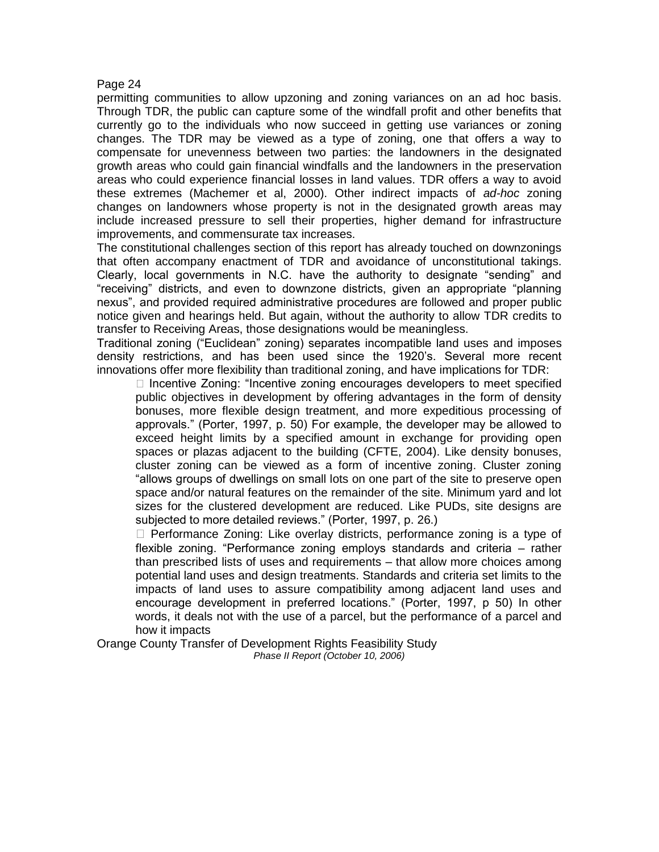permitting communities to allow upzoning and zoning variances on an ad hoc basis. Through TDR, the public can capture some of the windfall profit and other benefits that currently go to the individuals who now succeed in getting use variances or zoning changes. The TDR may be viewed as a type of zoning, one that offers a way to compensate for unevenness between two parties: the landowners in the designated growth areas who could gain financial windfalls and the landowners in the preservation areas who could experience financial losses in land values. TDR offers a way to avoid these extremes (Machemer et al, 2000). Other indirect impacts of *ad-hoc* zoning changes on landowners whose property is not in the designated growth areas may include increased pressure to sell their properties, higher demand for infrastructure improvements, and commensurate tax increases.

The constitutional challenges section of this report has already touched on downzonings that often accompany enactment of TDR and avoidance of unconstitutional takings. Clearly, local governments in N.C. have the authority to designate "sending" and "receiving" districts, and even to downzone districts, given an appropriate "planning nexus", and provided required administrative procedures are followed and proper public notice given and hearings held. But again, without the authority to allow TDR credits to transfer to Receiving Areas, those designations would be meaningless.

Traditional zoning ("Euclidean" zoning) separates incompatible land uses and imposes density restrictions, and has been used since the 1920's. Several more recent innovations offer more flexibility than traditional zoning, and have implications for TDR:

 $\Box$  Incentive Zoning: "Incentive zoning encourages developers to meet specified public objectives in development by offering advantages in the form of density bonuses, more flexible design treatment, and more expeditious processing of approvals." (Porter, 1997, p. 50) For example, the developer may be allowed to exceed height limits by a specified amount in exchange for providing open spaces or plazas adjacent to the building (CFTE, 2004). Like density bonuses, cluster zoning can be viewed as a form of incentive zoning. Cluster zoning "allows groups of dwellings on small lots on one part of the site to preserve open space and/or natural features on the remainder of the site. Minimum yard and lot sizes for the clustered development are reduced. Like PUDs, site designs are subjected to more detailed reviews." (Porter, 1997, p. 26.)

 $\Box$  Performance Zoning: Like overlay districts, performance zoning is a type of flexible zoning. "Performance zoning employs standards and criteria – rather than prescribed lists of uses and requirements – that allow more choices among potential land uses and design treatments. Standards and criteria set limits to the impacts of land uses to assure compatibility among adjacent land uses and encourage development in preferred locations." (Porter, 1997, p 50) In other words, it deals not with the use of a parcel, but the performance of a parcel and how it impacts

Orange County Transfer of Development Rights Feasibility Study *Phase II Report (October 10, 2006)*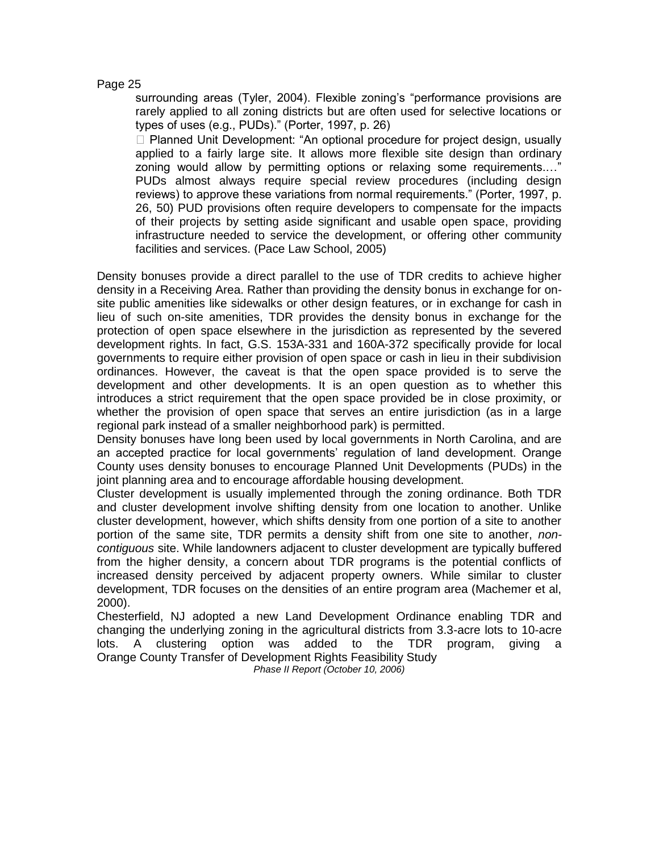surrounding areas (Tyler, 2004). Flexible zoning's "performance provisions are rarely applied to all zoning districts but are often used for selective locations or types of uses (e.g., PUDs)." (Porter, 1997, p. 26)

 $\Box$  Planned Unit Development: "An optional procedure for project design, usually applied to a fairly large site. It allows more flexible site design than ordinary zoning would allow by permitting options or relaxing some requirements.…" PUDs almost always require special review procedures (including design reviews) to approve these variations from normal requirements." (Porter, 1997, p. 26, 50) PUD provisions often require developers to compensate for the impacts of their projects by setting aside significant and usable open space, providing infrastructure needed to service the development, or offering other community facilities and services. (Pace Law School, 2005)

Density bonuses provide a direct parallel to the use of TDR credits to achieve higher density in a Receiving Area. Rather than providing the density bonus in exchange for onsite public amenities like sidewalks or other design features, or in exchange for cash in lieu of such on-site amenities, TDR provides the density bonus in exchange for the protection of open space elsewhere in the jurisdiction as represented by the severed development rights. In fact, G.S. 153A-331 and 160A-372 specifically provide for local governments to require either provision of open space or cash in lieu in their subdivision ordinances. However, the caveat is that the open space provided is to serve the development and other developments. It is an open question as to whether this introduces a strict requirement that the open space provided be in close proximity, or whether the provision of open space that serves an entire jurisdiction (as in a large regional park instead of a smaller neighborhood park) is permitted.

Density bonuses have long been used by local governments in North Carolina, and are an accepted practice for local governments' regulation of land development. Orange County uses density bonuses to encourage Planned Unit Developments (PUDs) in the joint planning area and to encourage affordable housing development.

Cluster development is usually implemented through the zoning ordinance. Both TDR and cluster development involve shifting density from one location to another. Unlike cluster development, however, which shifts density from one portion of a site to another portion of the same site, TDR permits a density shift from one site to another, *noncontiguous* site. While landowners adjacent to cluster development are typically buffered from the higher density, a concern about TDR programs is the potential conflicts of increased density perceived by adjacent property owners. While similar to cluster development, TDR focuses on the densities of an entire program area (Machemer et al, 2000).

Chesterfield, NJ adopted a new Land Development Ordinance enabling TDR and changing the underlying zoning in the agricultural districts from 3.3-acre lots to 10-acre lots. A clustering option was added to the TDR program, giving a Orange County Transfer of Development Rights Feasibility Study *Phase II Report (October 10, 2006)*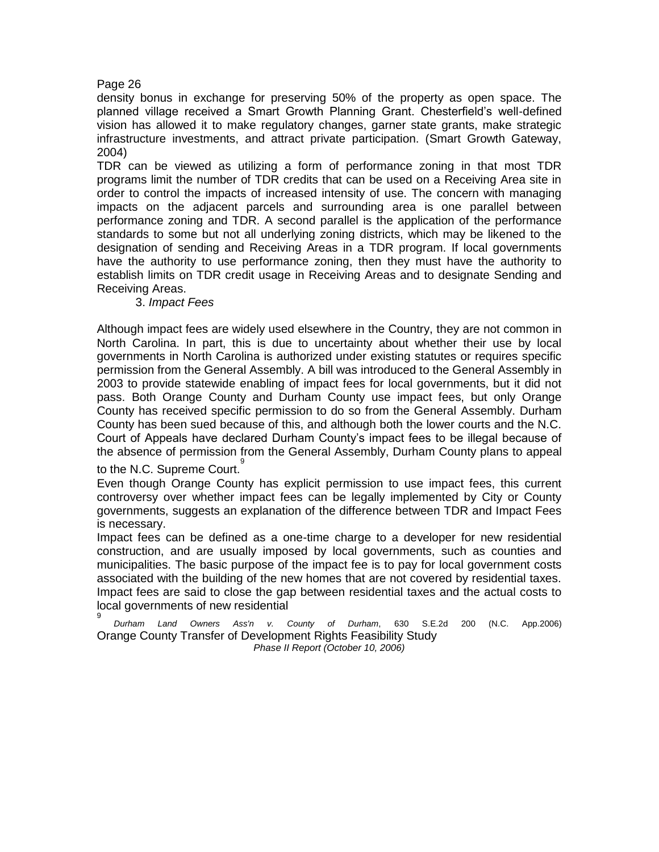density bonus in exchange for preserving 50% of the property as open space. The planned village received a Smart Growth Planning Grant. Chesterfield's well-defined vision has allowed it to make regulatory changes, garner state grants, make strategic infrastructure investments, and attract private participation. (Smart Growth Gateway, 2004)

TDR can be viewed as utilizing a form of performance zoning in that most TDR programs limit the number of TDR credits that can be used on a Receiving Area site in order to control the impacts of increased intensity of use. The concern with managing impacts on the adjacent parcels and surrounding area is one parallel between performance zoning and TDR. A second parallel is the application of the performance standards to some but not all underlying zoning districts, which may be likened to the designation of sending and Receiving Areas in a TDR program. If local governments have the authority to use performance zoning, then they must have the authority to establish limits on TDR credit usage in Receiving Areas and to designate Sending and Receiving Areas.

## 3. *Impact Fees*

Although impact fees are widely used elsewhere in the Country, they are not common in North Carolina. In part, this is due to uncertainty about whether their use by local governments in North Carolina is authorized under existing statutes or requires specific permission from the General Assembly. A bill was introduced to the General Assembly in 2003 to provide statewide enabling of impact fees for local governments, but it did not pass. Both Orange County and Durham County use impact fees, but only Orange County has received specific permission to do so from the General Assembly. Durham County has been sued because of this, and although both the lower courts and the N.C. Court of Appeals have declared Durham County's impact fees to be illegal because of the absence of permission from the General Assembly, Durham County plans to appeal

## to the N.C. Supreme Court.<sup>9</sup>

Even though Orange County has explicit permission to use impact fees, this current controversy over whether impact fees can be legally implemented by City or County governments, suggests an explanation of the difference between TDR and Impact Fees is necessary.

Impact fees can be defined as a one-time charge to a developer for new residential construction, and are usually imposed by local governments, such as counties and municipalities. The basic purpose of the impact fee is to pay for local government costs associated with the building of the new homes that are not covered by residential taxes. Impact fees are said to close the gap between residential taxes and the actual costs to local governments of new residential

9 *Durham Land Owners Ass'n v. County of Durham*, 630 S.E.2d 200 (N.C. App.2006) Orange County Transfer of Development Rights Feasibility Study *Phase II Report (October 10, 2006)*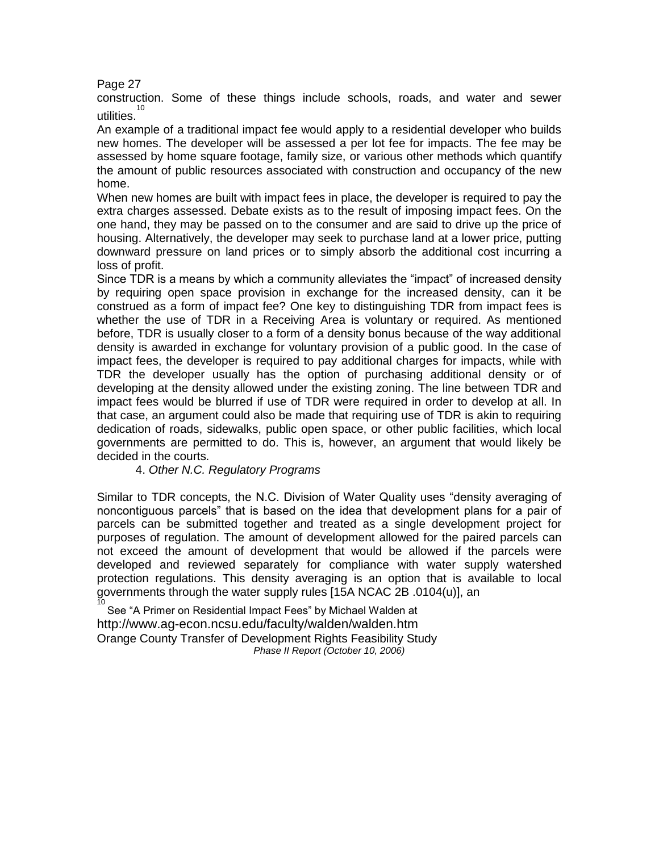construction. Some of these things include schools, roads, and water and sewer utilities.<sup>10</sup>

An example of a traditional impact fee would apply to a residential developer who builds new homes. The developer will be assessed a per lot fee for impacts. The fee may be assessed by home square footage, family size, or various other methods which quantify the amount of public resources associated with construction and occupancy of the new home.

When new homes are built with impact fees in place, the developer is required to pay the extra charges assessed. Debate exists as to the result of imposing impact fees. On the one hand, they may be passed on to the consumer and are said to drive up the price of housing. Alternatively, the developer may seek to purchase land at a lower price, putting downward pressure on land prices or to simply absorb the additional cost incurring a loss of profit.

Since TDR is a means by which a community alleviates the "impact" of increased density by requiring open space provision in exchange for the increased density, can it be construed as a form of impact fee? One key to distinguishing TDR from impact fees is whether the use of TDR in a Receiving Area is voluntary or required. As mentioned before, TDR is usually closer to a form of a density bonus because of the way additional density is awarded in exchange for voluntary provision of a public good. In the case of impact fees, the developer is required to pay additional charges for impacts, while with TDR the developer usually has the option of purchasing additional density or of developing at the density allowed under the existing zoning. The line between TDR and impact fees would be blurred if use of TDR were required in order to develop at all. In that case, an argument could also be made that requiring use of TDR is akin to requiring dedication of roads, sidewalks, public open space, or other public facilities, which local governments are permitted to do. This is, however, an argument that would likely be decided in the courts.

4. *Other N.C. Regulatory Programs* 

Similar to TDR concepts, the N.C. Division of Water Quality uses "density averaging of noncontiguous parcels" that is based on the idea that development plans for a pair of parcels can be submitted together and treated as a single development project for purposes of regulation. The amount of development allowed for the paired parcels can not exceed the amount of development that would be allowed if the parcels were developed and reviewed separately for compliance with water supply watershed protection regulations. This density averaging is an option that is available to local governments through the water supply rules [15A NCAC 2B .0104(u)], an 10

See "A Primer on Residential Impact Fees" by Michael Walden at http://www.ag-econ.ncsu.edu/faculty/walden/walden.htm Orange County Transfer of Development Rights Feasibility Study *Phase II Report (October 10, 2006)*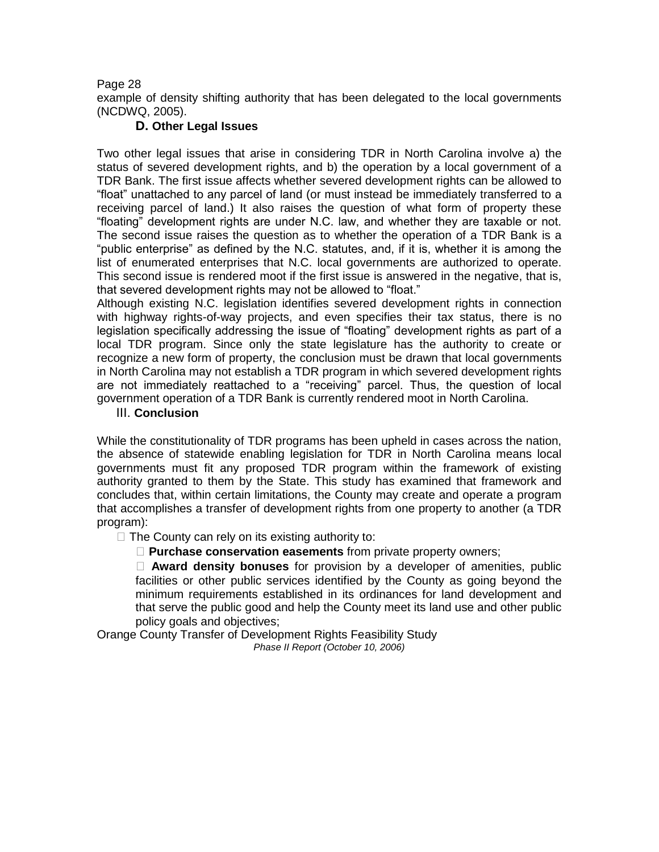example of density shifting authority that has been delegated to the local governments (NCDWQ, 2005).

## **D. Other Legal Issues**

Two other legal issues that arise in considering TDR in North Carolina involve a) the status of severed development rights, and b) the operation by a local government of a TDR Bank. The first issue affects whether severed development rights can be allowed to "float" unattached to any parcel of land (or must instead be immediately transferred to a receiving parcel of land.) It also raises the question of what form of property these "floating" development rights are under N.C. law, and whether they are taxable or not. The second issue raises the question as to whether the operation of a TDR Bank is a "public enterprise" as defined by the N.C. statutes, and, if it is, whether it is among the list of enumerated enterprises that N.C. local governments are authorized to operate. This second issue is rendered moot if the first issue is answered in the negative, that is, that severed development rights may not be allowed to "float."

Although existing N.C. legislation identifies severed development rights in connection with highway rights-of-way projects, and even specifies their tax status, there is no legislation specifically addressing the issue of "floating" development rights as part of a local TDR program. Since only the state legislature has the authority to create or recognize a new form of property, the conclusion must be drawn that local governments in North Carolina may not establish a TDR program in which severed development rights are not immediately reattached to a "receiving" parcel. Thus, the question of local government operation of a TDR Bank is currently rendered moot in North Carolina.

## III. **Conclusion**

While the constitutionality of TDR programs has been upheld in cases across the nation, the absence of statewide enabling legislation for TDR in North Carolina means local governments must fit any proposed TDR program within the framework of existing authority granted to them by the State. This study has examined that framework and concludes that, within certain limitations, the County may create and operate a program that accomplishes a transfer of development rights from one property to another (a TDR program):

 $\Box$  The County can rely on its existing authority to:

**Purchase conservation easements** from private property owners;

 **Award density bonuses** for provision by a developer of amenities, public facilities or other public services identified by the County as going beyond the minimum requirements established in its ordinances for land development and that serve the public good and help the County meet its land use and other public policy goals and objectives;

Orange County Transfer of Development Rights Feasibility Study *Phase II Report (October 10, 2006)*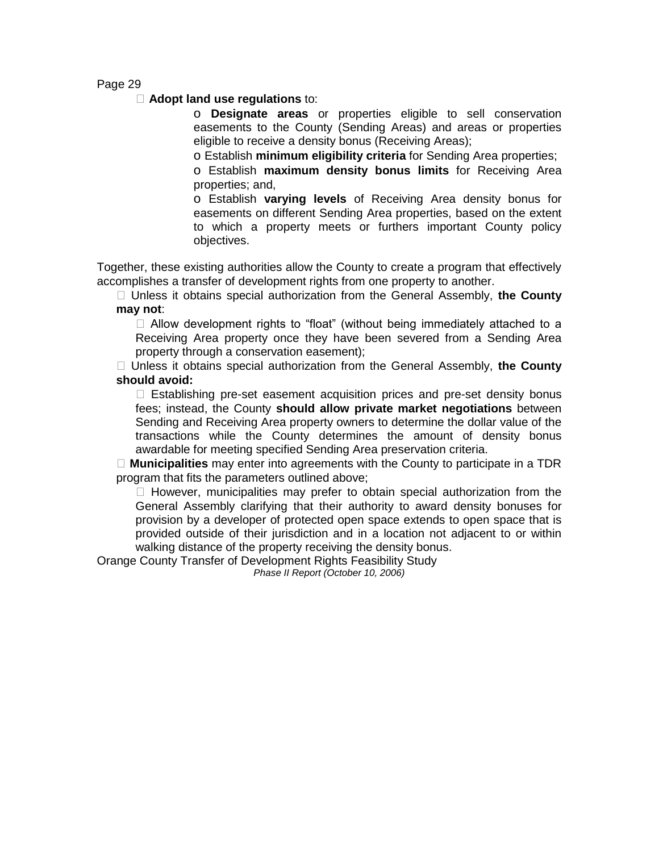## **Adopt land use regulations** to:

o **Designate areas** or properties eligible to sell conservation easements to the County (Sending Areas) and areas or properties eligible to receive a density bonus (Receiving Areas);

o Establish **minimum eligibility criteria** for Sending Area properties;

o Establish **maximum density bonus limits** for Receiving Area properties; and,

o Establish **varying levels** of Receiving Area density bonus for easements on different Sending Area properties, based on the extent to which a property meets or furthers important County policy objectives.

Together, these existing authorities allow the County to create a program that effectively accomplishes a transfer of development rights from one property to another.

 Unless it obtains special authorization from the General Assembly, **the County may not**:

 $\Box$  Allow development rights to "float" (without being immediately attached to a Receiving Area property once they have been severed from a Sending Area property through a conservation easement);

□ Unless it obtains special authorization from the General Assembly, the County **should avoid:** 

 $\Box$  Establishing pre-set easement acquisition prices and pre-set density bonus fees; instead, the County **should allow private market negotiations** between Sending and Receiving Area property owners to determine the dollar value of the transactions while the County determines the amount of density bonus awardable for meeting specified Sending Area preservation criteria.

 **Municipalities** may enter into agreements with the County to participate in a TDR program that fits the parameters outlined above;

 $\Box$  However, municipalities may prefer to obtain special authorization from the General Assembly clarifying that their authority to award density bonuses for provision by a developer of protected open space extends to open space that is provided outside of their jurisdiction and in a location not adjacent to or within walking distance of the property receiving the density bonus.

Orange County Transfer of Development Rights Feasibility Study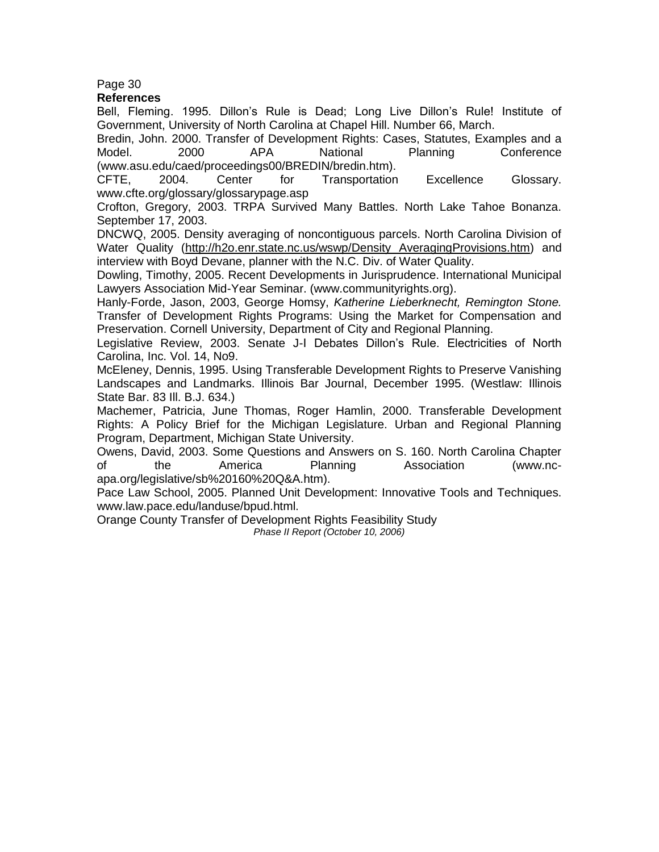**References** 

Bell, Fleming. 1995. Dillon's Rule is Dead; Long Live Dillon's Rule! Institute of Government, University of North Carolina at Chapel Hill. Number 66, March.

Bredin, John. 2000. Transfer of Development Rights: Cases, Statutes, Examples and a Model. 2000 APA National Planning Conference (www.asu.edu/caed/proceedings00/BREDIN/bredin.htm).

CFTE, 2004. Center for Transportation Excellence Glossary. www.cfte.org/glossary/glossarypage.asp

Crofton, Gregory, 2003. TRPA Survived Many Battles. North Lake Tahoe Bonanza. September 17, 2003.

DNCWQ, 2005. Density averaging of noncontiguous parcels. North Carolina Division of Water Quality (http://h2o.enr.state.nc.us/wswp/Density AveragingProvisions.htm) and interview with Boyd Devane, planner with the N.C. Div. of Water Quality.

Dowling, Timothy, 2005. Recent Developments in Jurisprudence. International Municipal Lawyers Association Mid-Year Seminar. (www.communityrights.org).

Hanly-Forde, Jason, 2003, George Homsy, *Katherine Lieberknecht, Remington Stone.*  Transfer of Development Rights Programs: Using the Market for Compensation and Preservation. Cornell University, Department of City and Regional Planning.

Legislative Review, 2003. Senate J-I Debates Dillon's Rule. Electricities of North Carolina, Inc. Vol. 14, No9.

McEleney, Dennis, 1995. Using Transferable Development Rights to Preserve Vanishing Landscapes and Landmarks. Illinois Bar Journal, December 1995. (Westlaw: Illinois State Bar. 83 Ill. B.J. 634.)

Machemer, Patricia, June Thomas, Roger Hamlin, 2000. Transferable Development Rights: A Policy Brief for the Michigan Legislature. Urban and Regional Planning Program, Department, Michigan State University.

Owens, David, 2003. Some Questions and Answers on S. 160. North Carolina Chapter of the America Planning Association (www.ncapa.org/legislative/sb%20160%20Q&A.htm).

Pace Law School, 2005. Planned Unit Development: Innovative Tools and Techniques. www.law.pace.edu/landuse/bpud.html.

Orange County Transfer of Development Rights Feasibility Study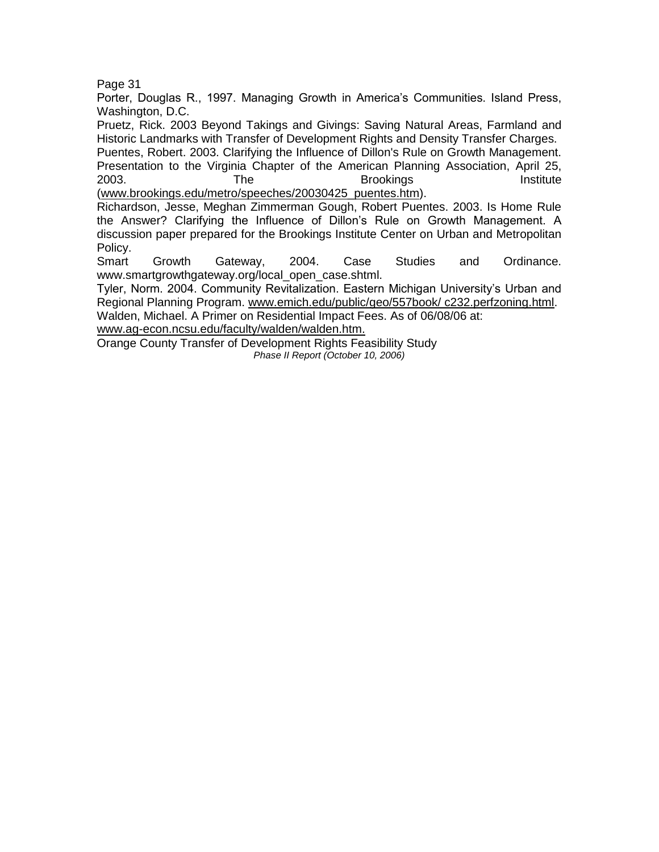Porter, Douglas R., 1997. Managing Growth in America's Communities. Island Press, Washington, D.C.

Pruetz, Rick. 2003 Beyond Takings and Givings: Saving Natural Areas, Farmland and Historic Landmarks with Transfer of Development Rights and Density Transfer Charges. Puentes, Robert. 2003. Clarifying the Influence of Dillon's Rule on Growth Management. Presentation to the Virginia Chapter of the American Planning Association, April 25, 2003. The Brookings Institute Institute

(www.brookings.edu/metro/speeches/20030425\_puentes.htm).

Richardson, Jesse, Meghan Zimmerman Gough, Robert Puentes. 2003. Is Home Rule the Answer? Clarifying the Influence of Dillon's Rule on Growth Management. A discussion paper prepared for the Brookings Institute Center on Urban and Metropolitan Policy.

Smart Growth Gateway, 2004. Case Studies and Ordinance. www.smartgrowthgateway.org/local\_open\_case.shtml.

Tyler, Norm. 2004. Community Revitalization. Eastern Michigan University's Urban and Regional Planning Program. www.emich.edu/public/geo/557book/ c232.perfzoning.html. Walden, Michael. A Primer on Residential Impact Fees. As of 06/08/06 at:

www.ag-econ.ncsu.edu/faculty/walden/walden.htm.

Orange County Transfer of Development Rights Feasibility Study *Phase II Report (October 10, 2006)*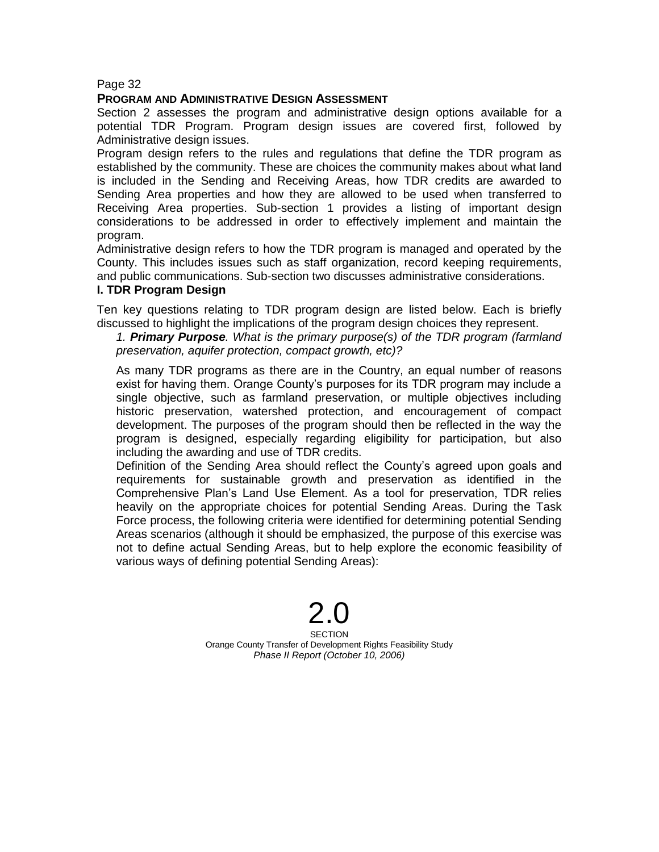### **PROGRAM AND ADMINISTRATIVE DESIGN ASSESSMENT**

Section 2 assesses the program and administrative design options available for a potential TDR Program. Program design issues are covered first, followed by Administrative design issues.

Program design refers to the rules and regulations that define the TDR program as established by the community. These are choices the community makes about what land is included in the Sending and Receiving Areas, how TDR credits are awarded to Sending Area properties and how they are allowed to be used when transferred to Receiving Area properties. Sub-section 1 provides a listing of important design considerations to be addressed in order to effectively implement and maintain the program.

Administrative design refers to how the TDR program is managed and operated by the County. This includes issues such as staff organization, record keeping requirements, and public communications. Sub-section two discusses administrative considerations.

## **I. TDR Program Design**

Ten key questions relating to TDR program design are listed below. Each is briefly discussed to highlight the implications of the program design choices they represent.

*1. Primary Purpose. What is the primary purpose(s) of the TDR program (farmland preservation, aquifer protection, compact growth, etc)?* 

As many TDR programs as there are in the Country, an equal number of reasons exist for having them. Orange County's purposes for its TDR program may include a single objective, such as farmland preservation, or multiple objectives including historic preservation, watershed protection, and encouragement of compact development. The purposes of the program should then be reflected in the way the program is designed, especially regarding eligibility for participation, but also including the awarding and use of TDR credits.

Definition of the Sending Area should reflect the County's agreed upon goals and requirements for sustainable growth and preservation as identified in the Comprehensive Plan's Land Use Element. As a tool for preservation, TDR relies heavily on the appropriate choices for potential Sending Areas. During the Task Force process, the following criteria were identified for determining potential Sending Areas scenarios (although it should be emphasized, the purpose of this exercise was not to define actual Sending Areas, but to help explore the economic feasibility of various ways of defining potential Sending Areas):

# 2.0

**SECTION** Orange County Transfer of Development Rights Feasibility Study *Phase II Report (October 10, 2006)*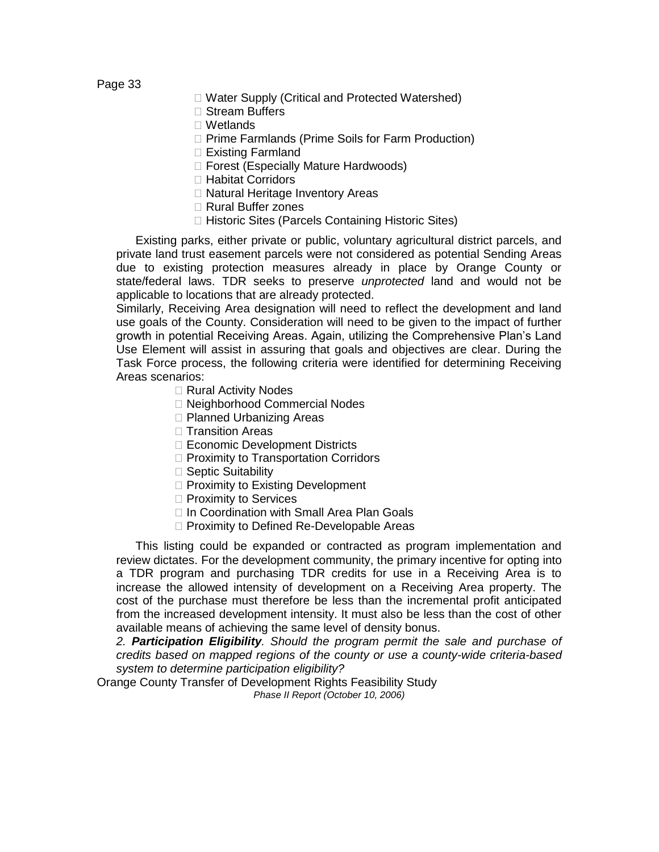- Water Supply (Critical and Protected Watershed)
- Stream Buffers
- □ Wetlands
- $\Box$  Prime Farmlands (Prime Soils for Farm Production)
- $\Box$  Existing Farmland
- □ Forest (Especially Mature Hardwoods)
- □ Habitat Corridors
- □ Natural Heritage Inventory Areas
- Rural Buffer zones
- □ Historic Sites (Parcels Containing Historic Sites)

Existing parks, either private or public, voluntary agricultural district parcels, and private land trust easement parcels were not considered as potential Sending Areas due to existing protection measures already in place by Orange County or state/federal laws. TDR seeks to preserve *unprotected* land and would not be applicable to locations that are already protected.

Similarly, Receiving Area designation will need to reflect the development and land use goals of the County. Consideration will need to be given to the impact of further growth in potential Receiving Areas. Again, utilizing the Comprehensive Plan's Land Use Element will assist in assuring that goals and objectives are clear. During the Task Force process, the following criteria were identified for determining Receiving Areas scenarios:

- □ Rural Activity Nodes
- □ Neighborhood Commercial Nodes
- □ Planned Urbanizing Areas
- $\Box$  Transition Areas
- □ Economic Development Districts
- $\Box$  Proximity to Transportation Corridors
- $\square$  Septic Suitability
- $\Box$  Proximity to Existing Development
- $\Box$  Proximity to Services
- □ In Coordination with Small Area Plan Goals
- □ Proximity to Defined Re-Developable Areas

This listing could be expanded or contracted as program implementation and review dictates. For the development community, the primary incentive for opting into a TDR program and purchasing TDR credits for use in a Receiving Area is to increase the allowed intensity of development on a Receiving Area property. The cost of the purchase must therefore be less than the incremental profit anticipated from the increased development intensity. It must also be less than the cost of other available means of achieving the same level of density bonus.

*2. Participation Eligibility. Should the program permit the sale and purchase of credits based on mapped regions of the county or use a county-wide criteria-based system to determine participation eligibility?*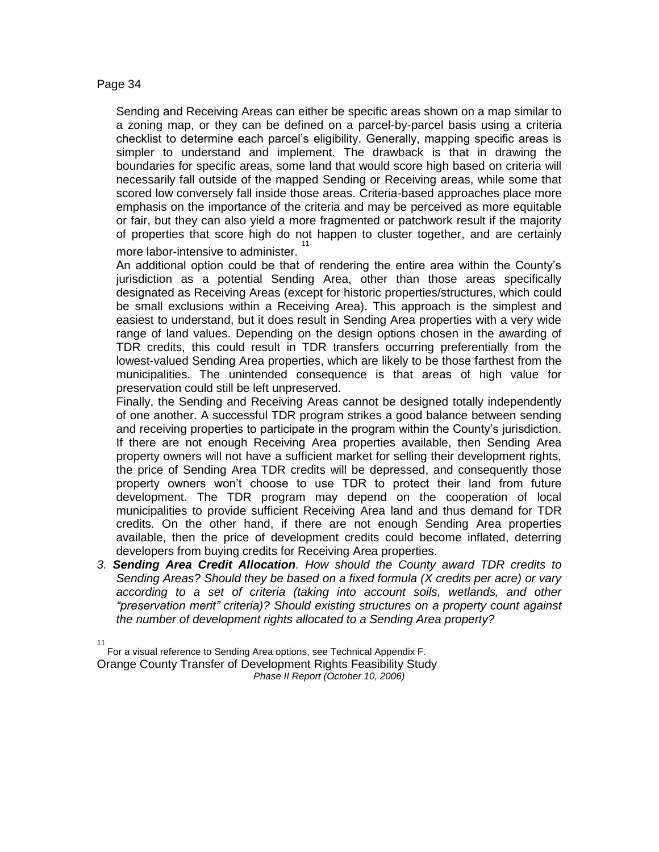Sending and Receiving Areas can either be specific areas shown on a map similar to a zoning map, or they can be defined on a parcel-by-parcel basis using a criteria checklist to determine each parcel's eligibility. Generally, mapping specific areas is simpler to understand and implement. The drawback is that in drawing the boundaries for specific areas, some land that would score high based on criteria will necessarily fall outside of the mapped Sending or Receiving areas, while some that scored low conversely fall inside those areas. Criteria-based approaches place more emphasis on the importance of the criteria and may be perceived as more equitable or fair, but they can also yield a more fragmented or patchwork result if the majority of properties that score high do not happen to cluster together, and are certainly more labor-intensive to administer. 11

An additional option could be that of rendering the entire area within the County's jurisdiction as a potential Sending Area, other than those areas specifically designated as Receiving Areas (except for historic properties/structures, which could be small exclusions within a Receiving Area). This approach is the simplest and easiest to understand, but it does result in Sending Area properties with a very wide range of land values. Depending on the design options chosen in the awarding of TDR credits, this could result in TDR transfers occurring preferentially from the lowest-valued Sending Area properties, which are likely to be those farthest from the municipalities. The unintended consequence is that areas of high value for preservation could still be left unpreserved.

Finally, the Sending and Receiving Areas cannot be designed totally independently of one another. A successful TDR program strikes a good balance between sending and receiving properties to participate in the program within the County's jurisdiction. If there are not enough Receiving Area properties available, then Sending Area property owners will not have a sufficient market for selling their development rights, the price of Sending Area TDR credits will be depressed, and consequently those property owners won't choose to use TDR to protect their land from future development. The TDR program may depend on the cooperation of local municipalities to provide sufficient Receiving Area land and thus demand for TDR credits. On the other hand, if there are not enough Sending Area properties available, then the price of development credits could become inflated, deterring developers from buying credits for Receiving Area properties.

*3. Sending Area Credit Allocation. How should the County award TDR credits to Sending Areas? Should they be based on a fixed formula (X credits per acre) or vary according to a set of criteria (taking into account soils, wetlands, and other "preservation merit" criteria)? Should existing structures on a property count against the number of development rights allocated to a Sending Area property?* 

11 For a visual reference to Sending Area options, see Technical Appendix F. Orange County Transfer of Development Rights Feasibility Study *Phase II Report (October 10, 2006)*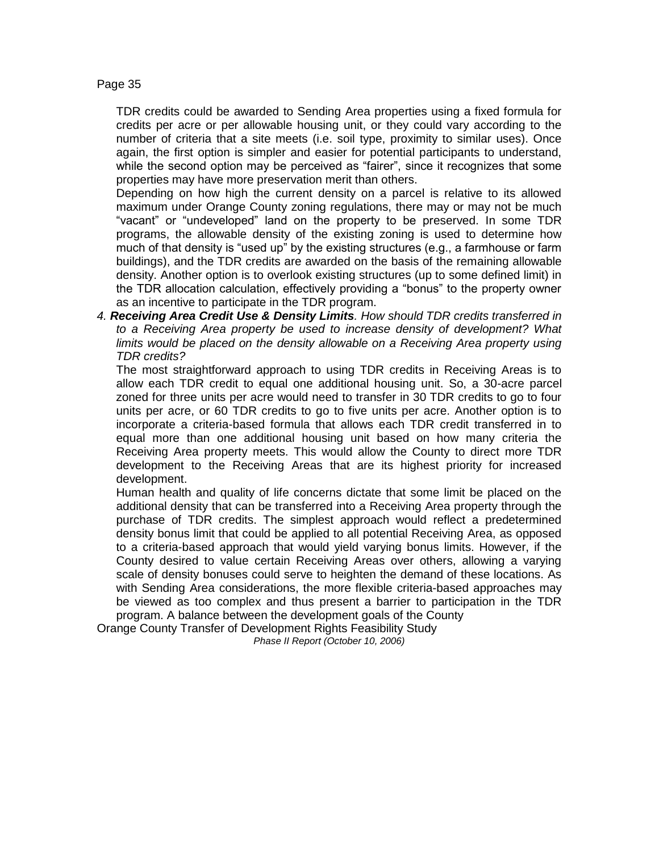TDR credits could be awarded to Sending Area properties using a fixed formula for credits per acre or per allowable housing unit, or they could vary according to the number of criteria that a site meets (i.e. soil type, proximity to similar uses). Once again, the first option is simpler and easier for potential participants to understand, while the second option may be perceived as "fairer", since it recognizes that some properties may have more preservation merit than others.

Depending on how high the current density on a parcel is relative to its allowed maximum under Orange County zoning regulations, there may or may not be much "vacant" or "undeveloped" land on the property to be preserved. In some TDR programs, the allowable density of the existing zoning is used to determine how much of that density is "used up" by the existing structures (e.g., a farmhouse or farm buildings), and the TDR credits are awarded on the basis of the remaining allowable density. Another option is to overlook existing structures (up to some defined limit) in the TDR allocation calculation, effectively providing a "bonus" to the property owner as an incentive to participate in the TDR program.

*4. Receiving Area Credit Use & Density Limits. How should TDR credits transferred in to a Receiving Area property be used to increase density of development? What limits would be placed on the density allowable on a Receiving Area property using TDR credits?* 

The most straightforward approach to using TDR credits in Receiving Areas is to allow each TDR credit to equal one additional housing unit. So, a 30-acre parcel zoned for three units per acre would need to transfer in 30 TDR credits to go to four units per acre, or 60 TDR credits to go to five units per acre. Another option is to incorporate a criteria-based formula that allows each TDR credit transferred in to equal more than one additional housing unit based on how many criteria the Receiving Area property meets. This would allow the County to direct more TDR development to the Receiving Areas that are its highest priority for increased development.

Human health and quality of life concerns dictate that some limit be placed on the additional density that can be transferred into a Receiving Area property through the purchase of TDR credits. The simplest approach would reflect a predetermined density bonus limit that could be applied to all potential Receiving Area, as opposed to a criteria-based approach that would yield varying bonus limits. However, if the County desired to value certain Receiving Areas over others, allowing a varying scale of density bonuses could serve to heighten the demand of these locations. As with Sending Area considerations, the more flexible criteria-based approaches may be viewed as too complex and thus present a barrier to participation in the TDR program. A balance between the development goals of the County

Orange County Transfer of Development Rights Feasibility Study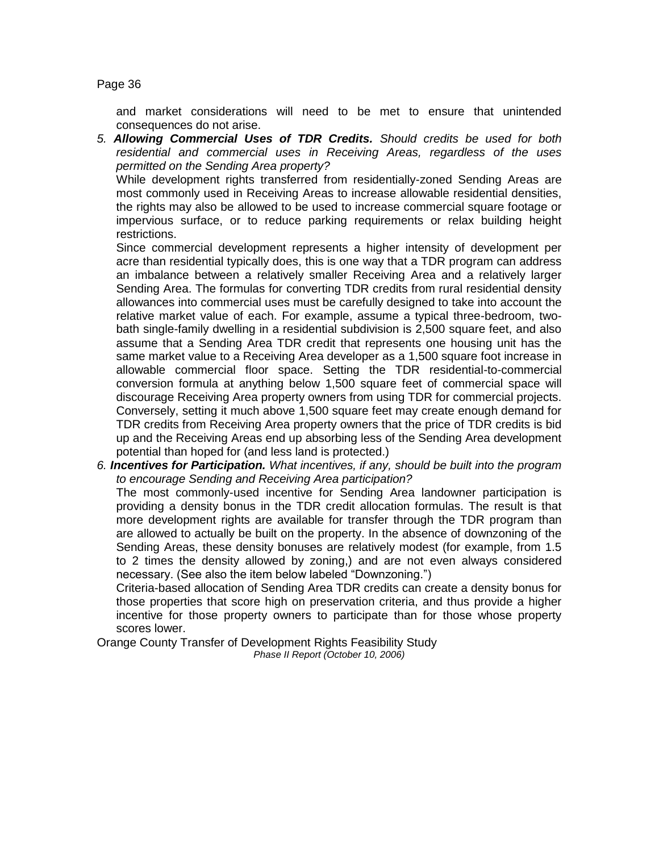and market considerations will need to be met to ensure that unintended consequences do not arise.

*5. Allowing Commercial Uses of TDR Credits. Should credits be used for both residential and commercial uses in Receiving Areas, regardless of the uses permitted on the Sending Area property?* 

While development rights transferred from residentially-zoned Sending Areas are most commonly used in Receiving Areas to increase allowable residential densities, the rights may also be allowed to be used to increase commercial square footage or impervious surface, or to reduce parking requirements or relax building height restrictions.

Since commercial development represents a higher intensity of development per acre than residential typically does, this is one way that a TDR program can address an imbalance between a relatively smaller Receiving Area and a relatively larger Sending Area. The formulas for converting TDR credits from rural residential density allowances into commercial uses must be carefully designed to take into account the relative market value of each. For example, assume a typical three-bedroom, twobath single-family dwelling in a residential subdivision is 2,500 square feet, and also assume that a Sending Area TDR credit that represents one housing unit has the same market value to a Receiving Area developer as a 1,500 square foot increase in allowable commercial floor space. Setting the TDR residential-to-commercial conversion formula at anything below 1,500 square feet of commercial space will discourage Receiving Area property owners from using TDR for commercial projects. Conversely, setting it much above 1,500 square feet may create enough demand for TDR credits from Receiving Area property owners that the price of TDR credits is bid up and the Receiving Areas end up absorbing less of the Sending Area development potential than hoped for (and less land is protected.)

*6. Incentives for Participation. What incentives, if any, should be built into the program to encourage Sending and Receiving Area participation?* 

The most commonly-used incentive for Sending Area landowner participation is providing a density bonus in the TDR credit allocation formulas. The result is that more development rights are available for transfer through the TDR program than are allowed to actually be built on the property. In the absence of downzoning of the Sending Areas, these density bonuses are relatively modest (for example, from 1.5 to 2 times the density allowed by zoning,) and are not even always considered necessary. (See also the item below labeled "Downzoning.")

Criteria-based allocation of Sending Area TDR credits can create a density bonus for those properties that score high on preservation criteria, and thus provide a higher incentive for those property owners to participate than for those whose property scores lower.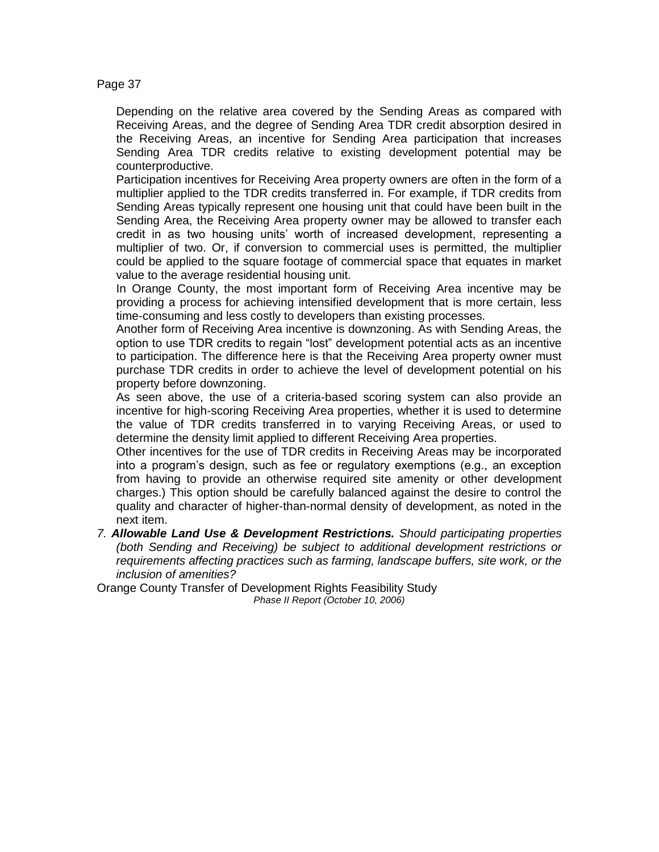Depending on the relative area covered by the Sending Areas as compared with Receiving Areas, and the degree of Sending Area TDR credit absorption desired in the Receiving Areas, an incentive for Sending Area participation that increases Sending Area TDR credits relative to existing development potential may be counterproductive.

Participation incentives for Receiving Area property owners are often in the form of a multiplier applied to the TDR credits transferred in. For example, if TDR credits from Sending Areas typically represent one housing unit that could have been built in the Sending Area, the Receiving Area property owner may be allowed to transfer each credit in as two housing units' worth of increased development, representing a multiplier of two. Or, if conversion to commercial uses is permitted, the multiplier could be applied to the square footage of commercial space that equates in market value to the average residential housing unit.

In Orange County, the most important form of Receiving Area incentive may be providing a process for achieving intensified development that is more certain, less time-consuming and less costly to developers than existing processes.

Another form of Receiving Area incentive is downzoning. As with Sending Areas, the option to use TDR credits to regain "lost" development potential acts as an incentive to participation. The difference here is that the Receiving Area property owner must purchase TDR credits in order to achieve the level of development potential on his property before downzoning.

As seen above, the use of a criteria-based scoring system can also provide an incentive for high-scoring Receiving Area properties, whether it is used to determine the value of TDR credits transferred in to varying Receiving Areas, or used to determine the density limit applied to different Receiving Area properties.

Other incentives for the use of TDR credits in Receiving Areas may be incorporated into a program's design, such as fee or regulatory exemptions (e.g., an exception from having to provide an otherwise required site amenity or other development charges.) This option should be carefully balanced against the desire to control the quality and character of higher-than-normal density of development, as noted in the next item.

*7. Allowable Land Use & Development Restrictions. Should participating properties (both Sending and Receiving) be subject to additional development restrictions or requirements affecting practices such as farming, landscape buffers, site work, or the inclusion of amenities?*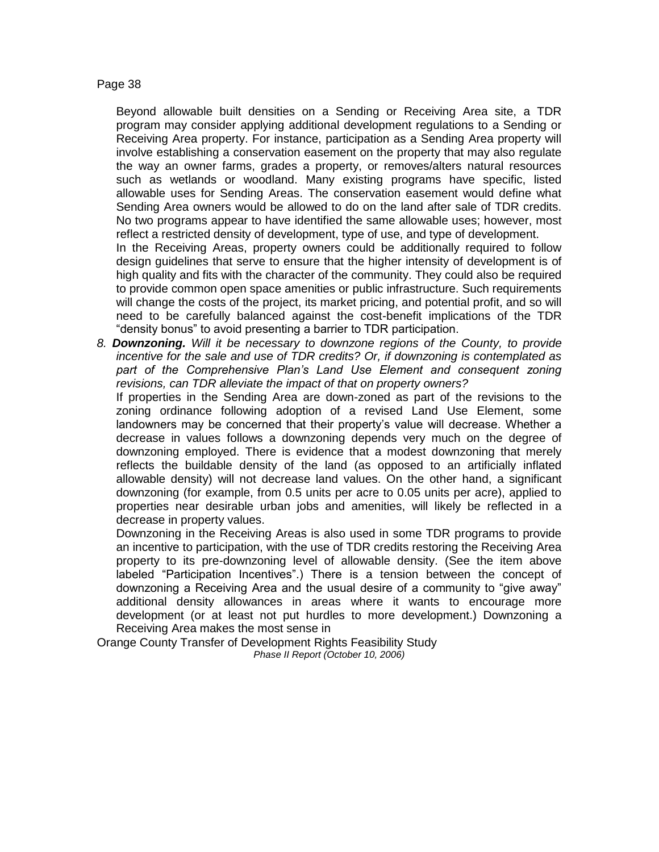Beyond allowable built densities on a Sending or Receiving Area site, a TDR program may consider applying additional development regulations to a Sending or Receiving Area property. For instance, participation as a Sending Area property will involve establishing a conservation easement on the property that may also regulate the way an owner farms, grades a property, or removes/alters natural resources such as wetlands or woodland. Many existing programs have specific, listed allowable uses for Sending Areas. The conservation easement would define what Sending Area owners would be allowed to do on the land after sale of TDR credits. No two programs appear to have identified the same allowable uses; however, most reflect a restricted density of development, type of use, and type of development.

In the Receiving Areas, property owners could be additionally required to follow design guidelines that serve to ensure that the higher intensity of development is of high quality and fits with the character of the community. They could also be required to provide common open space amenities or public infrastructure. Such requirements will change the costs of the project, its market pricing, and potential profit, and so will need to be carefully balanced against the cost-benefit implications of the TDR "density bonus" to avoid presenting a barrier to TDR participation.

*8. Downzoning. Will it be necessary to downzone regions of the County, to provide incentive for the sale and use of TDR credits? Or, if downzoning is contemplated as part of the Comprehensive Plan's Land Use Element and consequent zoning revisions, can TDR alleviate the impact of that on property owners?* 

If properties in the Sending Area are down-zoned as part of the revisions to the zoning ordinance following adoption of a revised Land Use Element, some landowners may be concerned that their property's value will decrease. Whether a decrease in values follows a downzoning depends very much on the degree of downzoning employed. There is evidence that a modest downzoning that merely reflects the buildable density of the land (as opposed to an artificially inflated allowable density) will not decrease land values. On the other hand, a significant downzoning (for example, from 0.5 units per acre to 0.05 units per acre), applied to properties near desirable urban jobs and amenities, will likely be reflected in a decrease in property values.

Downzoning in the Receiving Areas is also used in some TDR programs to provide an incentive to participation, with the use of TDR credits restoring the Receiving Area property to its pre-downzoning level of allowable density. (See the item above labeled "Participation Incentives".) There is a tension between the concept of downzoning a Receiving Area and the usual desire of a community to "give away" additional density allowances in areas where it wants to encourage more development (or at least not put hurdles to more development.) Downzoning a Receiving Area makes the most sense in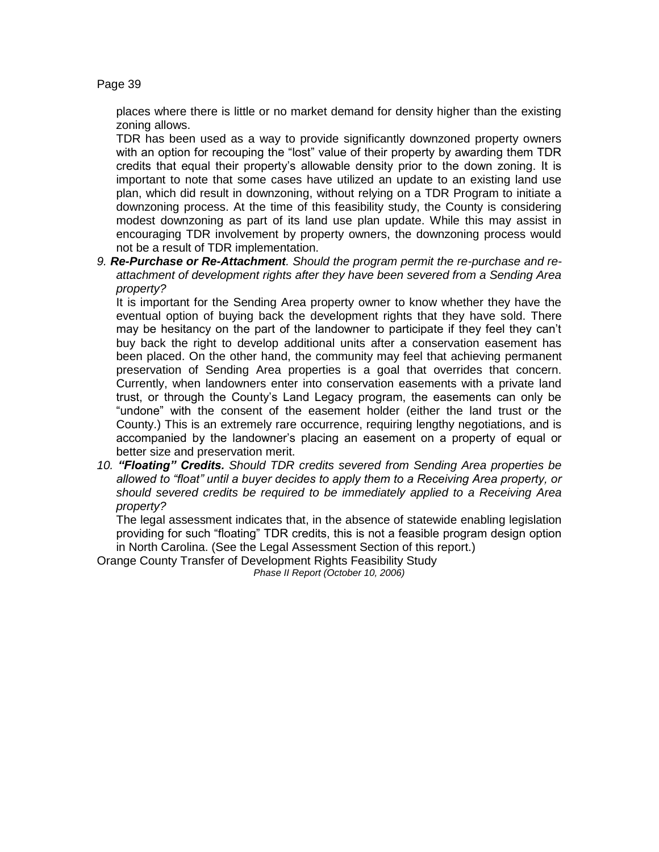places where there is little or no market demand for density higher than the existing zoning allows.

TDR has been used as a way to provide significantly downzoned property owners with an option for recouping the "lost" value of their property by awarding them TDR credits that equal their property's allowable density prior to the down zoning. It is important to note that some cases have utilized an update to an existing land use plan, which did result in downzoning, without relying on a TDR Program to initiate a downzoning process. At the time of this feasibility study, the County is considering modest downzoning as part of its land use plan update. While this may assist in encouraging TDR involvement by property owners, the downzoning process would not be a result of TDR implementation.

*9. Re-Purchase or Re-Attachment. Should the program permit the re-purchase and reattachment of development rights after they have been severed from a Sending Area property?* 

It is important for the Sending Area property owner to know whether they have the eventual option of buying back the development rights that they have sold. There may be hesitancy on the part of the landowner to participate if they feel they can't buy back the right to develop additional units after a conservation easement has been placed. On the other hand, the community may feel that achieving permanent preservation of Sending Area properties is a goal that overrides that concern. Currently, when landowners enter into conservation easements with a private land trust, or through the County's Land Legacy program, the easements can only be "undone" with the consent of the easement holder (either the land trust or the County.) This is an extremely rare occurrence, requiring lengthy negotiations, and is accompanied by the landowner's placing an easement on a property of equal or better size and preservation merit.

*10. "Floating" Credits. Should TDR credits severed from Sending Area properties be allowed to "float" until a buyer decides to apply them to a Receiving Area property, or should severed credits be required to be immediately applied to a Receiving Area property?* 

The legal assessment indicates that, in the absence of statewide enabling legislation providing for such "floating" TDR credits, this is not a feasible program design option in North Carolina. (See the Legal Assessment Section of this report.)

Orange County Transfer of Development Rights Feasibility Study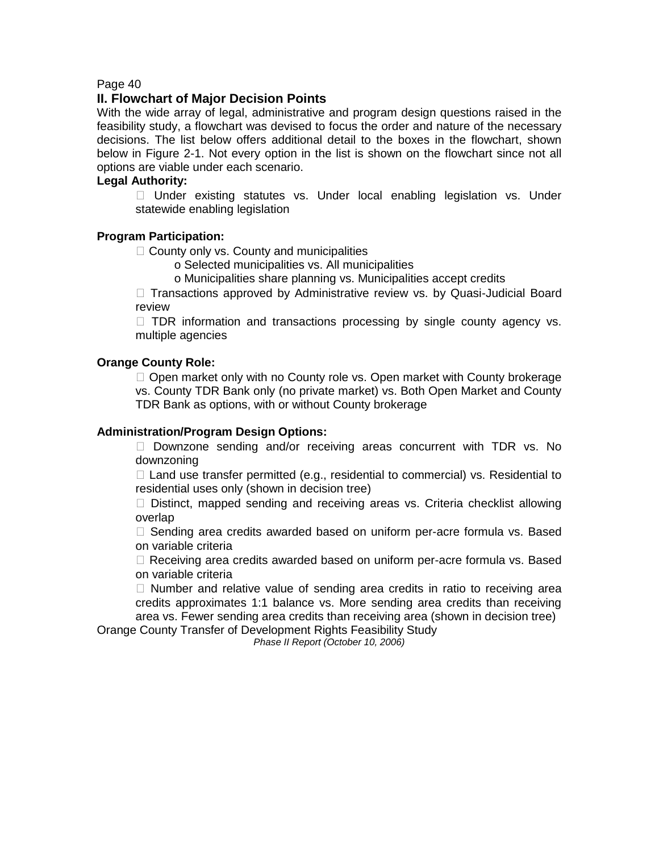# **II. Flowchart of Major Decision Points**

With the wide array of legal, administrative and program design questions raised in the feasibility study, a flowchart was devised to focus the order and nature of the necessary decisions. The list below offers additional detail to the boxes in the flowchart, shown below in Figure 2-1. Not every option in the list is shown on the flowchart since not all options are viable under each scenario.

# **Legal Authority:**

□ Under existing statutes vs. Under local enabling legislation vs. Under statewide enabling legislation

#### **Program Participation:**

 $\Box$  County only vs. County and municipalities

o Selected municipalities vs. All municipalities

o Municipalities share planning vs. Municipalities accept credits

 $\Box$  Transactions approved by Administrative review vs. by Quasi-Judicial Board review

 $\Box$  TDR information and transactions processing by single county agency vs. multiple agencies

#### **Orange County Role:**

 $\Box$  Open market only with no County role vs. Open market with County brokerage vs. County TDR Bank only (no private market) vs. Both Open Market and County TDR Bank as options, with or without County brokerage

#### **Administration/Program Design Options:**

 $\Box$  Downzone sending and/or receiving areas concurrent with TDR vs. No downzoning

 $\Box$  Land use transfer permitted (e.g., residential to commercial) vs. Residential to residential uses only (shown in decision tree)

 $\Box$  Distinct, mapped sending and receiving areas vs. Criteria checklist allowing overlap

 $\Box$  Sending area credits awarded based on uniform per-acre formula vs. Based on variable criteria

 $\Box$  Receiving area credits awarded based on uniform per-acre formula vs. Based on variable criteria

 $\Box$  Number and relative value of sending area credits in ratio to receiving area credits approximates 1:1 balance vs. More sending area credits than receiving area vs. Fewer sending area credits than receiving area (shown in decision tree)

Orange County Transfer of Development Rights Feasibility Study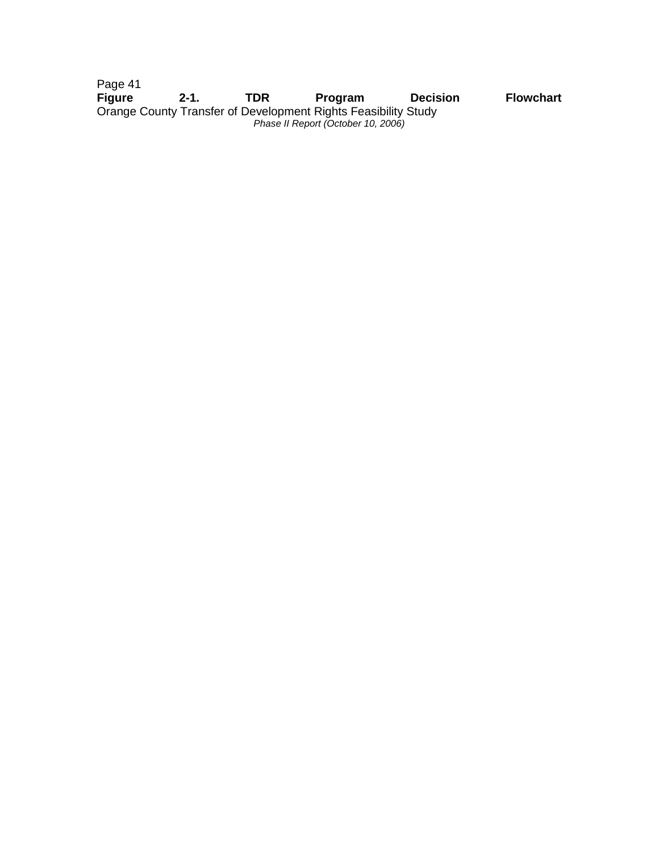Page 41 **Figure 2-1. TDR Program Decision Flowchart**  Orange County Transfer of Development Rights Feasibility Study *Phase II Report (October 10, 2006)*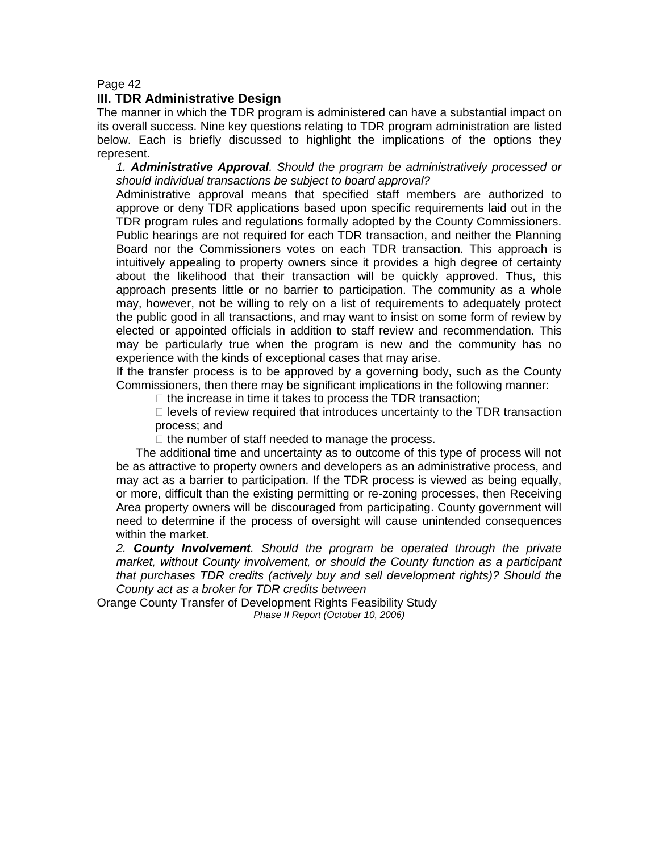#### **III. TDR Administrative Design**

The manner in which the TDR program is administered can have a substantial impact on its overall success. Nine key questions relating to TDR program administration are listed below. Each is briefly discussed to highlight the implications of the options they represent.

*1. Administrative Approval. Should the program be administratively processed or should individual transactions be subject to board approval?* 

Administrative approval means that specified staff members are authorized to approve or deny TDR applications based upon specific requirements laid out in the TDR program rules and regulations formally adopted by the County Commissioners. Public hearings are not required for each TDR transaction, and neither the Planning Board nor the Commissioners votes on each TDR transaction. This approach is intuitively appealing to property owners since it provides a high degree of certainty about the likelihood that their transaction will be quickly approved. Thus, this approach presents little or no barrier to participation. The community as a whole may, however, not be willing to rely on a list of requirements to adequately protect the public good in all transactions, and may want to insist on some form of review by elected or appointed officials in addition to staff review and recommendation. This may be particularly true when the program is new and the community has no experience with the kinds of exceptional cases that may arise.

If the transfer process is to be approved by a governing body, such as the County Commissioners, then there may be significant implications in the following manner:

 $\Box$  the increase in time it takes to process the TDR transaction;

 $\Box$  levels of review required that introduces uncertainty to the TDR transaction process; and

 $\Box$  the number of staff needed to manage the process.

The additional time and uncertainty as to outcome of this type of process will not be as attractive to property owners and developers as an administrative process, and may act as a barrier to participation. If the TDR process is viewed as being equally, or more, difficult than the existing permitting or re-zoning processes, then Receiving Area property owners will be discouraged from participating. County government will need to determine if the process of oversight will cause unintended consequences within the market.

*2. County Involvement. Should the program be operated through the private market, without County involvement, or should the County function as a participant that purchases TDR credits (actively buy and sell development rights)? Should the County act as a broker for TDR credits between*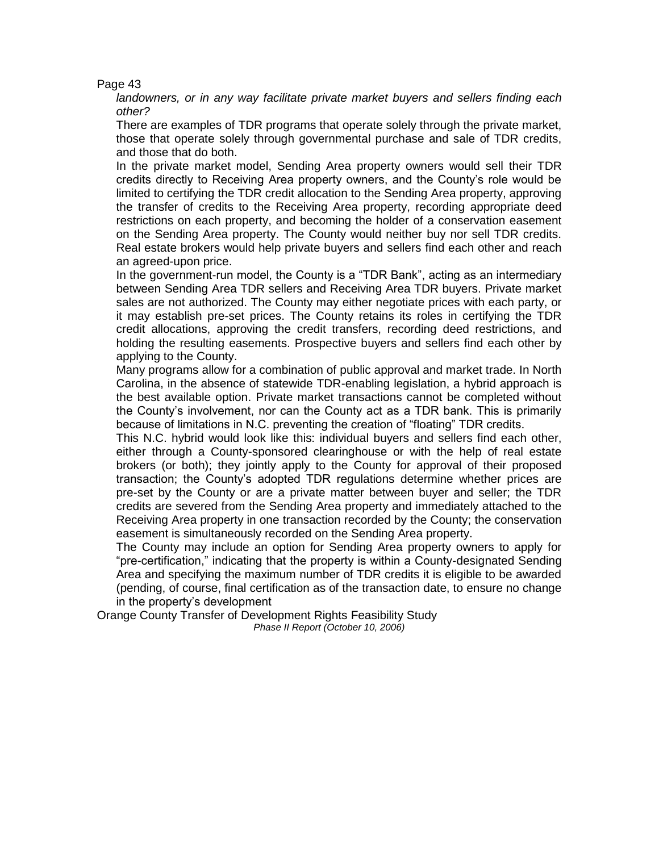*landowners, or in any way facilitate private market buyers and sellers finding each other?* 

There are examples of TDR programs that operate solely through the private market, those that operate solely through governmental purchase and sale of TDR credits, and those that do both.

In the private market model, Sending Area property owners would sell their TDR credits directly to Receiving Area property owners, and the County's role would be limited to certifying the TDR credit allocation to the Sending Area property, approving the transfer of credits to the Receiving Area property, recording appropriate deed restrictions on each property, and becoming the holder of a conservation easement on the Sending Area property. The County would neither buy nor sell TDR credits. Real estate brokers would help private buyers and sellers find each other and reach an agreed-upon price.

In the government-run model, the County is a "TDR Bank", acting as an intermediary between Sending Area TDR sellers and Receiving Area TDR buyers. Private market sales are not authorized. The County may either negotiate prices with each party, or it may establish pre-set prices. The County retains its roles in certifying the TDR credit allocations, approving the credit transfers, recording deed restrictions, and holding the resulting easements. Prospective buyers and sellers find each other by applying to the County.

Many programs allow for a combination of public approval and market trade. In North Carolina, in the absence of statewide TDR-enabling legislation, a hybrid approach is the best available option. Private market transactions cannot be completed without the County's involvement, nor can the County act as a TDR bank. This is primarily because of limitations in N.C. preventing the creation of "floating" TDR credits.

This N.C. hybrid would look like this: individual buyers and sellers find each other, either through a County-sponsored clearinghouse or with the help of real estate brokers (or both); they jointly apply to the County for approval of their proposed transaction; the County's adopted TDR regulations determine whether prices are pre-set by the County or are a private matter between buyer and seller; the TDR credits are severed from the Sending Area property and immediately attached to the Receiving Area property in one transaction recorded by the County; the conservation easement is simultaneously recorded on the Sending Area property.

The County may include an option for Sending Area property owners to apply for "pre-certification," indicating that the property is within a County-designated Sending Area and specifying the maximum number of TDR credits it is eligible to be awarded (pending, of course, final certification as of the transaction date, to ensure no change in the property's development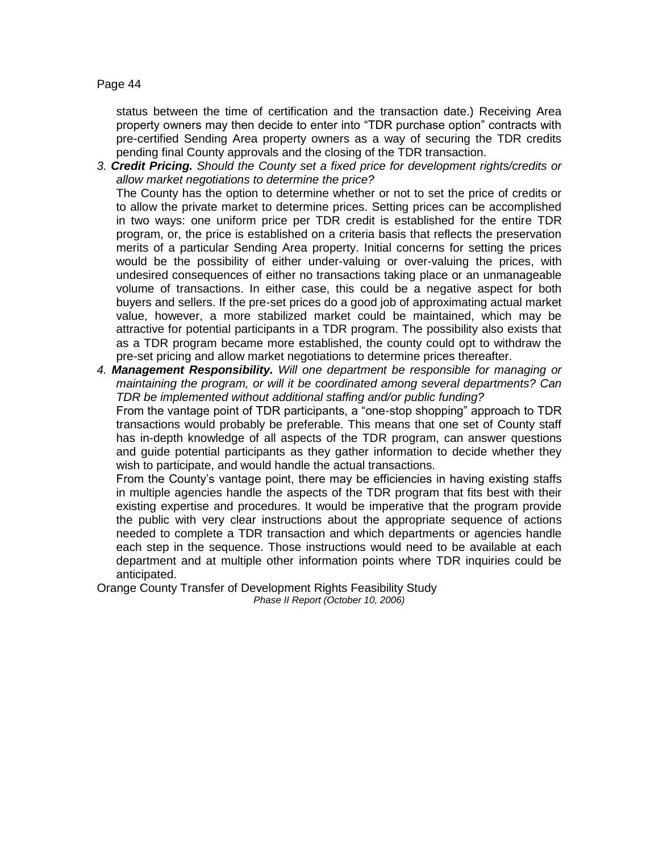status between the time of certification and the transaction date.) Receiving Area property owners may then decide to enter into "TDR purchase option" contracts with pre-certified Sending Area property owners as a way of securing the TDR credits pending final County approvals and the closing of the TDR transaction.

*3. Credit Pricing. Should the County set a fixed price for development rights/credits or allow market negotiations to determine the price?* 

The County has the option to determine whether or not to set the price of credits or to allow the private market to determine prices. Setting prices can be accomplished in two ways: one uniform price per TDR credit is established for the entire TDR program, or, the price is established on a criteria basis that reflects the preservation merits of a particular Sending Area property. Initial concerns for setting the prices would be the possibility of either under-valuing or over-valuing the prices, with undesired consequences of either no transactions taking place or an unmanageable volume of transactions. In either case, this could be a negative aspect for both buyers and sellers. If the pre-set prices do a good job of approximating actual market value, however, a more stabilized market could be maintained, which may be attractive for potential participants in a TDR program. The possibility also exists that as a TDR program became more established, the county could opt to withdraw the pre-set pricing and allow market negotiations to determine prices thereafter.

*4. Management Responsibility. Will one department be responsible for managing or maintaining the program, or will it be coordinated among several departments? Can TDR be implemented without additional staffing and/or public funding?* 

From the vantage point of TDR participants, a "one-stop shopping" approach to TDR transactions would probably be preferable. This means that one set of County staff has in-depth knowledge of all aspects of the TDR program, can answer questions and guide potential participants as they gather information to decide whether they wish to participate, and would handle the actual transactions.

From the County's vantage point, there may be efficiencies in having existing staffs in multiple agencies handle the aspects of the TDR program that fits best with their existing expertise and procedures. It would be imperative that the program provide the public with very clear instructions about the appropriate sequence of actions needed to complete a TDR transaction and which departments or agencies handle each step in the sequence. Those instructions would need to be available at each department and at multiple other information points where TDR inquiries could be anticipated.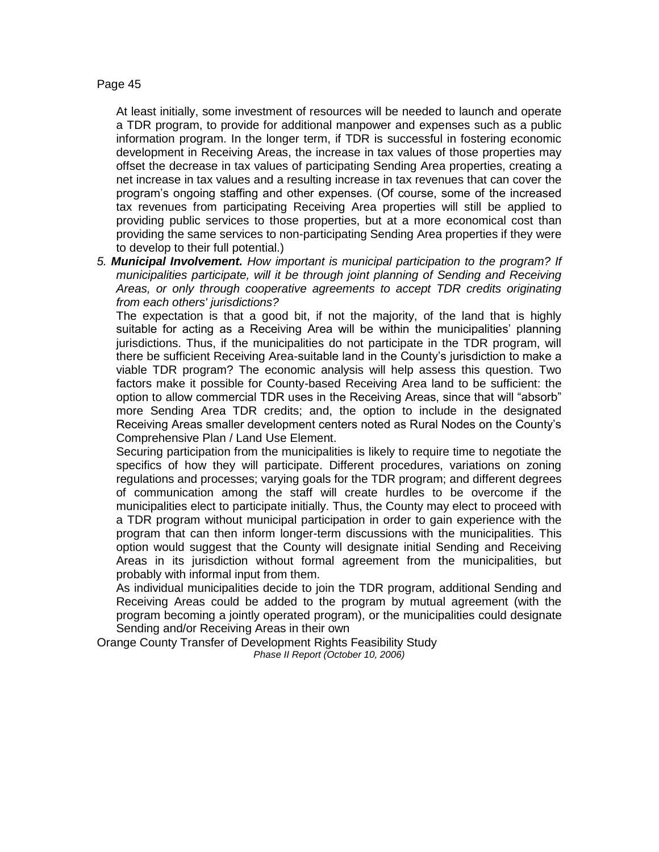At least initially, some investment of resources will be needed to launch and operate a TDR program, to provide for additional manpower and expenses such as a public information program. In the longer term, if TDR is successful in fostering economic development in Receiving Areas, the increase in tax values of those properties may offset the decrease in tax values of participating Sending Area properties, creating a net increase in tax values and a resulting increase in tax revenues that can cover the program's ongoing staffing and other expenses. (Of course, some of the increased tax revenues from participating Receiving Area properties will still be applied to providing public services to those properties, but at a more economical cost than providing the same services to non-participating Sending Area properties if they were to develop to their full potential.)

*5. Municipal Involvement. How important is municipal participation to the program? If municipalities participate, will it be through joint planning of Sending and Receiving Areas, or only through cooperative agreements to accept TDR credits originating from each others' jurisdictions?* 

The expectation is that a good bit, if not the majority, of the land that is highly suitable for acting as a Receiving Area will be within the municipalities' planning jurisdictions. Thus, if the municipalities do not participate in the TDR program, will there be sufficient Receiving Area-suitable land in the County's jurisdiction to make a viable TDR program? The economic analysis will help assess this question. Two factors make it possible for County-based Receiving Area land to be sufficient: the option to allow commercial TDR uses in the Receiving Areas, since that will "absorb" more Sending Area TDR credits; and, the option to include in the designated Receiving Areas smaller development centers noted as Rural Nodes on the County's Comprehensive Plan / Land Use Element.

Securing participation from the municipalities is likely to require time to negotiate the specifics of how they will participate. Different procedures, variations on zoning regulations and processes; varying goals for the TDR program; and different degrees of communication among the staff will create hurdles to be overcome if the municipalities elect to participate initially. Thus, the County may elect to proceed with a TDR program without municipal participation in order to gain experience with the program that can then inform longer-term discussions with the municipalities. This option would suggest that the County will designate initial Sending and Receiving Areas in its jurisdiction without formal agreement from the municipalities, but probably with informal input from them.

As individual municipalities decide to join the TDR program, additional Sending and Receiving Areas could be added to the program by mutual agreement (with the program becoming a jointly operated program), or the municipalities could designate Sending and/or Receiving Areas in their own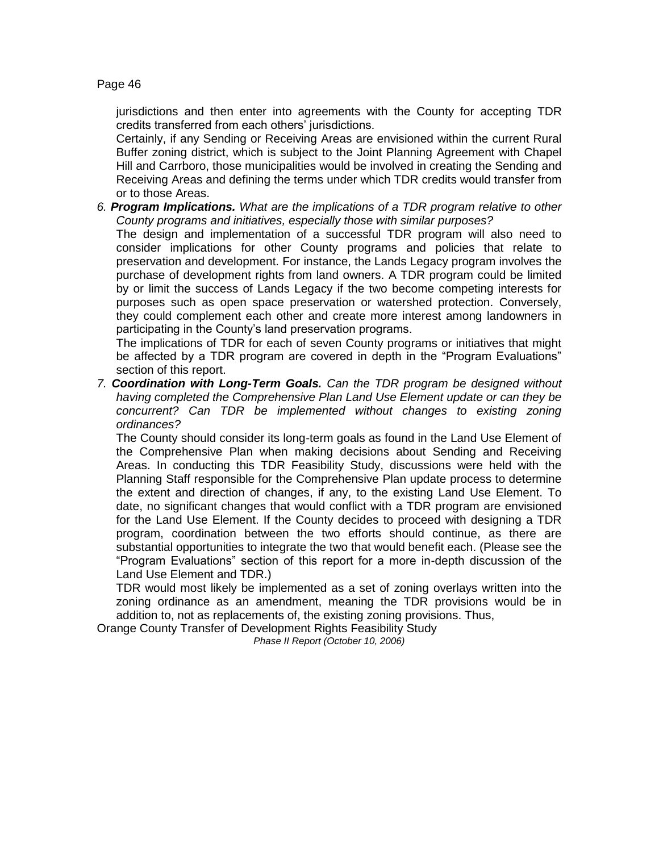jurisdictions and then enter into agreements with the County for accepting TDR credits transferred from each others' jurisdictions.

Certainly, if any Sending or Receiving Areas are envisioned within the current Rural Buffer zoning district, which is subject to the Joint Planning Agreement with Chapel Hill and Carrboro, those municipalities would be involved in creating the Sending and Receiving Areas and defining the terms under which TDR credits would transfer from or to those Areas.

*6. Program Implications. What are the implications of a TDR program relative to other County programs and initiatives, especially those with similar purposes?* 

The design and implementation of a successful TDR program will also need to consider implications for other County programs and policies that relate to preservation and development. For instance, the Lands Legacy program involves the purchase of development rights from land owners. A TDR program could be limited by or limit the success of Lands Legacy if the two become competing interests for purposes such as open space preservation or watershed protection. Conversely, they could complement each other and create more interest among landowners in participating in the County's land preservation programs.

The implications of TDR for each of seven County programs or initiatives that might be affected by a TDR program are covered in depth in the "Program Evaluations" section of this report.

*7. Coordination with Long-Term Goals. Can the TDR program be designed without having completed the Comprehensive Plan Land Use Element update or can they be concurrent? Can TDR be implemented without changes to existing zoning ordinances?* 

The County should consider its long-term goals as found in the Land Use Element of the Comprehensive Plan when making decisions about Sending and Receiving Areas. In conducting this TDR Feasibility Study, discussions were held with the Planning Staff responsible for the Comprehensive Plan update process to determine the extent and direction of changes, if any, to the existing Land Use Element. To date, no significant changes that would conflict with a TDR program are envisioned for the Land Use Element. If the County decides to proceed with designing a TDR program, coordination between the two efforts should continue, as there are substantial opportunities to integrate the two that would benefit each. (Please see the "Program Evaluations" section of this report for a more in-depth discussion of the Land Use Element and TDR.)

TDR would most likely be implemented as a set of zoning overlays written into the zoning ordinance as an amendment, meaning the TDR provisions would be in addition to, not as replacements of, the existing zoning provisions. Thus,

Orange County Transfer of Development Rights Feasibility Study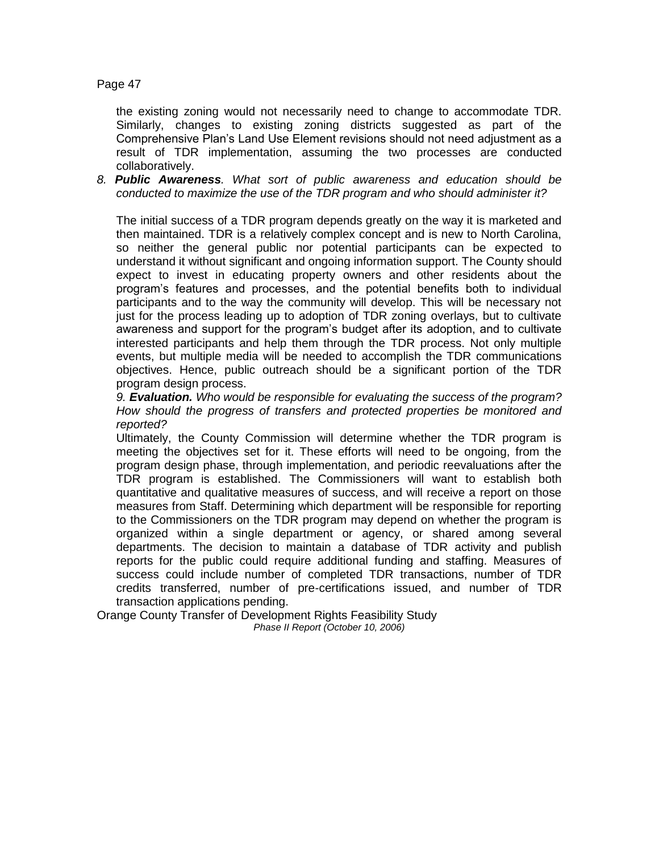the existing zoning would not necessarily need to change to accommodate TDR. Similarly, changes to existing zoning districts suggested as part of the Comprehensive Plan's Land Use Element revisions should not need adjustment as a result of TDR implementation, assuming the two processes are conducted collaboratively.

*8. Public Awareness. What sort of public awareness and education should be conducted to maximize the use of the TDR program and who should administer it?* 

The initial success of a TDR program depends greatly on the way it is marketed and then maintained. TDR is a relatively complex concept and is new to North Carolina, so neither the general public nor potential participants can be expected to understand it without significant and ongoing information support. The County should expect to invest in educating property owners and other residents about the program's features and processes, and the potential benefits both to individual participants and to the way the community will develop. This will be necessary not just for the process leading up to adoption of TDR zoning overlays, but to cultivate awareness and support for the program's budget after its adoption, and to cultivate interested participants and help them through the TDR process. Not only multiple events, but multiple media will be needed to accomplish the TDR communications objectives. Hence, public outreach should be a significant portion of the TDR program design process.

*9. Evaluation. Who would be responsible for evaluating the success of the program? How should the progress of transfers and protected properties be monitored and reported?* 

Ultimately, the County Commission will determine whether the TDR program is meeting the objectives set for it. These efforts will need to be ongoing, from the program design phase, through implementation, and periodic reevaluations after the TDR program is established. The Commissioners will want to establish both quantitative and qualitative measures of success, and will receive a report on those measures from Staff. Determining which department will be responsible for reporting to the Commissioners on the TDR program may depend on whether the program is organized within a single department or agency, or shared among several departments. The decision to maintain a database of TDR activity and publish reports for the public could require additional funding and staffing. Measures of success could include number of completed TDR transactions, number of TDR credits transferred, number of pre-certifications issued, and number of TDR transaction applications pending.

Orange County Transfer of Development Rights Feasibility Study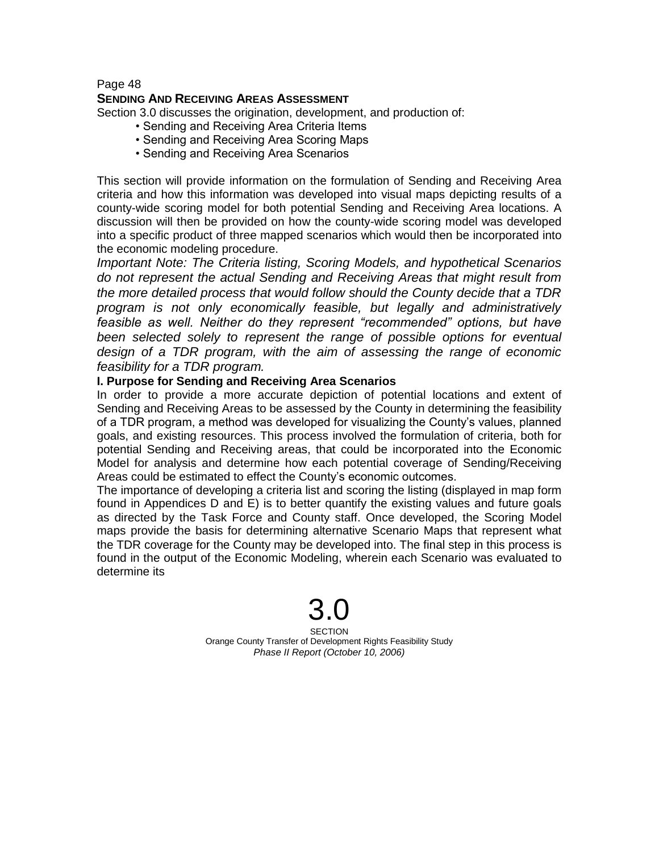# **SENDING AND RECEIVING AREAS ASSESSMENT**

Section 3.0 discusses the origination, development, and production of:

- Sending and Receiving Area Criteria Items
- Sending and Receiving Area Scoring Maps
- Sending and Receiving Area Scenarios

This section will provide information on the formulation of Sending and Receiving Area criteria and how this information was developed into visual maps depicting results of a county-wide scoring model for both potential Sending and Receiving Area locations. A discussion will then be provided on how the county-wide scoring model was developed into a specific product of three mapped scenarios which would then be incorporated into the economic modeling procedure.

*Important Note: The Criteria listing, Scoring Models, and hypothetical Scenarios do not represent the actual Sending and Receiving Areas that might result from the more detailed process that would follow should the County decide that a TDR program is not only economically feasible, but legally and administratively feasible as well. Neither do they represent "recommended" options, but have been selected solely to represent the range of possible options for eventual design of a TDR program, with the aim of assessing the range of economic feasibility for a TDR program.* 

#### **I. Purpose for Sending and Receiving Area Scenarios**

In order to provide a more accurate depiction of potential locations and extent of Sending and Receiving Areas to be assessed by the County in determining the feasibility of a TDR program, a method was developed for visualizing the County's values, planned goals, and existing resources. This process involved the formulation of criteria, both for potential Sending and Receiving areas, that could be incorporated into the Economic Model for analysis and determine how each potential coverage of Sending/Receiving Areas could be estimated to effect the County's economic outcomes.

The importance of developing a criteria list and scoring the listing (displayed in map form found in Appendices D and E) is to better quantify the existing values and future goals as directed by the Task Force and County staff. Once developed, the Scoring Model maps provide the basis for determining alternative Scenario Maps that represent what the TDR coverage for the County may be developed into. The final step in this process is found in the output of the Economic Modeling, wherein each Scenario was evaluated to determine its

# 3.0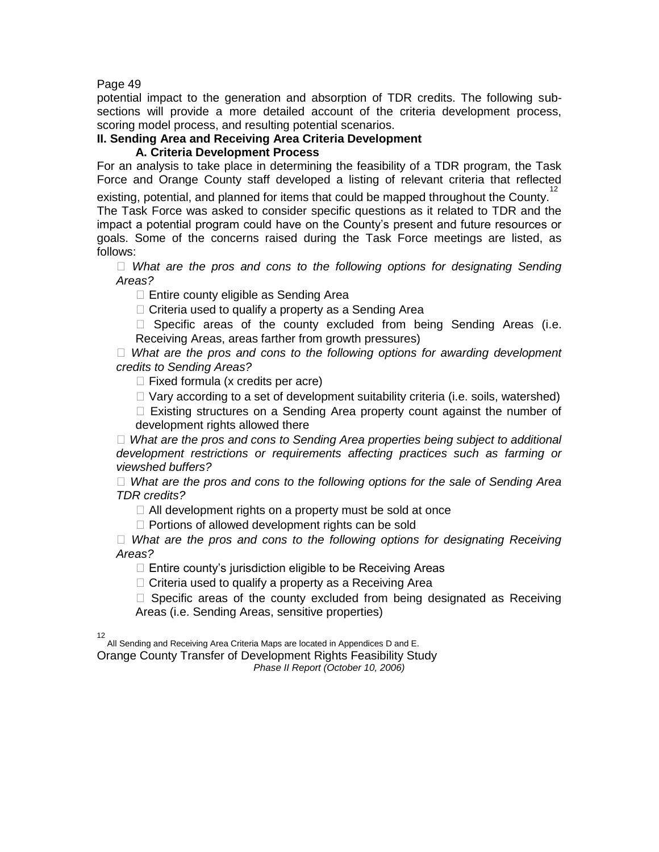potential impact to the generation and absorption of TDR credits. The following subsections will provide a more detailed account of the criteria development process, scoring model process, and resulting potential scenarios.

# **II. Sending Area and Receiving Area Criteria Development**

#### **A. Criteria Development Process**

For an analysis to take place in determining the feasibility of a TDR program, the Task Force and Orange County staff developed a listing of relevant criteria that reflected

existing, potential, and planned for items that could be mapped throughout the County.<sup>12</sup>

The Task Force was asked to consider specific questions as it related to TDR and the impact a potential program could have on the County's present and future resources or goals. Some of the concerns raised during the Task Force meetings are listed, as follows:

 *What are the pros and cons to the following options for designating Sending Areas?* 

 $\Box$  Entire county eligible as Sending Area

 $\Box$  Criteria used to qualify a property as a Sending Area

 $\Box$  Specific areas of the county excluded from being Sending Areas (i.e. Receiving Areas, areas farther from growth pressures)

 *What are the pros and cons to the following options for awarding development credits to Sending Areas?* 

 $\Box$  Fixed formula (x credits per acre)

 $\Box$  Vary according to a set of development suitability criteria (i.e. soils, watershed)

 $\Box$  Existing structures on a Sending Area property count against the number of development rights allowed there

 *What are the pros and cons to Sending Area properties being subject to additional development restrictions or requirements affecting practices such as farming or viewshed buffers?* 

 *What are the pros and cons to the following options for the sale of Sending Area TDR credits?* 

 $\Box$  All development rights on a property must be sold at once

 $\Box$  Portions of allowed development rights can be sold

 *What are the pros and cons to the following options for designating Receiving Areas?* 

 $\Box$  Entire county's jurisdiction eligible to be Receiving Areas

 $\Box$  Criteria used to qualify a property as a Receiving Area

 $\Box$  Specific areas of the county excluded from being designated as Receiving Areas (i.e. Sending Areas, sensitive properties)

12 All Sending and Receiving Area Criteria Maps are located in Appendices D and E.

Orange County Transfer of Development Rights Feasibility Study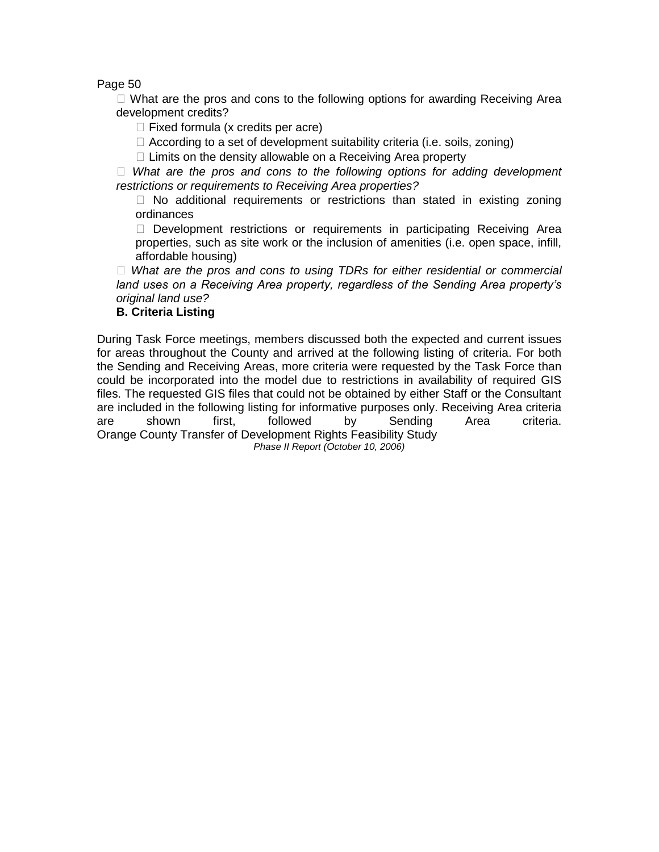$\Box$  What are the pros and cons to the following options for awarding Receiving Area development credits?

 $\Box$  Fixed formula (x credits per acre)

 $\Box$  According to a set of development suitability criteria (i.e. soils, zoning)

 $\Box$  Limits on the density allowable on a Receiving Area property

 *What are the pros and cons to the following options for adding development restrictions or requirements to Receiving Area properties?* 

 $\Box$  No additional requirements or restrictions than stated in existing zoning ordinances

 $\Box$  Development restrictions or requirements in participating Receiving Area properties, such as site work or the inclusion of amenities (i.e. open space, infill, affordable housing)

 *What are the pros and cons to using TDRs for either residential or commercial land uses on a Receiving Area property, regardless of the Sending Area property's original land use?* 

#### **B. Criteria Listing**

During Task Force meetings, members discussed both the expected and current issues for areas throughout the County and arrived at the following listing of criteria. For both the Sending and Receiving Areas, more criteria were requested by the Task Force than could be incorporated into the model due to restrictions in availability of required GIS files. The requested GIS files that could not be obtained by either Staff or the Consultant are included in the following listing for informative purposes only. Receiving Area criteria are shown first, followed by Sending Area criteria. Orange County Transfer of Development Rights Feasibility Study *Phase II Report (October 10, 2006)*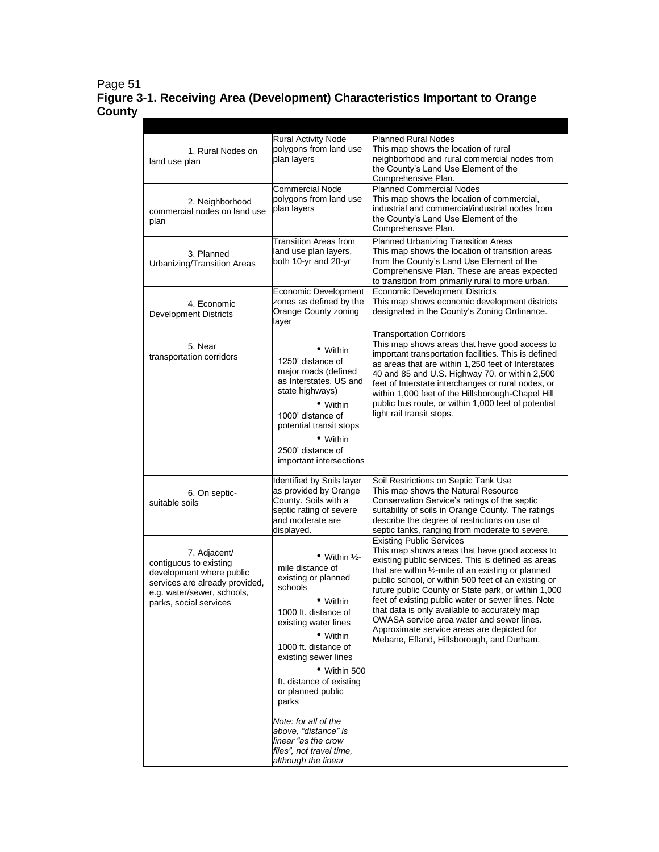# Page 51 **Figure 3-1. Receiving Area (Development) Characteristics Important to Orange County**

| 1. Rural Nodes on<br>land use plan                                                                                                                           | <b>Rural Activity Node</b><br>polygons from land use<br>plan layers                                                                                                                                                                                                                                                                                                                                        | <b>Planned Rural Nodes</b><br>This map shows the location of rural<br>neighborhood and rural commercial nodes from<br>the County's Land Use Element of the<br>Comprehensive Plan.                                                                                                                                                                                                                                                                                                                                                                         |
|--------------------------------------------------------------------------------------------------------------------------------------------------------------|------------------------------------------------------------------------------------------------------------------------------------------------------------------------------------------------------------------------------------------------------------------------------------------------------------------------------------------------------------------------------------------------------------|-----------------------------------------------------------------------------------------------------------------------------------------------------------------------------------------------------------------------------------------------------------------------------------------------------------------------------------------------------------------------------------------------------------------------------------------------------------------------------------------------------------------------------------------------------------|
| 2. Neighborhood<br>commercial nodes on land use<br>plan                                                                                                      | Commercial Node<br>polygons from land use<br>plan layers                                                                                                                                                                                                                                                                                                                                                   | <b>Planned Commercial Nodes</b><br>This map shows the location of commercial,<br>industrial and commercial/industrial nodes from<br>the County's Land Use Element of the<br>Comprehensive Plan.                                                                                                                                                                                                                                                                                                                                                           |
| 3. Planned<br>Urbanizing/Transition Areas                                                                                                                    | <b>Transition Areas from</b><br>land use plan layers,<br>both 10-yr and 20-yr                                                                                                                                                                                                                                                                                                                              | Planned Urbanizing Transition Areas<br>This map shows the location of transition areas<br>from the County's Land Use Element of the<br>Comprehensive Plan. These are areas expected<br>to transition from primarily rural to more urban.                                                                                                                                                                                                                                                                                                                  |
| 4. Economic<br><b>Development Districts</b>                                                                                                                  | <b>Economic Development</b><br>zones as defined by the<br>Orange County zoning<br>layer                                                                                                                                                                                                                                                                                                                    | <b>Economic Development Districts</b><br>This map shows economic development districts<br>designated in the County's Zoning Ordinance.                                                                                                                                                                                                                                                                                                                                                                                                                    |
| 5. Near<br>transportation corridors                                                                                                                          | • Within<br>1250' distance of<br>major roads (defined<br>as Interstates, US and<br>state highways)<br>• Within<br>1000' distance of<br>potential transit stops<br>• Within<br>2500' distance of<br>important intersections                                                                                                                                                                                 | <b>Transportation Corridors</b><br>This map shows areas that have good access to<br>important transportation facilities. This is defined<br>as areas that are within 1,250 feet of Interstates<br>40 and 85 and U.S. Highway 70, or within 2,500<br>feet of Interstate interchanges or rural nodes, or<br>within 1,000 feet of the Hillsborough-Chapel Hill<br>public bus route, or within 1,000 feet of potential<br>light rail transit stops.                                                                                                           |
| 6. On septic-<br>suitable soils                                                                                                                              | Identified by Soils layer<br>as provided by Orange<br>County. Soils with a<br>septic rating of severe<br>and moderate are<br>displayed.                                                                                                                                                                                                                                                                    | Soil Restrictions on Septic Tank Use<br>This map shows the Natural Resource<br>Conservation Service's ratings of the septic<br>suitability of soils in Orange County. The ratings<br>describe the degree of restrictions on use of<br>septic tanks, ranging from moderate to severe.                                                                                                                                                                                                                                                                      |
| 7. Adjacent/<br>contiguous to existing<br>development where public<br>services are already provided,<br>e.g. water/sewer, schools,<br>parks, social services | • Within $\frac{1}{2}$ -<br>mile distance of<br>existing or planned<br>schools<br>• Within<br>1000 ft. distance of<br>existing water lines<br>• Within<br>1000 ft. distance of<br>existing sewer lines<br>• Within 500<br>ft. distance of existing<br>or planned public<br>parks<br>Note: for all of the<br>above, "distance" is<br>linear "as the crow<br>flies", not travel time,<br>although the linear | <b>Existing Public Services</b><br>This map shows areas that have good access to<br>existing public services. This is defined as areas<br>that are within 1/2-mile of an existing or planned<br>public school, or within 500 feet of an existing or<br>future public County or State park, or within 1,000<br>feet of existing public water or sewer lines. Note<br>that data is only available to accurately map<br>OWASA service area water and sewer lines.<br>Approximate service areas are depicted for<br>Mebane, Efland, Hillsborough, and Durham. |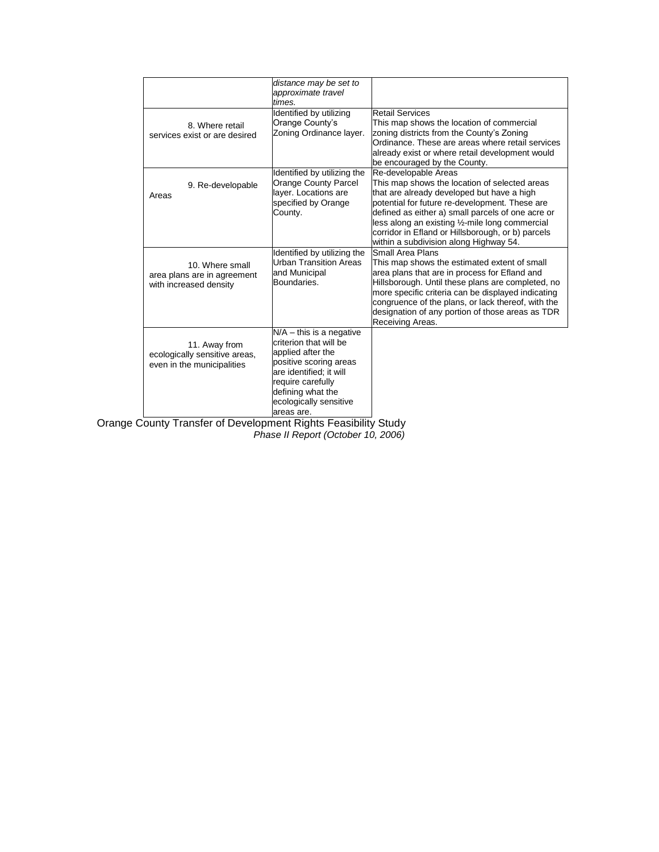|                                                                              | distance may be set to<br>approximate travel<br>times.                                                                                                                                                           |                                                                                                                                                                                                                                                                                                                                                                              |
|------------------------------------------------------------------------------|------------------------------------------------------------------------------------------------------------------------------------------------------------------------------------------------------------------|------------------------------------------------------------------------------------------------------------------------------------------------------------------------------------------------------------------------------------------------------------------------------------------------------------------------------------------------------------------------------|
| 8. Where retail<br>services exist or are desired                             | Identified by utilizing<br>Orange County's<br>Zoning Ordinance layer.                                                                                                                                            | <b>Retail Services</b><br>This map shows the location of commercial<br>zoning districts from the County's Zoning<br>Ordinance. These are areas where retail services<br>already exist or where retail development would<br>be encouraged by the County.                                                                                                                      |
| 9. Re-developable<br>Areas                                                   | Identified by utilizing the<br><b>Orange County Parcel</b><br>layer. Locations are<br>specified by Orange<br>County.                                                                                             | Re-developable Areas<br>This map shows the location of selected areas<br>that are already developed but have a high<br>potential for future re-development. These are<br>defined as either a) small parcels of one acre or<br>less along an existing 1/2-mile long commercial<br>corridor in Efland or Hillsborough, or b) parcels<br>within a subdivision along Highway 54. |
| 10. Where small<br>area plans are in agreement<br>with increased density     | Identified by utilizing the<br><b>Urban Transition Areas</b><br>and Municipal<br>Boundaries.                                                                                                                     | Small Area Plans<br>This map shows the estimated extent of small<br>area plans that are in process for Efland and<br>Hillsborough. Until these plans are completed, no<br>more specific criteria can be displayed indicating<br>congruence of the plans, or lack thereof, with the<br>designation of any portion of those areas as TDR<br>Receiving Areas.                   |
| 11. Away from<br>ecologically sensitive areas.<br>even in the municipalities | $N/A -$ this is a negative<br>criterion that will be<br>applied after the<br>positive scoring areas<br>are identified; it will<br>require carefully<br>defining what the<br>ecologically sensitive<br>areas are. |                                                                                                                                                                                                                                                                                                                                                                              |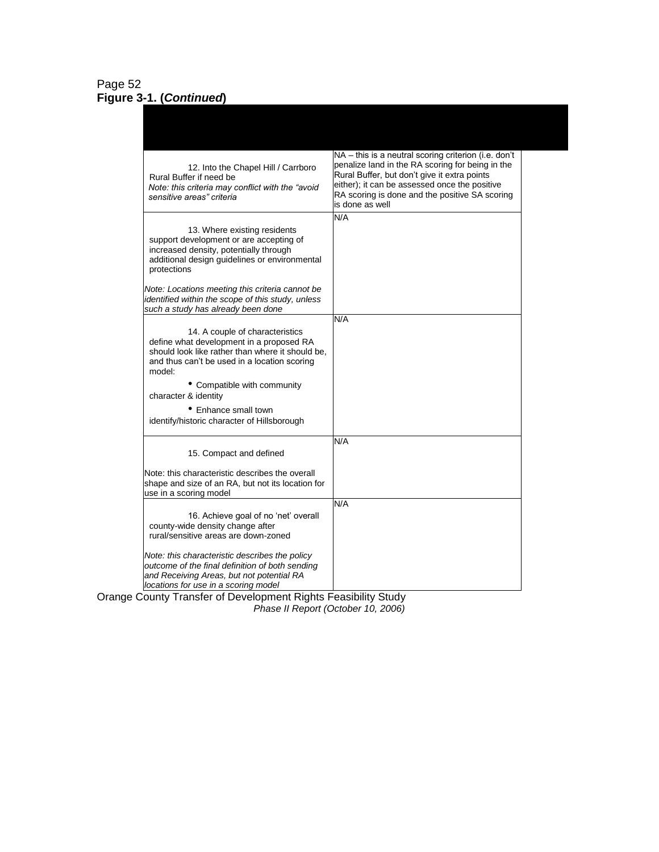#### Page 52 **Figure 3-1. (***Continued***)**

| 12. Into the Chapel Hill / Carrboro<br>Rural Buffer if need be<br>Note: this criteria may conflict with the "avoid<br>sensitive areas" criteria                                           | NA - this is a neutral scoring criterion (i.e. don't<br>penalize land in the RA scoring for being in the<br>Rural Buffer, but don't give it extra points<br>either); it can be assessed once the positive<br>RA scoring is done and the positive SA scoring |
|-------------------------------------------------------------------------------------------------------------------------------------------------------------------------------------------|-------------------------------------------------------------------------------------------------------------------------------------------------------------------------------------------------------------------------------------------------------------|
|                                                                                                                                                                                           | is done as well                                                                                                                                                                                                                                             |
| 13. Where existing residents<br>support development or are accepting of<br>increased density, potentially through<br>additional design guidelines or environmental<br>protections         | N/A                                                                                                                                                                                                                                                         |
| Note: Locations meeting this criteria cannot be<br>identified within the scope of this study, unless<br>such a study has already been done                                                |                                                                                                                                                                                                                                                             |
|                                                                                                                                                                                           | N/A                                                                                                                                                                                                                                                         |
| 14. A couple of characteristics<br>define what development in a proposed RA<br>should look like rather than where it should be,<br>and thus can't be used in a location scoring<br>model: |                                                                                                                                                                                                                                                             |
| • Compatible with community<br>character & identity                                                                                                                                       |                                                                                                                                                                                                                                                             |
| • Enhance small town<br>identify/historic character of Hillsborough                                                                                                                       |                                                                                                                                                                                                                                                             |
|                                                                                                                                                                                           | N/A                                                                                                                                                                                                                                                         |
| 15. Compact and defined                                                                                                                                                                   |                                                                                                                                                                                                                                                             |
| Note: this characteristic describes the overall<br>shape and size of an RA, but not its location for<br>use in a scoring model                                                            |                                                                                                                                                                                                                                                             |
|                                                                                                                                                                                           | N/A                                                                                                                                                                                                                                                         |
| 16. Achieve goal of no 'net' overall<br>county-wide density change after<br>rural/sensitive areas are down-zoned                                                                          |                                                                                                                                                                                                                                                             |
| Note: this characteristic describes the policy<br>outcome of the final definition of both sending<br>and Receiving Areas, but not potential RA<br>locations for use in a scoring model    |                                                                                                                                                                                                                                                             |

| Orange County Transfer of Development Rights Feasibility Study |
|----------------------------------------------------------------|
| Phase II Report (October 10, 2006)                             |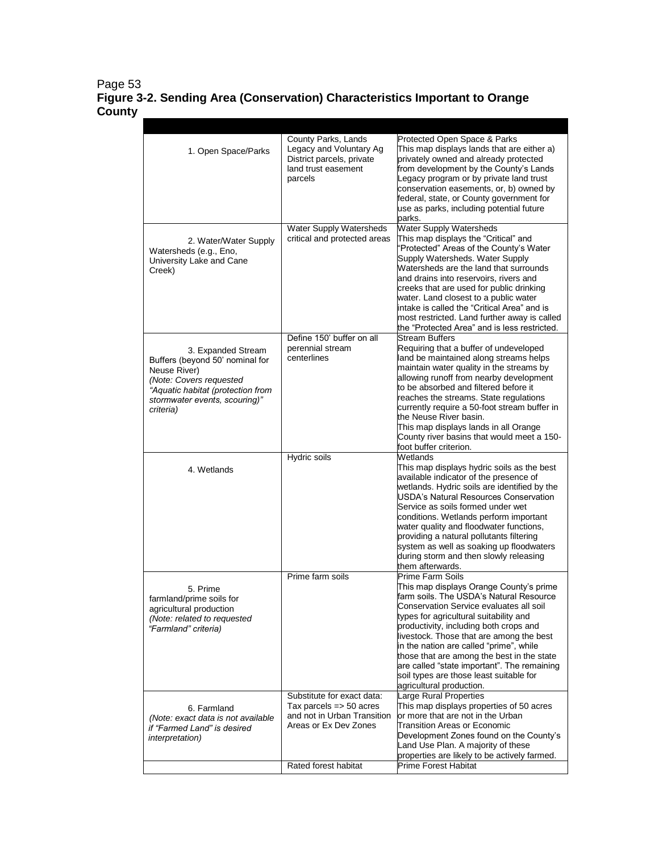#### Page 53 **Figure 3-2. Sending Area (Conservation) Characteristics Important to Orange County**

ı

|                                    | County Parks, Lands                | Protected Open Space & Parks                                                |
|------------------------------------|------------------------------------|-----------------------------------------------------------------------------|
| 1. Open Space/Parks                | Legacy and Voluntary Ag            | This map displays lands that are either a)                                  |
|                                    | District parcels, private          | privately owned and already protected                                       |
|                                    | land trust easement                | from development by the County's Lands                                      |
|                                    | parcels                            | Legacy program or by private land trust                                     |
|                                    |                                    | conservation easements, or, b) owned by                                     |
|                                    |                                    | federal, state, or County government for                                    |
|                                    |                                    | use as parks, including potential future                                    |
|                                    |                                    | parks.                                                                      |
|                                    | Water Supply Watersheds            | <b>Water Supply Watersheds</b>                                              |
| 2. Water/Water Supply              | critical and protected areas       | This map displays the "Critical" and                                        |
| Watersheds (e.g., Eno,             |                                    | "Protected" Areas of the County's Water                                     |
| University Lake and Cane           |                                    | Supply Watersheds. Water Supply                                             |
| Creek)                             |                                    | Watersheds are the land that surrounds                                      |
|                                    |                                    | and drains into reservoirs, rivers and                                      |
|                                    |                                    | creeks that are used for public drinking                                    |
|                                    |                                    | water. Land closest to a public water                                       |
|                                    |                                    | intake is called the "Critical Area" and is                                 |
|                                    |                                    | most restricted. Land further away is called                                |
|                                    |                                    | the "Protected Area" and is less restricted.                                |
|                                    | Define 150' buffer on all          | <b>Stream Buffers</b>                                                       |
| 3. Expanded Stream                 | perennial stream                   | Requiring that a buffer of undeveloped                                      |
| Buffers (beyond 50' nominal for    | centerlines                        | land be maintained along streams helps                                      |
| Neuse River)                       |                                    | maintain water quality in the streams by                                    |
| (Note: Covers requested            |                                    | allowing runoff from nearby development                                     |
| "Aquatic habitat (protection from  |                                    | to be absorbed and filtered before it                                       |
| stormwater events, scouring)"      |                                    | reaches the streams. State regulations                                      |
| criteria)                          |                                    | currently require a 50-foot stream buffer in                                |
|                                    |                                    | the Neuse River basin.                                                      |
|                                    |                                    | This map displays lands in all Orange                                       |
|                                    |                                    | County river basins that would meet a 150-                                  |
|                                    |                                    | foot buffer criterion.                                                      |
|                                    | Hydric soils                       | Wetlands                                                                    |
| 4. Wetlands                        |                                    | This map displays hydric soils as the best                                  |
|                                    |                                    | available indicator of the presence of                                      |
|                                    |                                    | wetlands. Hydric soils are identified by the                                |
|                                    |                                    | USDA's Natural Resources Conservation                                       |
|                                    |                                    | Service as soils formed under wet                                           |
|                                    |                                    | conditions. Wetlands perform important                                      |
|                                    |                                    | water quality and floodwater functions,                                     |
|                                    |                                    | providing a natural pollutants filtering                                    |
|                                    |                                    | system as well as soaking up floodwaters                                    |
|                                    |                                    |                                                                             |
|                                    |                                    | during storm and then slowly releasing                                      |
|                                    |                                    | them afterwards.                                                            |
|                                    | Prime farm soils                   | <b>Prime Farm Soils</b>                                                     |
| 5. Prime                           |                                    | This map displays Orange County's prime                                     |
| farmland/prime soils for           |                                    | farm soils. The USDA's Natural Resource                                     |
| agricultural production            |                                    | Conservation Service evaluates all soil                                     |
| (Note: related to requested        |                                    | types for agricultural suitability and                                      |
| "Farmland" criteria)               |                                    | productivity, including both crops and                                      |
|                                    |                                    | livestock. Those that are among the best                                    |
|                                    |                                    | in the nation are called "prime", while                                     |
|                                    |                                    | those that are among the best in the state                                  |
|                                    |                                    | are called "state important". The remaining                                 |
|                                    |                                    | soil types are those least suitable for                                     |
|                                    |                                    | agricultural production.                                                    |
|                                    | Substitute for exact data:         | <b>Large Rural Properties</b>                                               |
| 6. Farmland                        | Tax parcels $\Rightarrow$ 50 acres | This map displays properties of 50 acres                                    |
| (Note: exact data is not available | and not in Urban Transition        | or more that are not in the Urban                                           |
| if "Farmed Land" is desired        | Areas or Ex Dev Zones              | Transition Areas or Economic                                                |
| <i>interpretation</i> )            |                                    | Development Zones found on the County's                                     |
|                                    |                                    | Land Use Plan. A majority of these                                          |
|                                    | Rated forest habitat               | properties are likely to be actively farmed.<br><b>Prime Forest Habitat</b> |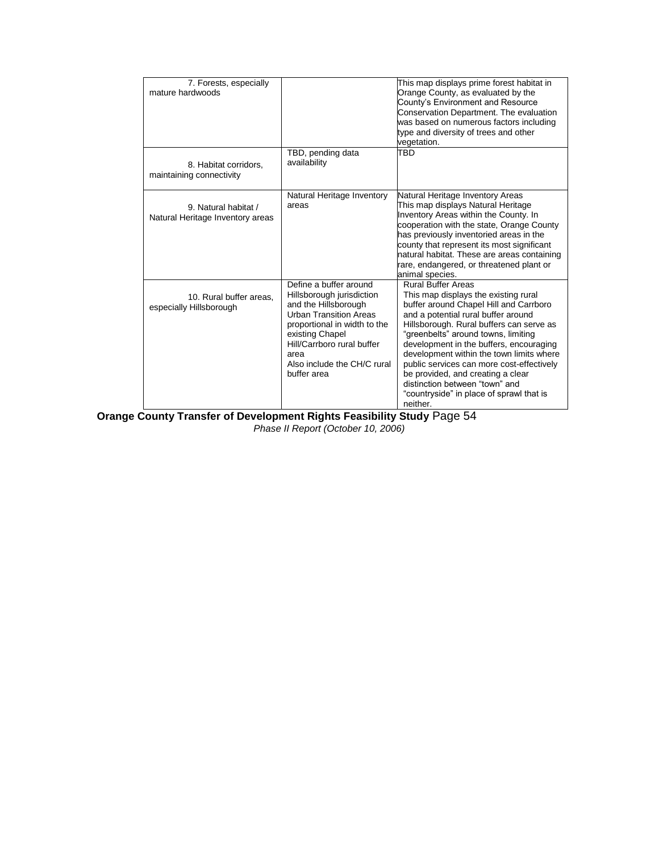| 7. Forests, especially<br>mature hardwoods               |                                                                                                                                                                                                                                                     | This map displays prime forest habitat in<br>Orange County, as evaluated by the<br>County's Environment and Resource<br>Conservation Department. The evaluation<br>was based on numerous factors including<br>type and diversity of trees and other<br>vegetation.                                                                                                                                                                                                                                       |
|----------------------------------------------------------|-----------------------------------------------------------------------------------------------------------------------------------------------------------------------------------------------------------------------------------------------------|----------------------------------------------------------------------------------------------------------------------------------------------------------------------------------------------------------------------------------------------------------------------------------------------------------------------------------------------------------------------------------------------------------------------------------------------------------------------------------------------------------|
| 8. Habitat corridors,<br>maintaining connectivity        | TBD, pending data<br>availability                                                                                                                                                                                                                   | TBD                                                                                                                                                                                                                                                                                                                                                                                                                                                                                                      |
| 9. Natural habitat /<br>Natural Heritage Inventory areas | Natural Heritage Inventory<br>areas                                                                                                                                                                                                                 | Natural Heritage Inventory Areas<br>This map displays Natural Heritage<br>Inventory Areas within the County. In<br>cooperation with the state, Orange County<br>has previously inventoried areas in the<br>county that represent its most significant<br>natural habitat. These are areas containing<br>rare, endangered, or threatened plant or<br>animal species.                                                                                                                                      |
| 10. Rural buffer areas.<br>especially Hillsborough       | Define a buffer around<br>Hillsborough jurisdiction<br>and the Hillsborough<br><b>Urban Transition Areas</b><br>proportional in width to the<br>existing Chapel<br>Hill/Carrboro rural buffer<br>area<br>Also include the CH/C rural<br>buffer area | <b>Rural Buffer Areas</b><br>This map displays the existing rural<br>buffer around Chapel Hill and Carrboro<br>and a potential rural buffer around<br>Hillsborough. Rural buffers can serve as<br>"greenbelts" around towns, limiting<br>development in the buffers, encouraging<br>development within the town limits where<br>public services can more cost-effectively<br>be provided, and creating a clear<br>distinction between "town" and<br>"countryside" in place of sprawl that is<br>neither. |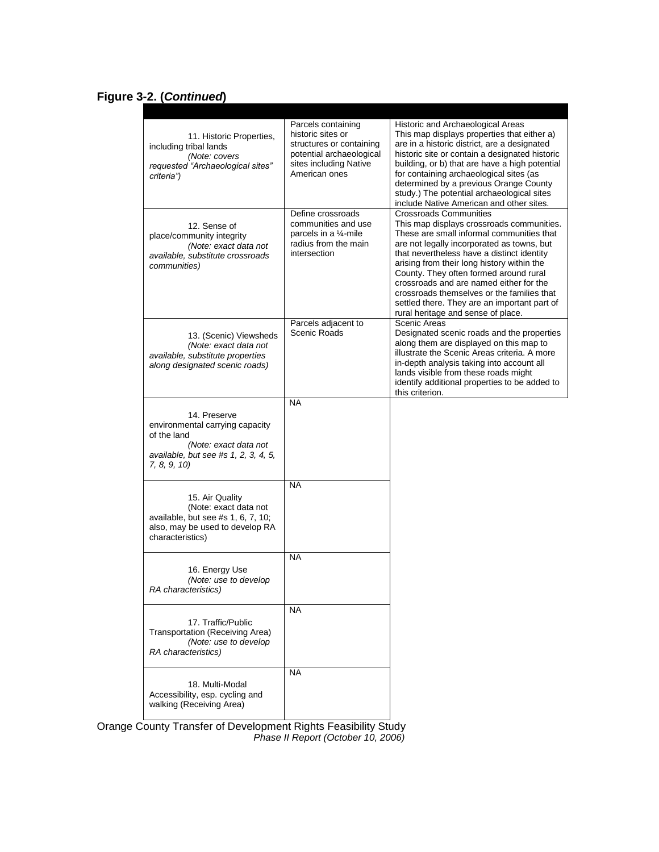# **Figure 3-2. (***Continued***)**

| 11. Historic Properties,<br>including tribal lands<br>(Note: covers<br>requested "Archaeological sites"<br>criteria")                          | Parcels containing<br>historic sites or<br>structures or containing<br>potential archaeological<br>sites including Native<br>American ones | Historic and Archaeological Areas<br>This map displays properties that either a)<br>are in a historic district, are a designated<br>historic site or contain a designated historic<br>building, or b) that are have a high potential<br>for containing archaeological sites (as<br>determined by a previous Orange County<br>study.) The potential archaeological sites<br>include Native American and other sites.                                                                        |
|------------------------------------------------------------------------------------------------------------------------------------------------|--------------------------------------------------------------------------------------------------------------------------------------------|--------------------------------------------------------------------------------------------------------------------------------------------------------------------------------------------------------------------------------------------------------------------------------------------------------------------------------------------------------------------------------------------------------------------------------------------------------------------------------------------|
| 12. Sense of<br>place/community integrity<br>(Note: exact data not<br>available, substitute crossroads<br>communities)                         | Define crossroads<br>communities and use<br>parcels in a 1/4-mile<br>radius from the main<br>intersection                                  | <b>Crossroads Communities</b><br>This map displays crossroads communities.<br>These are small informal communities that<br>are not legally incorporated as towns, but<br>that nevertheless have a distinct identity<br>arising from their long history within the<br>County. They often formed around rural<br>crossroads and are named either for the<br>crossroads themselves or the families that<br>settled there. They are an important part of<br>rural heritage and sense of place. |
| 13. (Scenic) Viewsheds<br>(Note: exact data not<br>available, substitute properties<br>along designated scenic roads)                          | Parcels adjacent to<br>Scenic Roads                                                                                                        | <b>Scenic Areas</b><br>Designated scenic roads and the properties<br>along them are displayed on this map to<br>illustrate the Scenic Areas criteria. A more<br>in-depth analysis taking into account all<br>lands visible from these roads might<br>identify additional properties to be added to<br>this criterion.                                                                                                                                                                      |
| 14. Preserve<br>environmental carrying capacity<br>of the land<br>(Note: exact data not<br>available, but see #s 1, 2, 3, 4, 5,<br>7, 8, 9, 10 | <b>NA</b>                                                                                                                                  |                                                                                                                                                                                                                                                                                                                                                                                                                                                                                            |
| 15. Air Quality<br>(Note: exact data not<br>available, but see #s 1, 6, 7, 10;<br>also, may be used to develop RA<br>characteristics)          | <b>NA</b>                                                                                                                                  |                                                                                                                                                                                                                                                                                                                                                                                                                                                                                            |
| 16. Energy Use<br>(Note: use to develop<br>RA characteristics)                                                                                 | <b>NA</b>                                                                                                                                  |                                                                                                                                                                                                                                                                                                                                                                                                                                                                                            |
| 17. Traffic/Public<br>Transportation (Receiving Area)<br>(Note: use to develop<br>RA characteristics)                                          | <b>NA</b>                                                                                                                                  |                                                                                                                                                                                                                                                                                                                                                                                                                                                                                            |
| 18. Multi-Modal<br>Accessibility, esp. cycling and<br>walking (Receiving Area)                                                                 | <b>NA</b>                                                                                                                                  |                                                                                                                                                                                                                                                                                                                                                                                                                                                                                            |

Orange County Transfer of Development Rights Feasibility Study *Phase II Report (October 10, 2006)*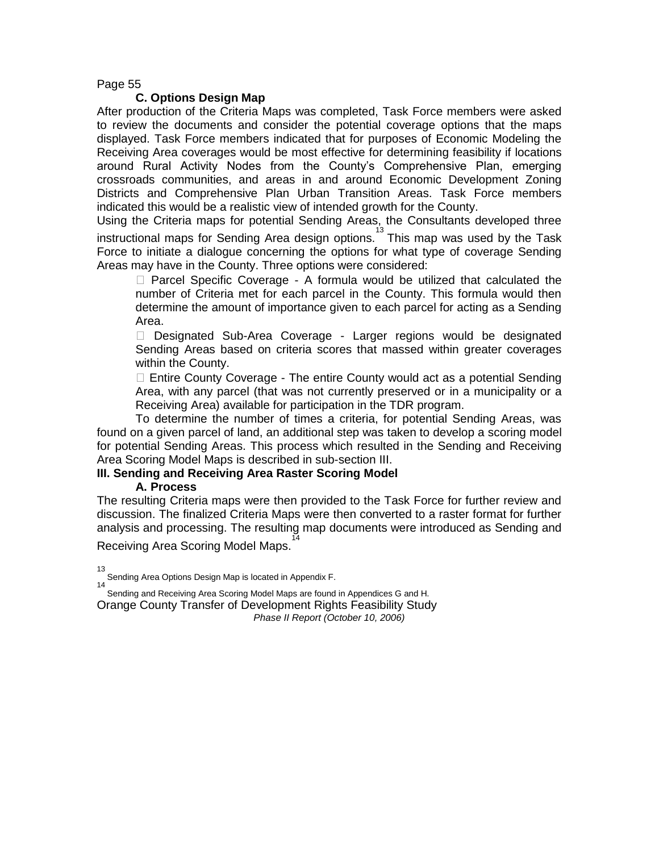#### **C. Options Design Map**

After production of the Criteria Maps was completed, Task Force members were asked to review the documents and consider the potential coverage options that the maps displayed. Task Force members indicated that for purposes of Economic Modeling the Receiving Area coverages would be most effective for determining feasibility if locations around Rural Activity Nodes from the County's Comprehensive Plan, emerging crossroads communities, and areas in and around Economic Development Zoning Districts and Comprehensive Plan Urban Transition Areas. Task Force members indicated this would be a realistic view of intended growth for the County.

Using the Criteria maps for potential Sending Areas, the Consultants developed three instructional maps for Sending Area design options. 13 This map was used by the Task Force to initiate a dialogue concerning the options for what type of coverage Sending Areas may have in the County. Three options were considered:

 $\Box$  Parcel Specific Coverage - A formula would be utilized that calculated the number of Criteria met for each parcel in the County. This formula would then determine the amount of importance given to each parcel for acting as a Sending Area.

 Designated Sub-Area Coverage - Larger regions would be designated Sending Areas based on criteria scores that massed within greater coverages within the County.

 $\Box$  Entire County Coverage - The entire County would act as a potential Sending Area, with any parcel (that was not currently preserved or in a municipality or a Receiving Area) available for participation in the TDR program.

To determine the number of times a criteria, for potential Sending Areas, was found on a given parcel of land, an additional step was taken to develop a scoring model for potential Sending Areas. This process which resulted in the Sending and Receiving Area Scoring Model Maps is described in sub-section III.

# **III. Sending and Receiving Area Raster Scoring Model**

#### **A. Process**

The resulting Criteria maps were then provided to the Task Force for further review and discussion. The finalized Criteria Maps were then converted to a raster format for further analysis and processing. The resulting map documents were introduced as Sending and 14

Receiving Area Scoring Model Maps.

13 Sending Area Options Design Map is located in Appendix F.

14 Sending and Receiving Area Scoring Model Maps are found in Appendices G and H. Orange County Transfer of Development Rights Feasibility Study *Phase II Report (October 10, 2006)*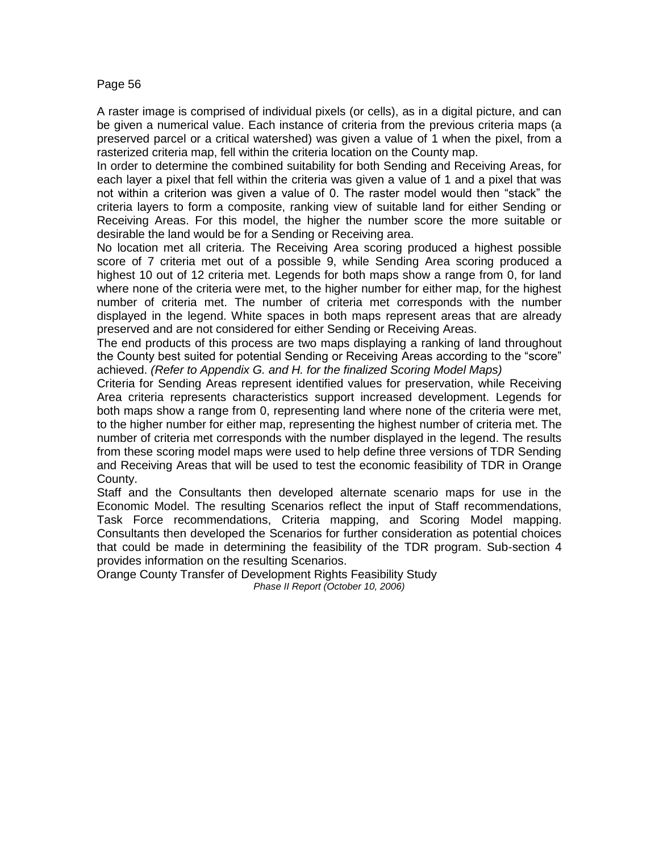A raster image is comprised of individual pixels (or cells), as in a digital picture, and can be given a numerical value. Each instance of criteria from the previous criteria maps (a preserved parcel or a critical watershed) was given a value of 1 when the pixel, from a rasterized criteria map, fell within the criteria location on the County map.

In order to determine the combined suitability for both Sending and Receiving Areas, for each layer a pixel that fell within the criteria was given a value of 1 and a pixel that was not within a criterion was given a value of 0. The raster model would then "stack" the criteria layers to form a composite, ranking view of suitable land for either Sending or Receiving Areas. For this model, the higher the number score the more suitable or desirable the land would be for a Sending or Receiving area.

No location met all criteria. The Receiving Area scoring produced a highest possible score of 7 criteria met out of a possible 9, while Sending Area scoring produced a highest 10 out of 12 criteria met. Legends for both maps show a range from 0, for land where none of the criteria were met, to the higher number for either map, for the highest number of criteria met. The number of criteria met corresponds with the number displayed in the legend. White spaces in both maps represent areas that are already preserved and are not considered for either Sending or Receiving Areas.

The end products of this process are two maps displaying a ranking of land throughout the County best suited for potential Sending or Receiving Areas according to the "score" achieved. *(Refer to Appendix G. and H. for the finalized Scoring Model Maps)* 

Criteria for Sending Areas represent identified values for preservation, while Receiving Area criteria represents characteristics support increased development. Legends for both maps show a range from 0, representing land where none of the criteria were met, to the higher number for either map, representing the highest number of criteria met. The number of criteria met corresponds with the number displayed in the legend. The results from these scoring model maps were used to help define three versions of TDR Sending and Receiving Areas that will be used to test the economic feasibility of TDR in Orange County.

Staff and the Consultants then developed alternate scenario maps for use in the Economic Model. The resulting Scenarios reflect the input of Staff recommendations, Task Force recommendations, Criteria mapping, and Scoring Model mapping. Consultants then developed the Scenarios for further consideration as potential choices that could be made in determining the feasibility of the TDR program. Sub-section 4 provides information on the resulting Scenarios.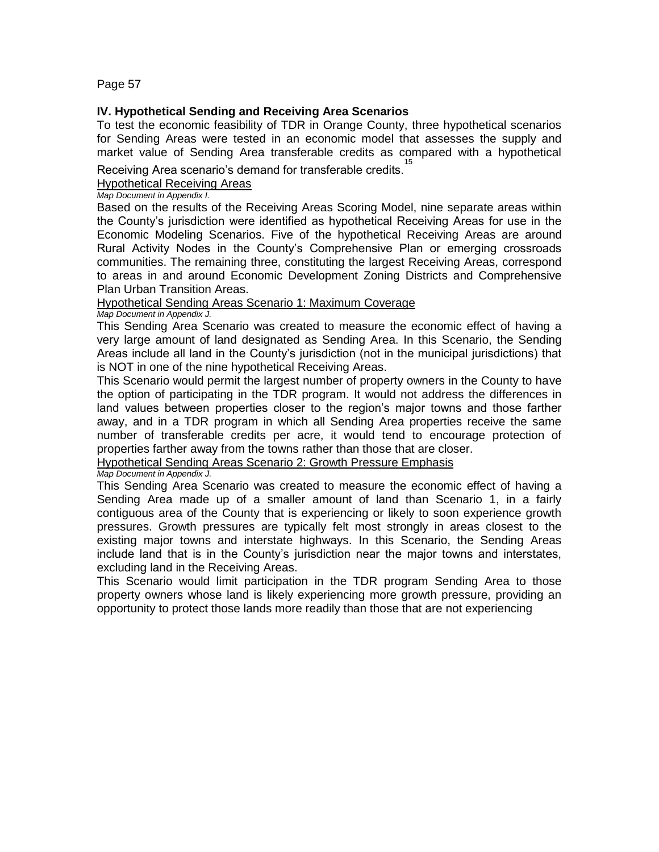# **IV. Hypothetical Sending and Receiving Area Scenarios**

To test the economic feasibility of TDR in Orange County, three hypothetical scenarios for Sending Areas were tested in an economic model that assesses the supply and market value of Sending Area transferable credits as compared with a hypothetical

Receiving Area scenario's demand for transferable credits. 15

# Hypothetical Receiving Areas

#### *Map Document in Appendix I.*

Based on the results of the Receiving Areas Scoring Model, nine separate areas within the County's jurisdiction were identified as hypothetical Receiving Areas for use in the Economic Modeling Scenarios. Five of the hypothetical Receiving Areas are around Rural Activity Nodes in the County's Comprehensive Plan or emerging crossroads communities. The remaining three, constituting the largest Receiving Areas, correspond to areas in and around Economic Development Zoning Districts and Comprehensive Plan Urban Transition Areas.

# Hypothetical Sending Areas Scenario 1: Maximum Coverage

# *Map Document in Appendix J.*

This Sending Area Scenario was created to measure the economic effect of having a very large amount of land designated as Sending Area. In this Scenario, the Sending Areas include all land in the County's jurisdiction (not in the municipal jurisdictions) that is NOT in one of the nine hypothetical Receiving Areas.

This Scenario would permit the largest number of property owners in the County to have the option of participating in the TDR program. It would not address the differences in land values between properties closer to the region's major towns and those farther away, and in a TDR program in which all Sending Area properties receive the same number of transferable credits per acre, it would tend to encourage protection of properties farther away from the towns rather than those that are closer.

Hypothetical Sending Areas Scenario 2: Growth Pressure Emphasis

#### *Map Document in Appendix J.*

This Sending Area Scenario was created to measure the economic effect of having a Sending Area made up of a smaller amount of land than Scenario 1, in a fairly contiguous area of the County that is experiencing or likely to soon experience growth pressures. Growth pressures are typically felt most strongly in areas closest to the existing major towns and interstate highways. In this Scenario, the Sending Areas include land that is in the County's jurisdiction near the major towns and interstates, excluding land in the Receiving Areas.

This Scenario would limit participation in the TDR program Sending Area to those property owners whose land is likely experiencing more growth pressure, providing an opportunity to protect those lands more readily than those that are not experiencing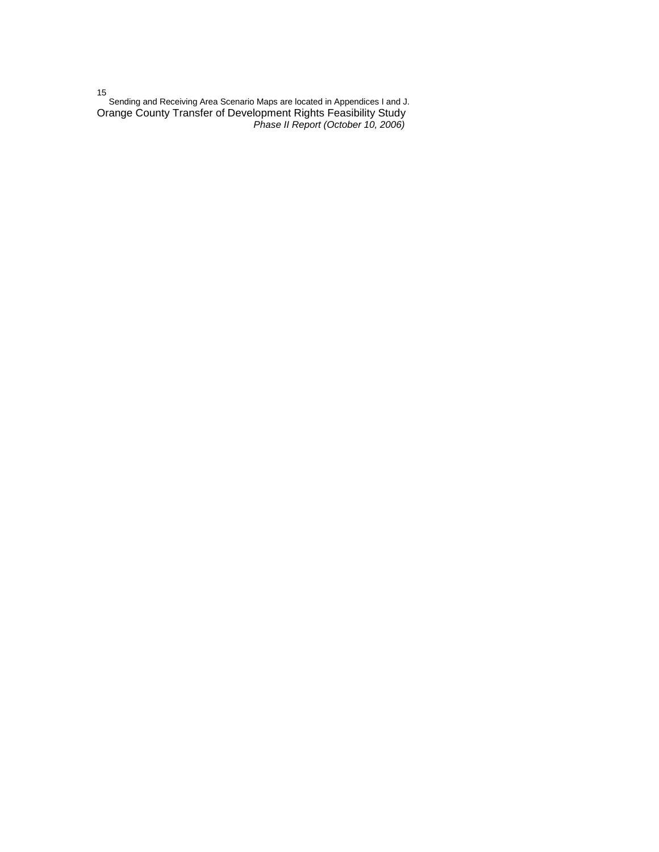15

Sending and Receiving Area Scenario Maps are located in Appendices I and J. Orange County Transfer of Development Rights Feasibility Study *Phase II Report (October 10, 2006)*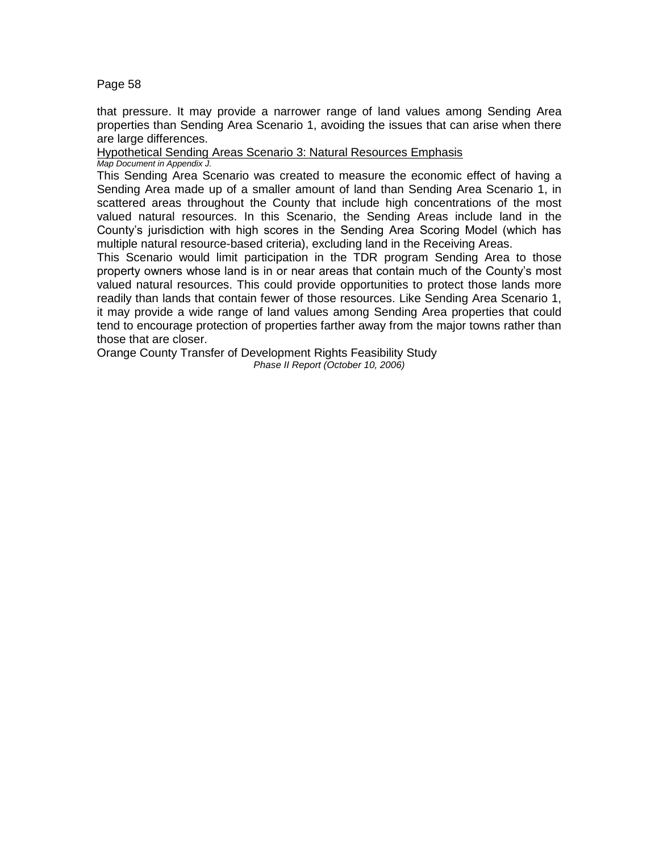that pressure. It may provide a narrower range of land values among Sending Area properties than Sending Area Scenario 1, avoiding the issues that can arise when there are large differences.

Hypothetical Sending Areas Scenario 3: Natural Resources Emphasis

*Map Document in Appendix J.* 

This Sending Area Scenario was created to measure the economic effect of having a Sending Area made up of a smaller amount of land than Sending Area Scenario 1, in scattered areas throughout the County that include high concentrations of the most valued natural resources. In this Scenario, the Sending Areas include land in the County's jurisdiction with high scores in the Sending Area Scoring Model (which has multiple natural resource-based criteria), excluding land in the Receiving Areas.

This Scenario would limit participation in the TDR program Sending Area to those property owners whose land is in or near areas that contain much of the County's most valued natural resources. This could provide opportunities to protect those lands more readily than lands that contain fewer of those resources. Like Sending Area Scenario 1, it may provide a wide range of land values among Sending Area properties that could tend to encourage protection of properties farther away from the major towns rather than those that are closer.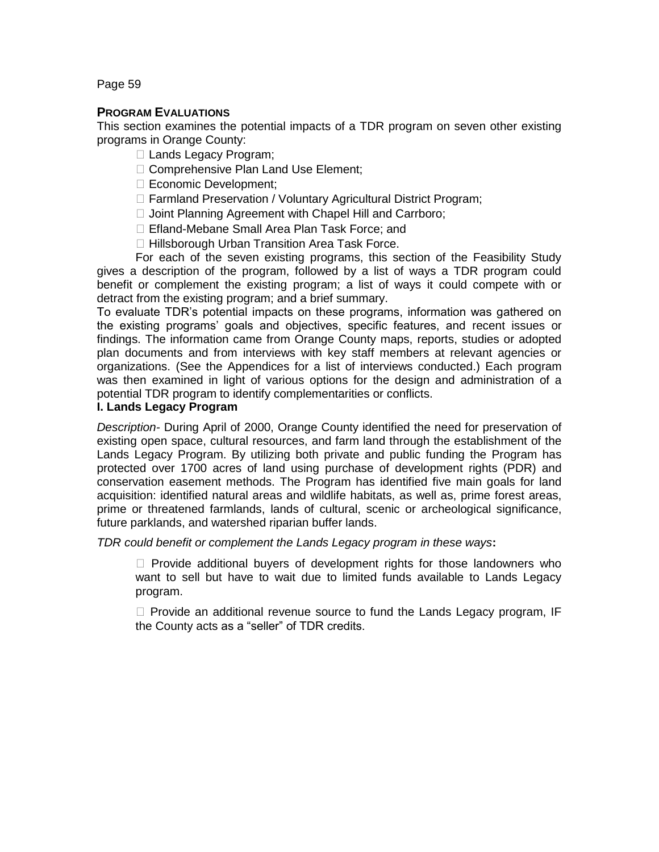#### **PROGRAM EVALUATIONS**

This section examines the potential impacts of a TDR program on seven other existing programs in Orange County:

- □ Lands Legacy Program;
- □ Comprehensive Plan Land Use Element;
- Economic Development;
- Farmland Preservation / Voluntary Agricultural District Program;
- $\Box$  Joint Planning Agreement with Chapel Hill and Carrboro;
- □ Efland-Mebane Small Area Plan Task Force; and
- $\Box$  Hillsborough Urban Transition Area Task Force.

For each of the seven existing programs, this section of the Feasibility Study gives a description of the program, followed by a list of ways a TDR program could benefit or complement the existing program; a list of ways it could compete with or detract from the existing program; and a brief summary.

To evaluate TDR's potential impacts on these programs, information was gathered on the existing programs' goals and objectives, specific features, and recent issues or findings. The information came from Orange County maps, reports, studies or adopted plan documents and from interviews with key staff members at relevant agencies or organizations. (See the Appendices for a list of interviews conducted.) Each program was then examined in light of various options for the design and administration of a potential TDR program to identify complementarities or conflicts.

# **I. Lands Legacy Program**

*Description-* During April of 2000, Orange County identified the need for preservation of existing open space, cultural resources, and farm land through the establishment of the Lands Legacy Program. By utilizing both private and public funding the Program has protected over 1700 acres of land using purchase of development rights (PDR) and conservation easement methods. The Program has identified five main goals for land acquisition: identified natural areas and wildlife habitats, as well as, prime forest areas, prime or threatened farmlands, lands of cultural, scenic or archeological significance, future parklands, and watershed riparian buffer lands.

*TDR could benefit or complement the Lands Legacy program in these ways***:** 

 $\Box$  Provide additional buyers of development rights for those landowners who want to sell but have to wait due to limited funds available to Lands Legacy program.

 $\Box$  Provide an additional revenue source to fund the Lands Legacy program, IF the County acts as a "seller" of TDR credits.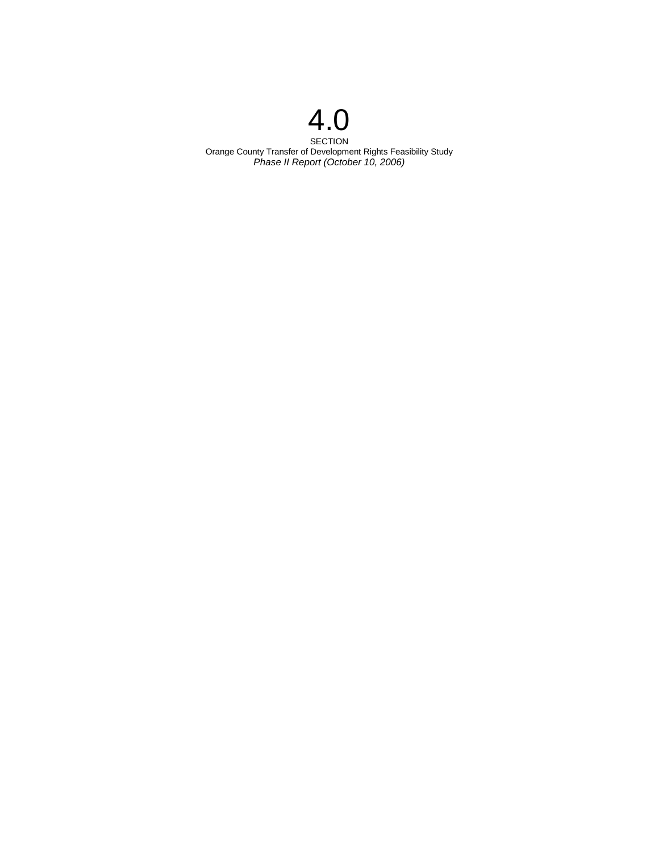# 4.0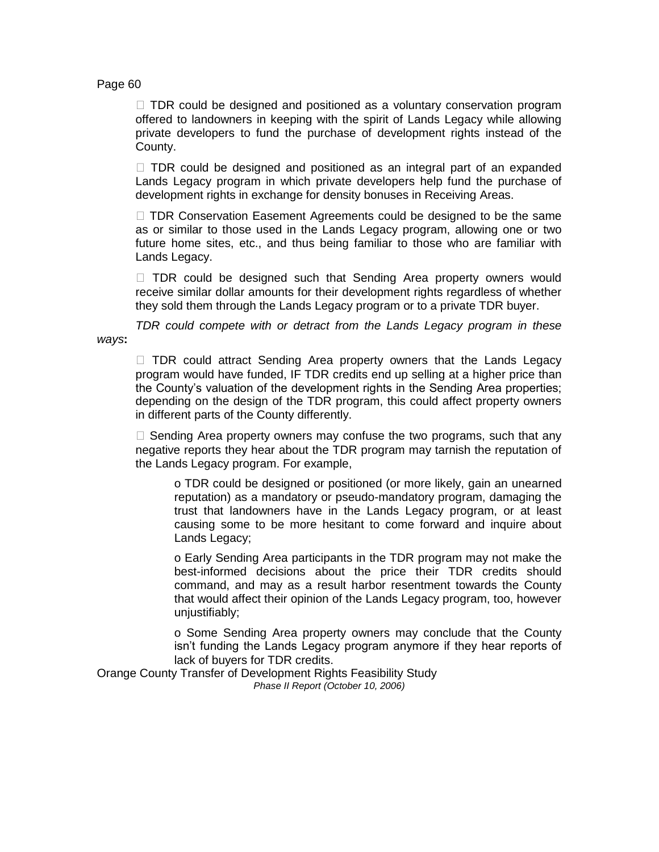$\Box$  TDR could be designed and positioned as a voluntary conservation program offered to landowners in keeping with the spirit of Lands Legacy while allowing private developers to fund the purchase of development rights instead of the County.

 $\Box$  TDR could be designed and positioned as an integral part of an expanded Lands Legacy program in which private developers help fund the purchase of development rights in exchange for density bonuses in Receiving Areas.

 $\Box$  TDR Conservation Easement Agreements could be designed to be the same as or similar to those used in the Lands Legacy program, allowing one or two future home sites, etc., and thus being familiar to those who are familiar with Lands Legacy.

 $\Box$  TDR could be designed such that Sending Area property owners would receive similar dollar amounts for their development rights regardless of whether they sold them through the Lands Legacy program or to a private TDR buyer.

*TDR could compete with or detract from the Lands Legacy program in these* 

*ways***:** 

 $\Box$  TDR could attract Sending Area property owners that the Lands Legacy program would have funded, IF TDR credits end up selling at a higher price than the County's valuation of the development rights in the Sending Area properties; depending on the design of the TDR program, this could affect property owners in different parts of the County differently.

 $\Box$  Sending Area property owners may confuse the two programs, such that any negative reports they hear about the TDR program may tarnish the reputation of the Lands Legacy program. For example,

o TDR could be designed or positioned (or more likely, gain an unearned reputation) as a mandatory or pseudo-mandatory program, damaging the trust that landowners have in the Lands Legacy program, or at least causing some to be more hesitant to come forward and inquire about Lands Legacy;

o Early Sending Area participants in the TDR program may not make the best-informed decisions about the price their TDR credits should command, and may as a result harbor resentment towards the County that would affect their opinion of the Lands Legacy program, too, however unjustifiably;

o Some Sending Area property owners may conclude that the County isn't funding the Lands Legacy program anymore if they hear reports of lack of buyers for TDR credits.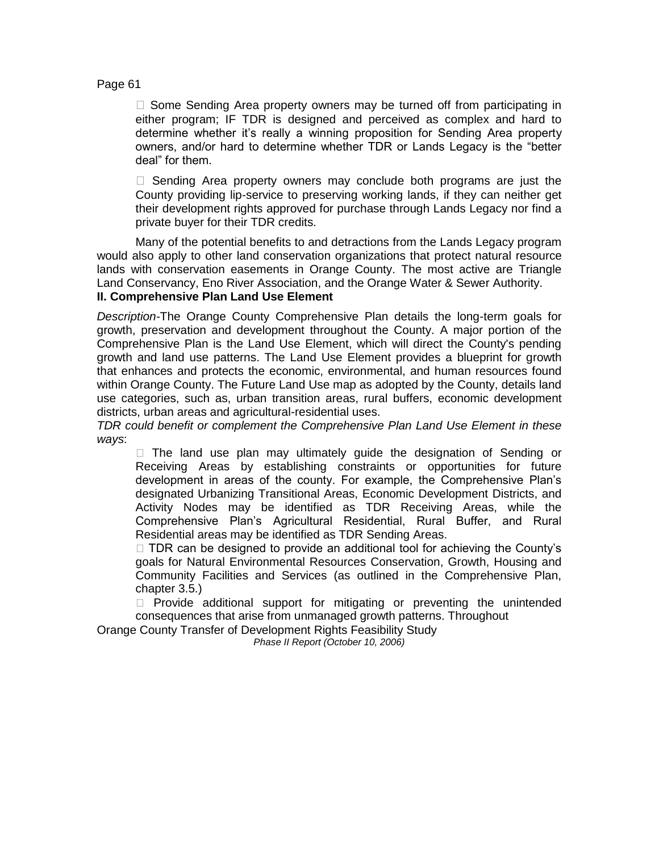$\Box$  Some Sending Area property owners may be turned off from participating in either program; IF TDR is designed and perceived as complex and hard to determine whether it's really a winning proposition for Sending Area property owners, and/or hard to determine whether TDR or Lands Legacy is the "better deal" for them.

 $\Box$  Sending Area property owners may conclude both programs are just the County providing lip-service to preserving working lands, if they can neither get their development rights approved for purchase through Lands Legacy nor find a private buyer for their TDR credits.

Many of the potential benefits to and detractions from the Lands Legacy program would also apply to other land conservation organizations that protect natural resource lands with conservation easements in Orange County. The most active are Triangle Land Conservancy, Eno River Association, and the Orange Water & Sewer Authority. **II. Comprehensive Plan Land Use Element** 

# *Description-*The Orange County Comprehensive Plan details the long-term goals for

growth, preservation and development throughout the County. A major portion of the Comprehensive Plan is the Land Use Element, which will direct the County's pending growth and land use patterns. The Land Use Element provides a blueprint for growth that enhances and protects the economic, environmental, and human resources found within Orange County. The Future Land Use map as adopted by the County, details land use categories, such as, urban transition areas, rural buffers, economic development districts, urban areas and agricultural-residential uses.

*TDR could benefit or complement the Comprehensive Plan Land Use Element in these ways*:

 $\Box$  The land use plan may ultimately quide the designation of Sending or Receiving Areas by establishing constraints or opportunities for future development in areas of the county. For example, the Comprehensive Plan's designated Urbanizing Transitional Areas, Economic Development Districts, and Activity Nodes may be identified as TDR Receiving Areas, while the Comprehensive Plan's Agricultural Residential, Rural Buffer, and Rural Residential areas may be identified as TDR Sending Areas.

 $\Box$  TDR can be designed to provide an additional tool for achieving the County's goals for Natural Environmental Resources Conservation, Growth, Housing and Community Facilities and Services (as outlined in the Comprehensive Plan, chapter 3.5.)

 $\Box$  Provide additional support for mitigating or preventing the unintended consequences that arise from unmanaged growth patterns. Throughout

Orange County Transfer of Development Rights Feasibility Study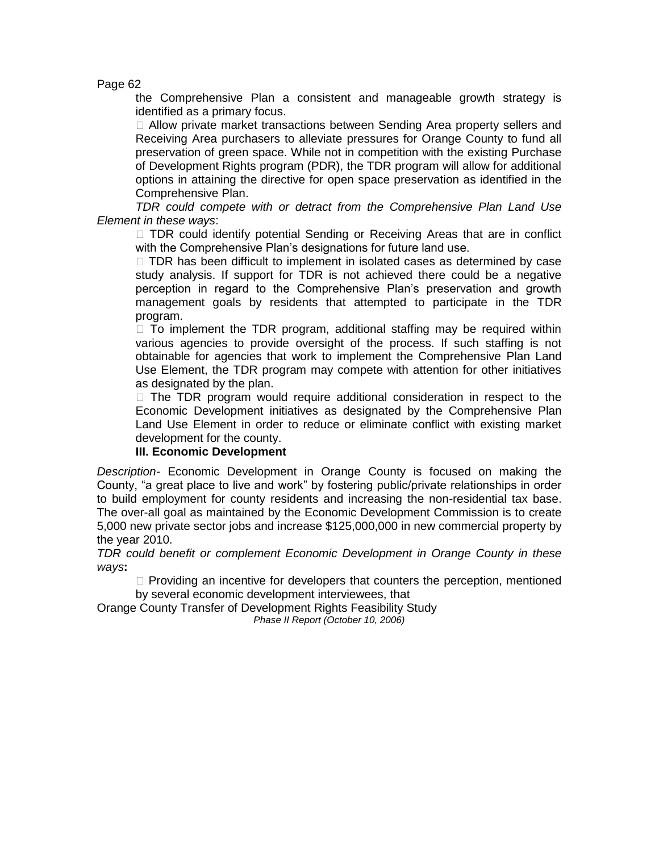the Comprehensive Plan a consistent and manageable growth strategy is identified as a primary focus.

□ Allow private market transactions between Sending Area property sellers and Receiving Area purchasers to alleviate pressures for Orange County to fund all preservation of green space. While not in competition with the existing Purchase of Development Rights program (PDR), the TDR program will allow for additional options in attaining the directive for open space preservation as identified in the Comprehensive Plan.

*TDR could compete with or detract from the Comprehensive Plan Land Use Element in these ways*:

 $\Box$  TDR could identify potential Sending or Receiving Areas that are in conflict with the Comprehensive Plan's designations for future land use.

 $\Box$  TDR has been difficult to implement in isolated cases as determined by case study analysis. If support for TDR is not achieved there could be a negative perception in regard to the Comprehensive Plan's preservation and growth management goals by residents that attempted to participate in the TDR program.

 $\Box$  To implement the TDR program, additional staffing may be required within various agencies to provide oversight of the process. If such staffing is not obtainable for agencies that work to implement the Comprehensive Plan Land Use Element, the TDR program may compete with attention for other initiatives as designated by the plan.

 $\Box$  The TDR program would require additional consideration in respect to the Economic Development initiatives as designated by the Comprehensive Plan Land Use Element in order to reduce or eliminate conflict with existing market development for the county.

#### **III. Economic Development**

*Description-* Economic Development in Orange County is focused on making the County, "a great place to live and work" by fostering public/private relationships in order to build employment for county residents and increasing the non-residential tax base. The over-all goal as maintained by the Economic Development Commission is to create 5,000 new private sector jobs and increase \$125,000,000 in new commercial property by the year 2010.

*TDR could benefit or complement Economic Development in Orange County in these ways***:** 

 $\Box$  Providing an incentive for developers that counters the perception, mentioned by several economic development interviewees, that

Orange County Transfer of Development Rights Feasibility Study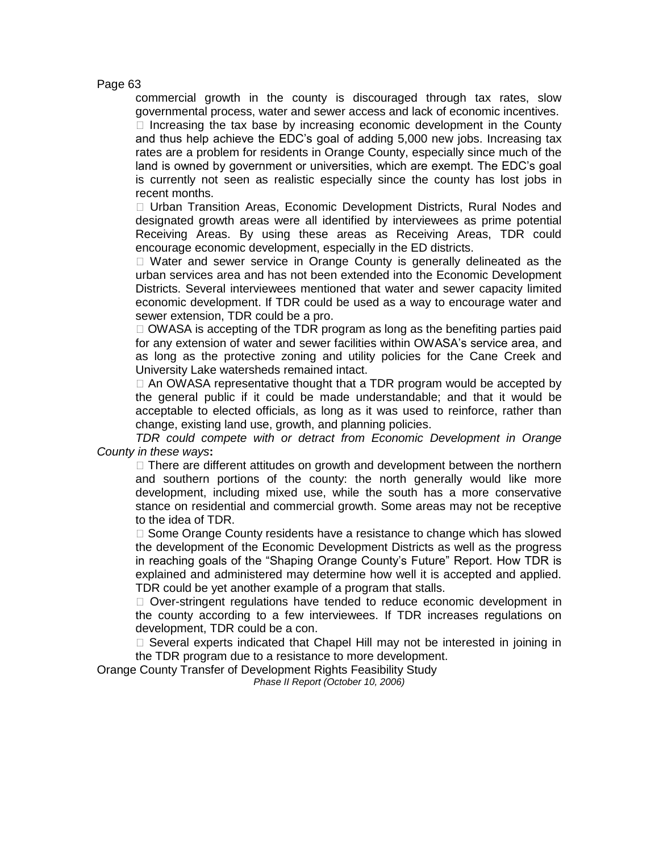commercial growth in the county is discouraged through tax rates, slow governmental process, water and sewer access and lack of economic incentives.  $\Box$  Increasing the tax base by increasing economic development in the County and thus help achieve the EDC's goal of adding 5,000 new jobs. Increasing tax rates are a problem for residents in Orange County, especially since much of the land is owned by government or universities, which are exempt. The EDC's goal is currently not seen as realistic especially since the county has lost jobs in recent months.

 Urban Transition Areas, Economic Development Districts, Rural Nodes and designated growth areas were all identified by interviewees as prime potential Receiving Areas. By using these areas as Receiving Areas, TDR could encourage economic development, especially in the ED districts.

□ Water and sewer service in Orange County is generally delineated as the urban services area and has not been extended into the Economic Development Districts. Several interviewees mentioned that water and sewer capacity limited economic development. If TDR could be used as a way to encourage water and sewer extension, TDR could be a pro.

 $\Box$  OWASA is accepting of the TDR program as long as the benefiting parties paid for any extension of water and sewer facilities within OWASA's service area, and as long as the protective zoning and utility policies for the Cane Creek and University Lake watersheds remained intact.

 $\Box$  An OWASA representative thought that a TDR program would be accepted by the general public if it could be made understandable; and that it would be acceptable to elected officials, as long as it was used to reinforce, rather than change, existing land use, growth, and planning policies.

*TDR could compete with or detract from Economic Development in Orange County in these ways***:** 

 $\Box$  There are different attitudes on growth and development between the northern and southern portions of the county: the north generally would like more development, including mixed use, while the south has a more conservative stance on residential and commercial growth. Some areas may not be receptive to the idea of TDR.

 $\Box$  Some Orange County residents have a resistance to change which has slowed the development of the Economic Development Districts as well as the progress in reaching goals of the "Shaping Orange County's Future" Report. How TDR is explained and administered may determine how well it is accepted and applied. TDR could be yet another example of a program that stalls.

 Over-stringent regulations have tended to reduce economic development in the county according to a few interviewees. If TDR increases regulations on development, TDR could be a con.

 $\Box$  Several experts indicated that Chapel Hill may not be interested in joining in the TDR program due to a resistance to more development.

Orange County Transfer of Development Rights Feasibility Study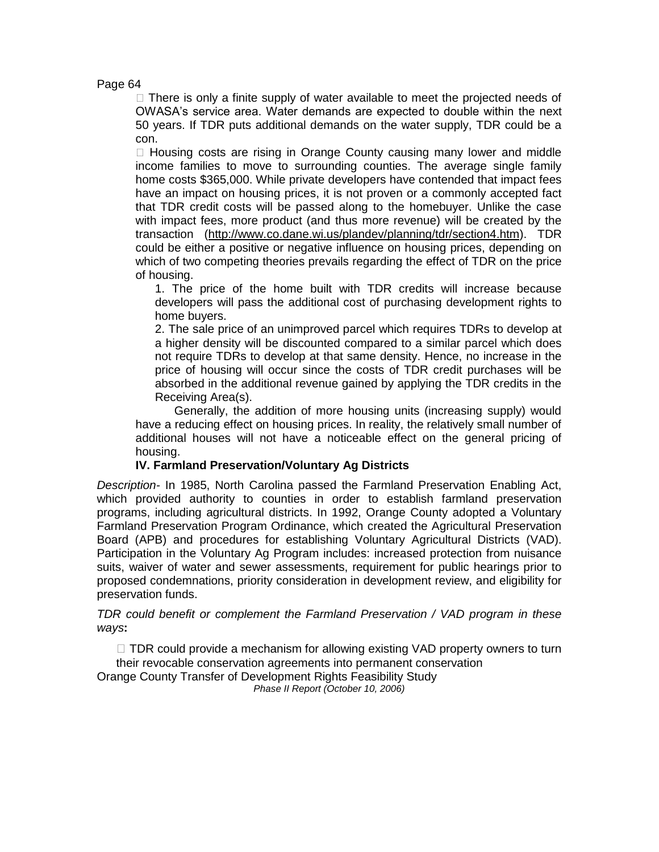$\Box$  There is only a finite supply of water available to meet the projected needs of OWASA's service area. Water demands are expected to double within the next 50 years. If TDR puts additional demands on the water supply, TDR could be a con.

 $\Box$  Housing costs are rising in Orange County causing many lower and middle income families to move to surrounding counties. The average single family home costs \$365,000. While private developers have contended that impact fees have an impact on housing prices, it is not proven or a commonly accepted fact that TDR credit costs will be passed along to the homebuyer. Unlike the case with impact fees, more product (and thus more revenue) will be created by the transaction (http://www.co.dane.wi.us/plandev/planning/tdr/section4.htm). TDR could be either a positive or negative influence on housing prices, depending on which of two competing theories prevails regarding the effect of TDR on the price of housing.

1. The price of the home built with TDR credits will increase because developers will pass the additional cost of purchasing development rights to home buyers.

2. The sale price of an unimproved parcel which requires TDRs to develop at a higher density will be discounted compared to a similar parcel which does not require TDRs to develop at that same density. Hence, no increase in the price of housing will occur since the costs of TDR credit purchases will be absorbed in the additional revenue gained by applying the TDR credits in the Receiving Area(s).

Generally, the addition of more housing units (increasing supply) would have a reducing effect on housing prices. In reality, the relatively small number of additional houses will not have a noticeable effect on the general pricing of housing.

#### **IV. Farmland Preservation/Voluntary Ag Districts**

*Description-* In 1985, North Carolina passed the Farmland Preservation Enabling Act, which provided authority to counties in order to establish farmland preservation programs, including agricultural districts. In 1992, Orange County adopted a Voluntary Farmland Preservation Program Ordinance, which created the Agricultural Preservation Board (APB) and procedures for establishing Voluntary Agricultural Districts (VAD). Participation in the Voluntary Ag Program includes: increased protection from nuisance suits, waiver of water and sewer assessments, requirement for public hearings prior to proposed condemnations, priority consideration in development review, and eligibility for preservation funds.

# *TDR could benefit or complement the Farmland Preservation / VAD program in these ways***:**

 $\Box$  TDR could provide a mechanism for allowing existing VAD property owners to turn their revocable conservation agreements into permanent conservation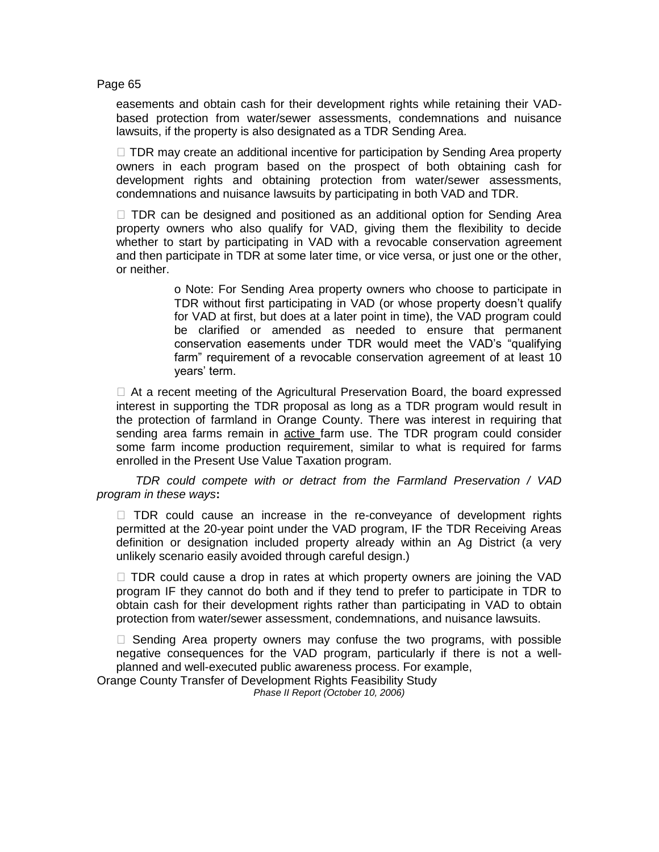easements and obtain cash for their development rights while retaining their VADbased protection from water/sewer assessments, condemnations and nuisance lawsuits, if the property is also designated as a TDR Sending Area.

 $\Box$  TDR may create an additional incentive for participation by Sending Area property owners in each program based on the prospect of both obtaining cash for development rights and obtaining protection from water/sewer assessments, condemnations and nuisance lawsuits by participating in both VAD and TDR.

 $\Box$  TDR can be designed and positioned as an additional option for Sending Area property owners who also qualify for VAD, giving them the flexibility to decide whether to start by participating in VAD with a revocable conservation agreement and then participate in TDR at some later time, or vice versa, or just one or the other, or neither.

> o Note: For Sending Area property owners who choose to participate in TDR without first participating in VAD (or whose property doesn't qualify for VAD at first, but does at a later point in time), the VAD program could be clarified or amended as needed to ensure that permanent conservation easements under TDR would meet the VAD's "qualifying farm" requirement of a revocable conservation agreement of at least 10 years' term.

 $\Box$  At a recent meeting of the Agricultural Preservation Board, the board expressed interest in supporting the TDR proposal as long as a TDR program would result in the protection of farmland in Orange County. There was interest in requiring that sending area farms remain in active farm use. The TDR program could consider some farm income production requirement, similar to what is required for farms enrolled in the Present Use Value Taxation program.

*TDR could compete with or detract from the Farmland Preservation / VAD program in these ways***:** 

 $\Box$  TDR could cause an increase in the re-conveyance of development rights permitted at the 20-year point under the VAD program, IF the TDR Receiving Areas definition or designation included property already within an Ag District (a very unlikely scenario easily avoided through careful design.)

 $\Box$  TDR could cause a drop in rates at which property owners are joining the VAD program IF they cannot do both and if they tend to prefer to participate in TDR to obtain cash for their development rights rather than participating in VAD to obtain protection from water/sewer assessment, condemnations, and nuisance lawsuits.

 $\Box$  Sending Area property owners may confuse the two programs, with possible negative consequences for the VAD program, particularly if there is not a wellplanned and well-executed public awareness process. For example,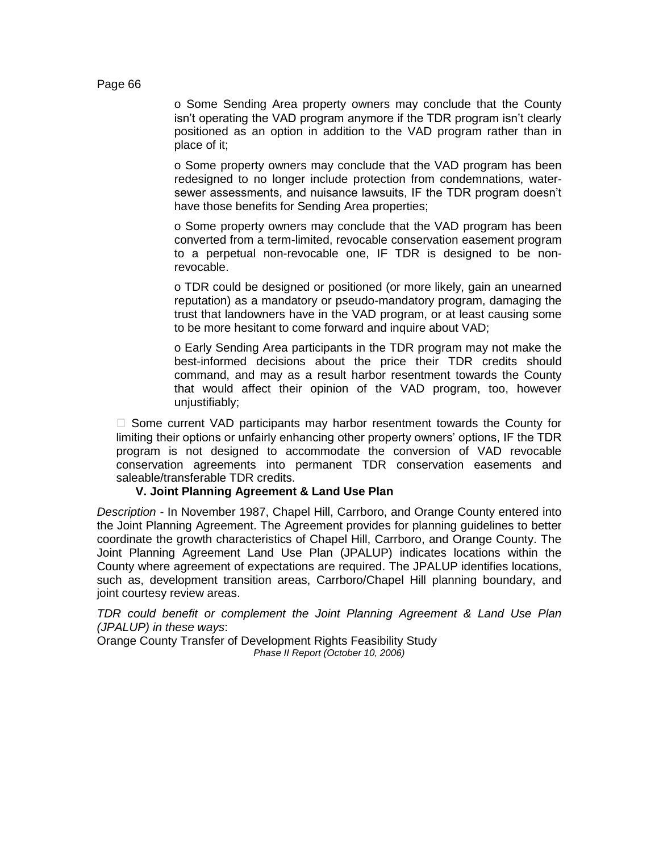o Some Sending Area property owners may conclude that the County isn't operating the VAD program anymore if the TDR program isn't clearly positioned as an option in addition to the VAD program rather than in place of it;

o Some property owners may conclude that the VAD program has been redesigned to no longer include protection from condemnations, watersewer assessments, and nuisance lawsuits, IF the TDR program doesn't have those benefits for Sending Area properties;

o Some property owners may conclude that the VAD program has been converted from a term-limited, revocable conservation easement program to a perpetual non-revocable one, IF TDR is designed to be nonrevocable.

o TDR could be designed or positioned (or more likely, gain an unearned reputation) as a mandatory or pseudo-mandatory program, damaging the trust that landowners have in the VAD program, or at least causing some to be more hesitant to come forward and inquire about VAD;

o Early Sending Area participants in the TDR program may not make the best-informed decisions about the price their TDR credits should command, and may as a result harbor resentment towards the County that would affect their opinion of the VAD program, too, however unjustifiably;

 $\Box$  Some current VAD participants may harbor resentment towards the County for limiting their options or unfairly enhancing other property owners' options, IF the TDR program is not designed to accommodate the conversion of VAD revocable conservation agreements into permanent TDR conservation easements and saleable/transferable TDR credits.

### **V. Joint Planning Agreement & Land Use Plan**

*Description -* In November 1987, Chapel Hill, Carrboro, and Orange County entered into the Joint Planning Agreement. The Agreement provides for planning guidelines to better coordinate the growth characteristics of Chapel Hill, Carrboro, and Orange County. The Joint Planning Agreement Land Use Plan (JPALUP) indicates locations within the County where agreement of expectations are required. The JPALUP identifies locations, such as, development transition areas, Carrboro/Chapel Hill planning boundary, and joint courtesy review areas.

*TDR could benefit or complement the Joint Planning Agreement & Land Use Plan (JPALUP) in these ways*: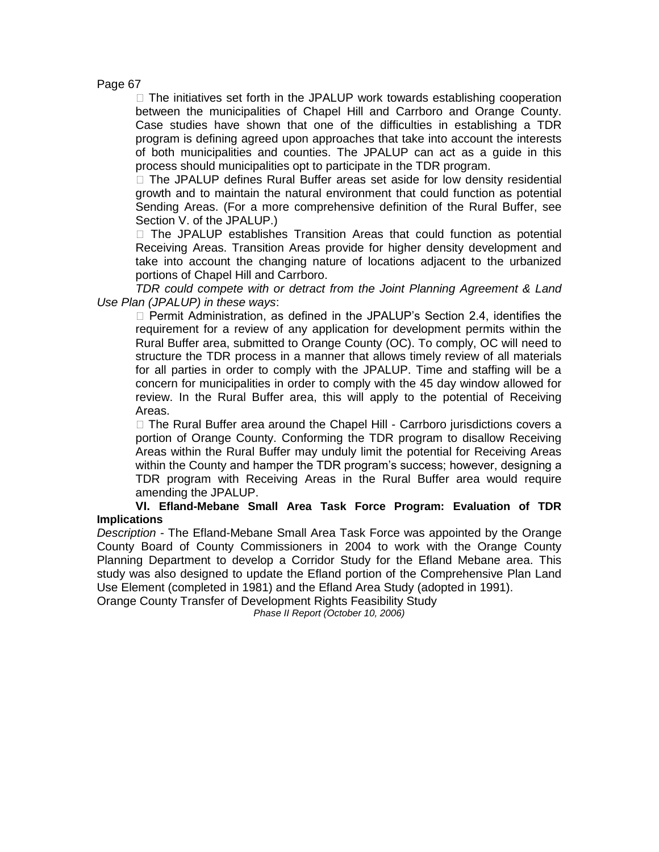$\Box$  The initiatives set forth in the JPALUP work towards establishing cooperation between the municipalities of Chapel Hill and Carrboro and Orange County. Case studies have shown that one of the difficulties in establishing a TDR program is defining agreed upon approaches that take into account the interests of both municipalities and counties. The JPALUP can act as a guide in this process should municipalities opt to participate in the TDR program.

 $\Box$  The JPALUP defines Rural Buffer areas set aside for low density residential growth and to maintain the natural environment that could function as potential Sending Areas. (For a more comprehensive definition of the Rural Buffer, see Section V. of the JPALUP.)

 $\Box$  The JPALUP establishes Transition Areas that could function as potential Receiving Areas. Transition Areas provide for higher density development and take into account the changing nature of locations adjacent to the urbanized portions of Chapel Hill and Carrboro.

*TDR could compete with or detract from the Joint Planning Agreement & Land Use Plan (JPALUP) in these ways*:

 $\Box$  Permit Administration, as defined in the JPALUP's Section 2.4, identifies the requirement for a review of any application for development permits within the Rural Buffer area, submitted to Orange County (OC). To comply, OC will need to structure the TDR process in a manner that allows timely review of all materials for all parties in order to comply with the JPALUP. Time and staffing will be a concern for municipalities in order to comply with the 45 day window allowed for review. In the Rural Buffer area, this will apply to the potential of Receiving Areas.

 $\Box$  The Rural Buffer area around the Chapel Hill - Carrboro jurisdictions covers a portion of Orange County. Conforming the TDR program to disallow Receiving Areas within the Rural Buffer may unduly limit the potential for Receiving Areas within the County and hamper the TDR program's success; however, designing a TDR program with Receiving Areas in the Rural Buffer area would require amending the JPALUP.

### **VI. Efland-Mebane Small Area Task Force Program: Evaluation of TDR Implications**

*Description* - The Efland-Mebane Small Area Task Force was appointed by the Orange County Board of County Commissioners in 2004 to work with the Orange County Planning Department to develop a Corridor Study for the Efland Mebane area. This study was also designed to update the Efland portion of the Comprehensive Plan Land Use Element (completed in 1981) and the Efland Area Study (adopted in 1991).

Orange County Transfer of Development Rights Feasibility Study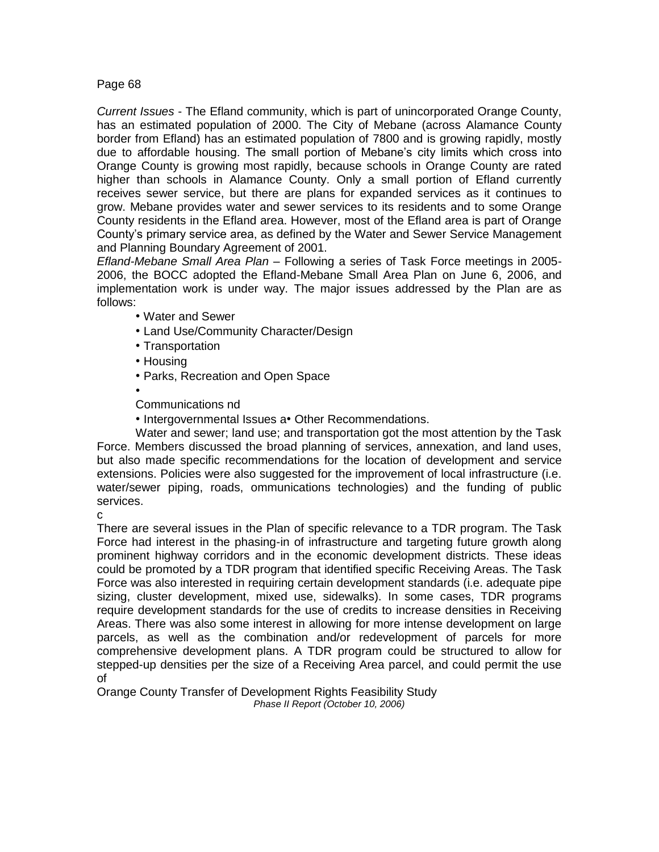*Current Issues* - The Efland community, which is part of unincorporated Orange County, has an estimated population of 2000. The City of Mebane (across Alamance County border from Efland) has an estimated population of 7800 and is growing rapidly, mostly due to affordable housing. The small portion of Mebane's city limits which cross into Orange County is growing most rapidly, because schools in Orange County are rated higher than schools in Alamance County. Only a small portion of Efland currently receives sewer service, but there are plans for expanded services as it continues to grow. Mebane provides water and sewer services to its residents and to some Orange County residents in the Efland area. However, most of the Efland area is part of Orange County's primary service area, as defined by the Water and Sewer Service Management and Planning Boundary Agreement of 2001.

*Efland-Mebane Small Area Plan –* Following a series of Task Force meetings in 2005- 2006, the BOCC adopted the Efland-Mebane Small Area Plan on June 6, 2006, and implementation work is under way. The major issues addressed by the Plan are as follows:

- Water and Sewer
- Land Use/Community Character/Design
- Transportation
- Housing
- Parks, Recreation and Open Space
- Communications nd
- Intergovernmental Issues a• Other Recommendations.

Water and sewer; land use; and transportation got the most attention by the Task Force. Members discussed the broad planning of services, annexation, and land uses, but also made specific recommendations for the location of development and service extensions. Policies were also suggested for the improvement of local infrastructure (i.e. water/sewer piping, roads, ommunications technologies) and the funding of public services.

c

There are several issues in the Plan of specific relevance to a TDR program. The Task Force had interest in the phasing-in of infrastructure and targeting future growth along prominent highway corridors and in the economic development districts. These ideas could be promoted by a TDR program that identified specific Receiving Areas. The Task Force was also interested in requiring certain development standards (i.e. adequate pipe sizing, cluster development, mixed use, sidewalks). In some cases, TDR programs require development standards for the use of credits to increase densities in Receiving Areas. There was also some interest in allowing for more intense development on large parcels, as well as the combination and/or redevelopment of parcels for more comprehensive development plans. A TDR program could be structured to allow for stepped-up densities per the size of a Receiving Area parcel, and could permit the use of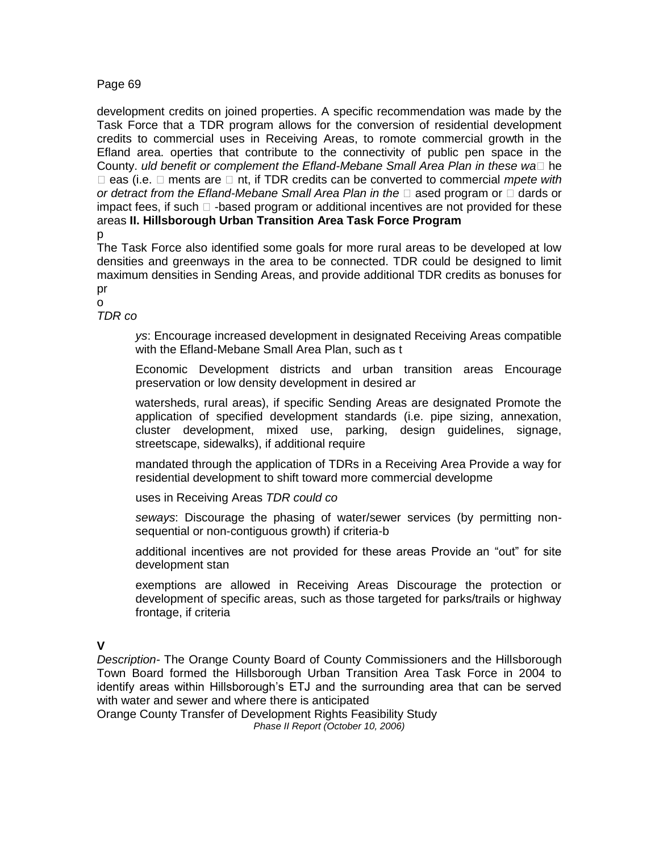development credits on joined properties. A specific recommendation was made by the Task Force that a TDR program allows for the conversion of residential development credits to commercial uses in Receiving Areas, to romote commercial growth in the Efland area. operties that contribute to the connectivity of public pen space in the County. *uld benefit or complement the Efland-Mebane Small Area Plan in these wa*  $\Box$  eas (i.e.  $\Box$  ments are  $\Box$  nt, if TDR credits can be converted to commercial *mpete with or detract from the Efland-Mebane Small Area Plan in the*  $\Box$  ased program or  $\Box$  dards or impact fees, if such  $\Box$  -based program or additional incentives are not provided for these areas **II. Hillsborough Urban Transition Area Task Force Program**  p

The Task Force also identified some goals for more rural areas to be developed at low densities and greenways in the area to be connected. TDR could be designed to limit maximum densities in Sending Areas, and provide additional TDR credits as bonuses for pr

o

*TDR co*

*ys*: Encourage increased development in designated Receiving Areas compatible with the Efland-Mebane Small Area Plan, such as t

Economic Development districts and urban transition areas Encourage preservation or low density development in desired ar

watersheds, rural areas), if specific Sending Areas are designated Promote the application of specified development standards (i.e. pipe sizing, annexation, cluster development, mixed use, parking, design guidelines, signage, streetscape, sidewalks), if additional require

mandated through the application of TDRs in a Receiving Area Provide a way for residential development to shift toward more commercial developme

uses in Receiving Areas *TDR could co*

*seways*: Discourage the phasing of water/sewer services (by permitting nonsequential or non-contiguous growth) if criteria-b

additional incentives are not provided for these areas Provide an "out" for site development stan

exemptions are allowed in Receiving Areas Discourage the protection or development of specific areas, such as those targeted for parks/trails or highway frontage, if criteria

**V** 

*Description-* The Orange County Board of County Commissioners and the Hillsborough Town Board formed the Hillsborough Urban Transition Area Task Force in 2004 to identify areas within Hillsborough's ETJ and the surrounding area that can be served with water and sewer and where there is anticipated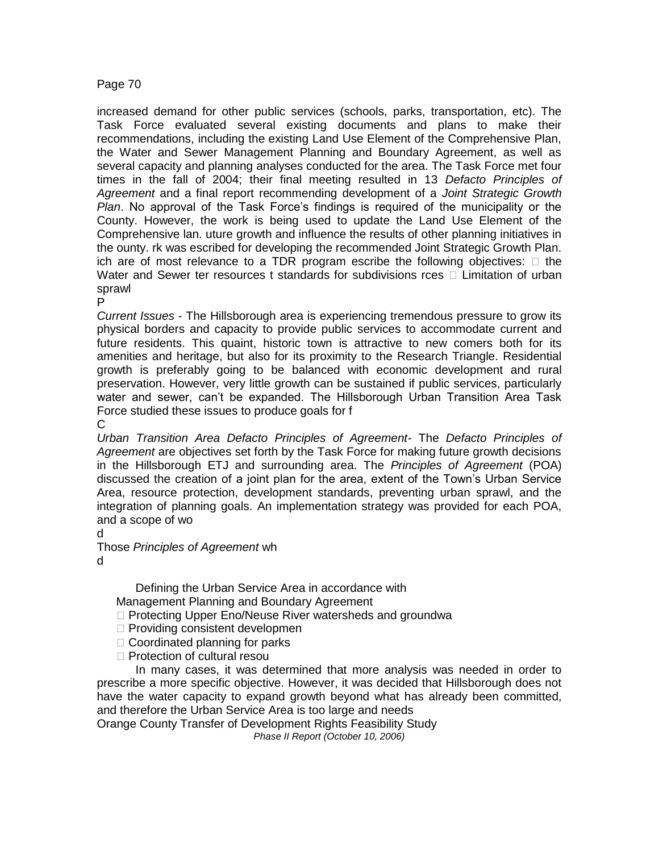increased demand for other public services (schools, parks, transportation, etc). The Task Force evaluated several existing documents and plans to make their recommendations, including the existing Land Use Element of the Comprehensive Plan, the Water and Sewer Management Planning and Boundary Agreement, as well as several capacity and planning analyses conducted for the area. The Task Force met four times in the fall of 2004; their final meeting resulted in 13 *Defacto Principles of Agreement* and a final report recommending development of a *Joint Strategic Growth Plan*. No approval of the Task Force's findings is required of the municipality or the County. However, the work is being used to update the Land Use Element of the Comprehensive lan. uture growth and influence the results of other planning initiatives in the ounty. rk was escribed for developing the recommended Joint Strategic Growth Plan. ich are of most relevance to a TDR program escribe the following objectives:  $\Box$  the Water and Sewer ter resources t standards for subdivisions rces  $\Box$  Limitation of urban sprawl

P

*Current Issues* - The Hillsborough area is experiencing tremendous pressure to grow its physical borders and capacity to provide public services to accommodate current and future residents. This quaint, historic town is attractive to new comers both for its amenities and heritage, but also for its proximity to the Research Triangle. Residential growth is preferably going to be balanced with economic development and rural preservation. However, very little growth can be sustained if public services, particularly water and sewer, can't be expanded. The Hillsborough Urban Transition Area Task Force studied these issues to produce goals for f

C

*Urban Transition Area Defacto Principles of Agreement-* The *Defacto Principles of Agreement* are objectives set forth by the Task Force for making future growth decisions in the Hillsborough ETJ and surrounding area. The *Principles of Agreement* (POA) discussed the creation of a joint plan for the area, extent of the Town's Urban Service Area, resource protection, development standards, preventing urban sprawl, and the integration of planning goals. An implementation strategy was provided for each POA, and a scope of wo

d

Those *Principles of Agreement* wh

d

Defining the Urban Service Area in accordance with Management Planning and Boundary Agreement

□ Protecting Upper Eno/Neuse River watersheds and groundwa

- □ Providing consistent developmen
- $\Box$  Coordinated planning for parks
- □ Protection of cultural resou

In many cases, it was determined that more analysis was needed in order to prescribe a more specific objective. However, it was decided that Hillsborough does not have the water capacity to expand growth beyond what has already been committed, and therefore the Urban Service Area is too large and needs

Orange County Transfer of Development Rights Feasibility Study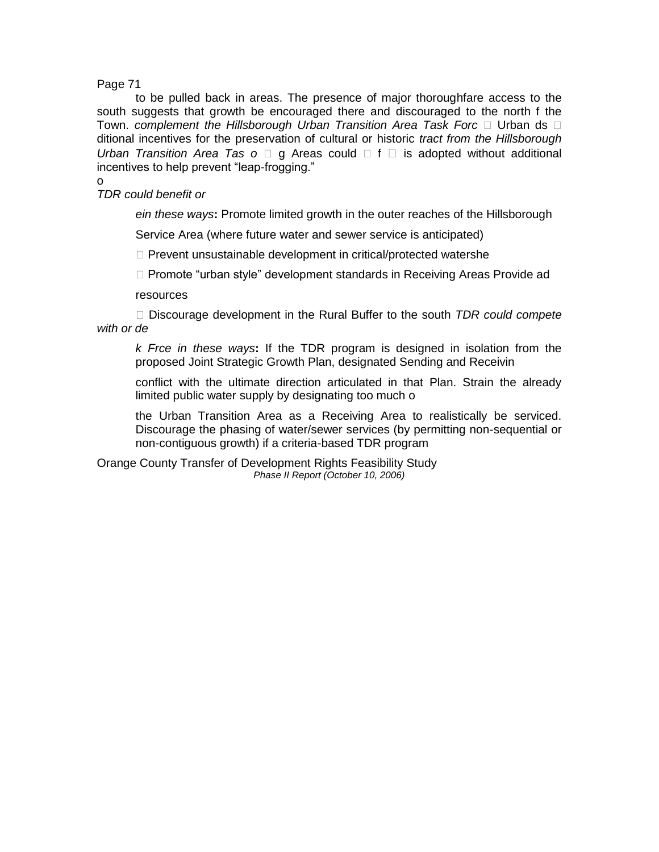to be pulled back in areas. The presence of major thoroughfare access to the south suggests that growth be encouraged there and discouraged to the north f the Town. *complement the Hillsborough Urban Transition Area Task Forc*  $\Box$  Urban ds  $\Box$ ditional incentives for the preservation of cultural or historic *tract from the Hillsborough Urban Transition Area Tas o*  $\Box$  g Areas could  $\Box$  f  $\Box$  is adopted without additional incentives to help prevent "leap-frogging."

o

*TDR could benefit or*

*ein these ways***:** Promote limited growth in the outer reaches of the Hillsborough

Service Area (where future water and sewer service is anticipated)

 $\Box$  Prevent unsustainable development in critical/protected watershe

□ Promote "urban style" development standards in Receiving Areas Provide ad

resources

 Discourage development in the Rural Buffer to the south *TDR could compete with or de*

*k Frce in these ways***:** If the TDR program is designed in isolation from the proposed Joint Strategic Growth Plan, designated Sending and Receivin

conflict with the ultimate direction articulated in that Plan. Strain the already limited public water supply by designating too much o

the Urban Transition Area as a Receiving Area to realistically be serviced. Discourage the phasing of water/sewer services (by permitting non-sequential or non-contiguous growth) if a criteria-based TDR program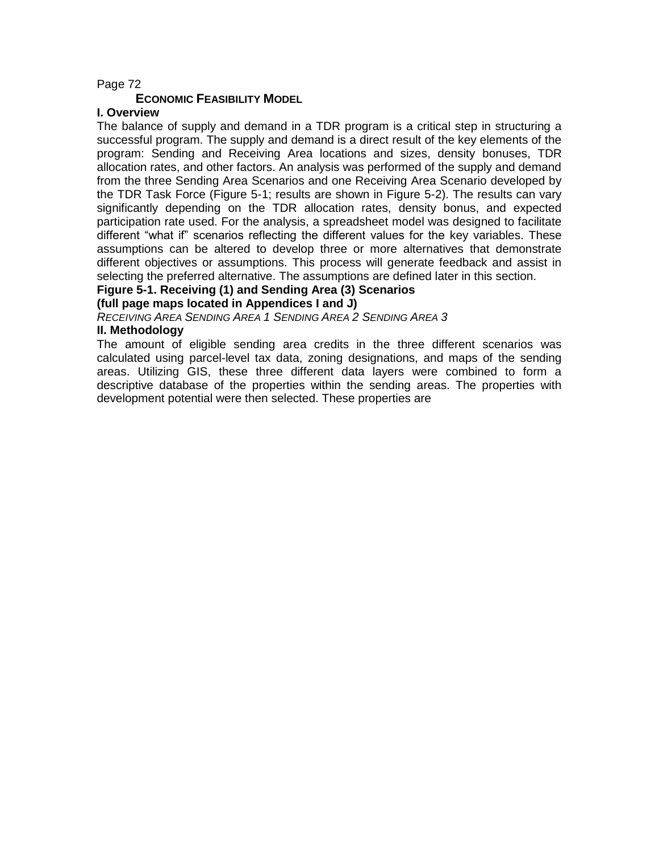# **ECONOMIC FEASIBILITY MODEL**

# **I. Overview**

The balance of supply and demand in a TDR program is a critical step in structuring a successful program. The supply and demand is a direct result of the key elements of the program: Sending and Receiving Area locations and sizes, density bonuses, TDR allocation rates, and other factors. An analysis was performed of the supply and demand from the three Sending Area Scenarios and one Receiving Area Scenario developed by the TDR Task Force (Figure 5-1; results are shown in Figure 5-2). The results can vary significantly depending on the TDR allocation rates, density bonus, and expected participation rate used. For the analysis, a spreadsheet model was designed to facilitate different "what if" scenarios reflecting the different values for the key variables. These assumptions can be altered to develop three or more alternatives that demonstrate different objectives or assumptions. This process will generate feedback and assist in selecting the preferred alternative. The assumptions are defined later in this section.

# **Figure 5-1. Receiving (1) and Sending Area (3) Scenarios**

### **(full page maps located in Appendices I and J)**

*RECEIVING AREA SENDING AREA 1 SENDING AREA 2 SENDING AREA 3* 

# **II. Methodology**

The amount of eligible sending area credits in the three different scenarios was calculated using parcel-level tax data, zoning designations, and maps of the sending areas. Utilizing GIS, these three different data layers were combined to form a descriptive database of the properties within the sending areas. The properties with development potential were then selected. These properties are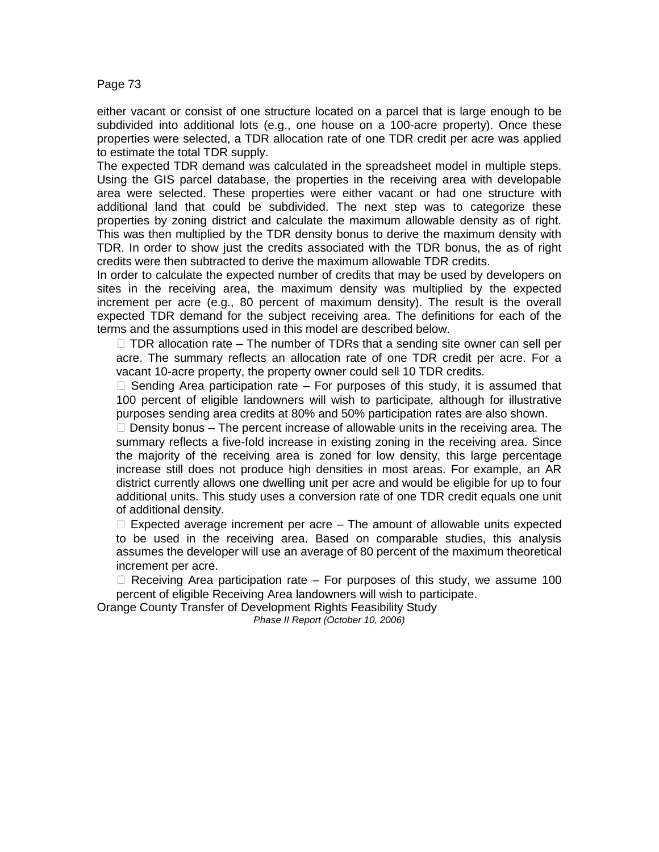either vacant or consist of one structure located on a parcel that is large enough to be subdivided into additional lots (e.g., one house on a 100-acre property). Once these properties were selected, a TDR allocation rate of one TDR credit per acre was applied to estimate the total TDR supply.

The expected TDR demand was calculated in the spreadsheet model in multiple steps. Using the GIS parcel database, the properties in the receiving area with developable area were selected. These properties were either vacant or had one structure with additional land that could be subdivided. The next step was to categorize these properties by zoning district and calculate the maximum allowable density as of right. This was then multiplied by the TDR density bonus to derive the maximum density with TDR. In order to show just the credits associated with the TDR bonus, the as of right credits were then subtracted to derive the maximum allowable TDR credits.

In order to calculate the expected number of credits that may be used by developers on sites in the receiving area, the maximum density was multiplied by the expected increment per acre (e.g., 80 percent of maximum density). The result is the overall expected TDR demand for the subject receiving area. The definitions for each of the terms and the assumptions used in this model are described below.

 $\Box$  TDR allocation rate – The number of TDRs that a sending site owner can sell per acre. The summary reflects an allocation rate of one TDR credit per acre. For a vacant 10-acre property, the property owner could sell 10 TDR credits.

 $\Box$  Sending Area participation rate – For purposes of this study, it is assumed that 100 percent of eligible landowners will wish to participate, although for illustrative purposes sending area credits at 80% and 50% participation rates are also shown.

 $\Box$  Density bonus – The percent increase of allowable units in the receiving area. The summary reflects a five-fold increase in existing zoning in the receiving area. Since the majority of the receiving area is zoned for low density, this large percentage increase still does not produce high densities in most areas. For example, an AR district currently allows one dwelling unit per acre and would be eligible for up to four additional units. This study uses a conversion rate of one TDR credit equals one unit of additional density.

 $\Box$  Expected average increment per acre  $-$  The amount of allowable units expected to be used in the receiving area. Based on comparable studies, this analysis assumes the developer will use an average of 80 percent of the maximum theoretical increment per acre.

 $\Box$  Receiving Area participation rate – For purposes of this study, we assume 100 percent of eligible Receiving Area landowners will wish to participate.

Orange County Transfer of Development Rights Feasibility Study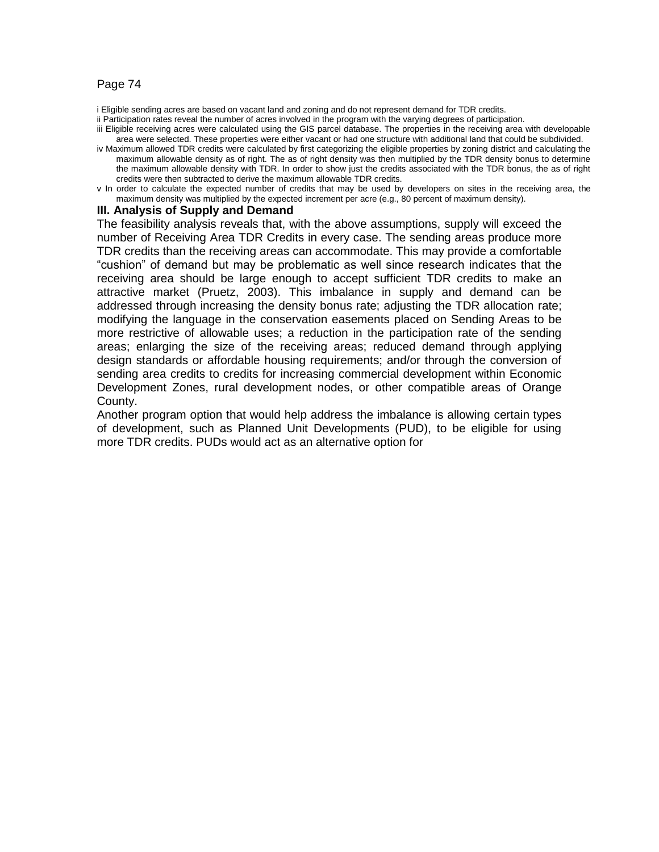i Eligible sending acres are based on vacant land and zoning and do not represent demand for TDR credits.

ii Participation rates reveal the number of acres involved in the program with the varying degrees of participation.

- iii Eligible receiving acres were calculated using the GIS parcel database. The properties in the receiving area with developable area were selected. These properties were either vacant or had one structure with additional land that could be subdivided.
- iv Maximum allowed TDR credits were calculated by first categorizing the eligible properties by zoning district and calculating the maximum allowable density as of right. The as of right density was then multiplied by the TDR density bonus to determine the maximum allowable density with TDR. In order to show just the credits associated with the TDR bonus, the as of right credits were then subtracted to derive the maximum allowable TDR credits.
- v In order to calculate the expected number of credits that may be used by developers on sites in the receiving area, the maximum density was multiplied by the expected increment per acre (e.g., 80 percent of maximum density).

#### **III. Analysis of Supply and Demand**

The feasibility analysis reveals that, with the above assumptions, supply will exceed the number of Receiving Area TDR Credits in every case. The sending areas produce more TDR credits than the receiving areas can accommodate. This may provide a comfortable "cushion" of demand but may be problematic as well since research indicates that the receiving area should be large enough to accept sufficient TDR credits to make an attractive market (Pruetz, 2003). This imbalance in supply and demand can be addressed through increasing the density bonus rate; adjusting the TDR allocation rate; modifying the language in the conservation easements placed on Sending Areas to be more restrictive of allowable uses; a reduction in the participation rate of the sending areas; enlarging the size of the receiving areas; reduced demand through applying design standards or affordable housing requirements; and/or through the conversion of sending area credits to credits for increasing commercial development within Economic Development Zones, rural development nodes, or other compatible areas of Orange County.

Another program option that would help address the imbalance is allowing certain types of development, such as Planned Unit Developments (PUD), to be eligible for using more TDR credits. PUDs would act as an alternative option for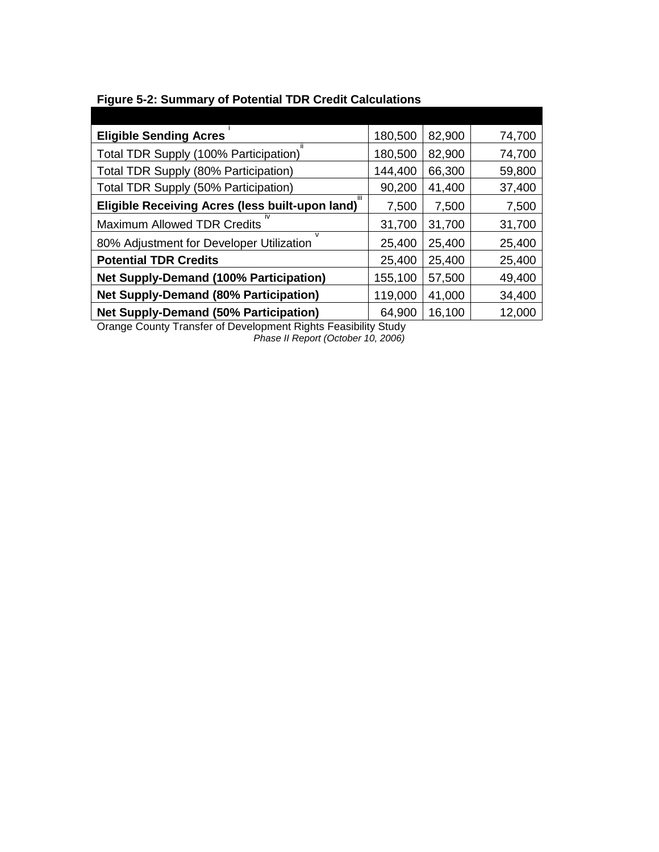| <b>Eligible Sending Acres</b>                        | 180,500 | 82,900 | 74,700 |
|------------------------------------------------------|---------|--------|--------|
| Total TDR Supply (100% Participation)                | 180,500 | 82,900 | 74,700 |
| Total TDR Supply (80% Participation)                 | 144,400 | 66,300 | 59,800 |
| <b>Total TDR Supply (50% Participation)</b>          | 90,200  | 41,400 | 37,400 |
| Ш<br>Eligible Receiving Acres (less built-upon land) | 7,500   | 7,500  | 7,500  |
| <b>Maximum Allowed TDR Credits</b>                   | 31,700  | 31,700 | 31,700 |
| 80% Adjustment for Developer Utilization             | 25,400  | 25,400 | 25,400 |
| <b>Potential TDR Credits</b>                         | 25,400  | 25,400 | 25,400 |
| <b>Net Supply-Demand (100% Participation)</b>        | 155,100 | 57,500 | 49,400 |
| <b>Net Supply-Demand (80% Participation)</b>         | 119,000 | 41,000 | 34,400 |
| <b>Net Supply-Demand (50% Participation)</b>         | 64,900  | 16,100 | 12,000 |

# **Figure 5-2: Summary of Potential TDR Credit Calculations**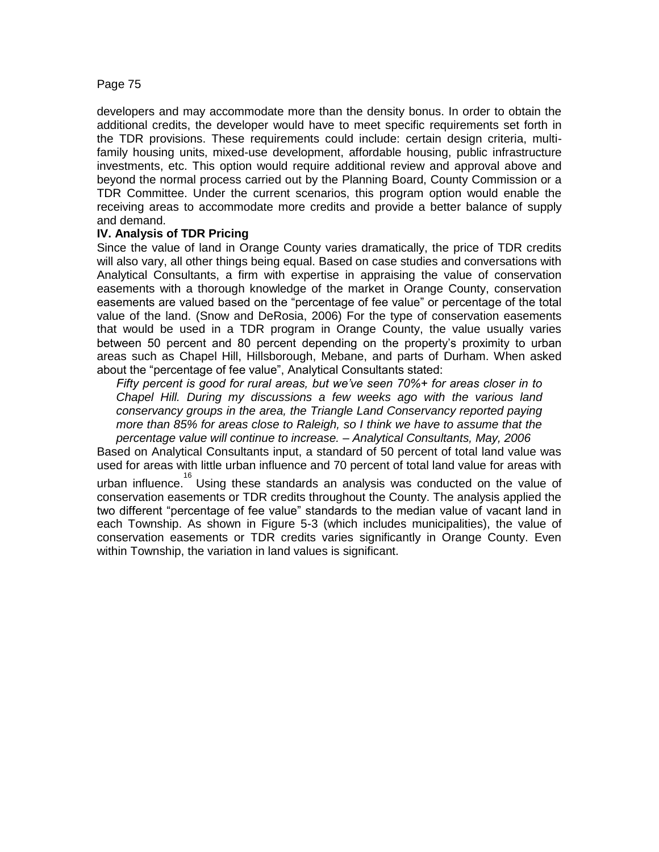developers and may accommodate more than the density bonus. In order to obtain the additional credits, the developer would have to meet specific requirements set forth in the TDR provisions. These requirements could include: certain design criteria, multifamily housing units, mixed-use development, affordable housing, public infrastructure investments, etc. This option would require additional review and approval above and beyond the normal process carried out by the Planning Board, County Commission or a TDR Committee. Under the current scenarios, this program option would enable the receiving areas to accommodate more credits and provide a better balance of supply and demand.

# **IV. Analysis of TDR Pricing**

Since the value of land in Orange County varies dramatically, the price of TDR credits will also vary, all other things being equal. Based on case studies and conversations with Analytical Consultants, a firm with expertise in appraising the value of conservation easements with a thorough knowledge of the market in Orange County, conservation easements are valued based on the "percentage of fee value" or percentage of the total value of the land. (Snow and DeRosia, 2006) For the type of conservation easements that would be used in a TDR program in Orange County, the value usually varies between 50 percent and 80 percent depending on the property's proximity to urban areas such as Chapel Hill, Hillsborough, Mebane, and parts of Durham. When asked about the "percentage of fee value", Analytical Consultants stated:

*Fifty percent is good for rural areas, but we've seen 70%+ for areas closer in to Chapel Hill. During my discussions a few weeks ago with the various land conservancy groups in the area, the Triangle Land Conservancy reported paying more than 85% for areas close to Raleigh, so I think we have to assume that the percentage value will continue to increase. – Analytical Consultants, May, 2006* 

Based on Analytical Consultants input, a standard of 50 percent of total land value was used for areas with little urban influence and 70 percent of total land value for areas with urban influence. <sup>16</sup> Using these standards an analysis was conducted on the value of conservation easements or TDR credits throughout the County. The analysis applied the two different "percentage of fee value" standards to the median value of vacant land in each Township. As shown in Figure 5-3 (which includes municipalities), the value of conservation easements or TDR credits varies significantly in Orange County. Even within Township, the variation in land values is significant.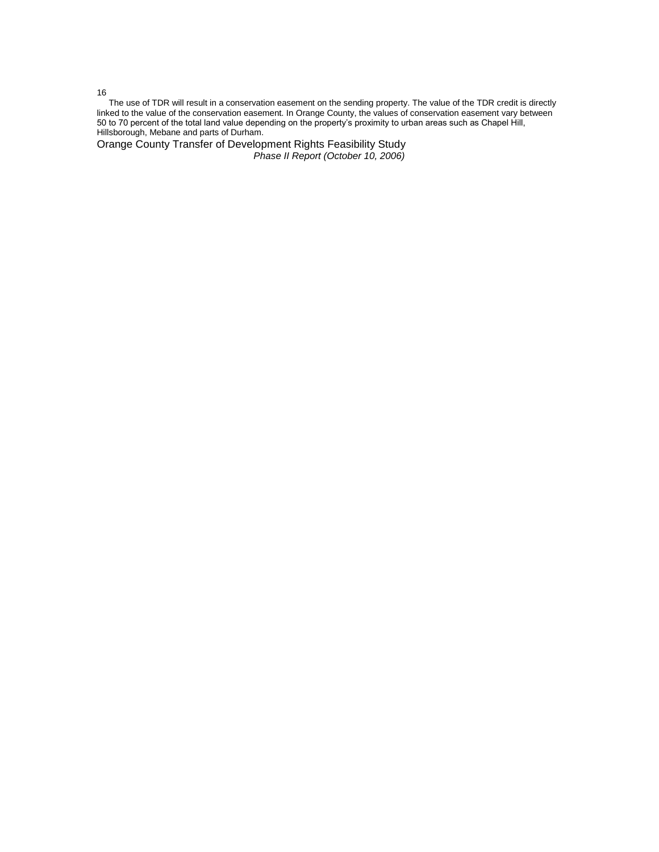16

The use of TDR will result in a conservation easement on the sending property. The value of the TDR credit is directly linked to the value of the conservation easement. In Orange County, the values of conservation easement vary between 50 to 70 percent of the total land value depending on the property's proximity to urban areas such as Chapel Hill, Hillsborough, Mebane and parts of Durham.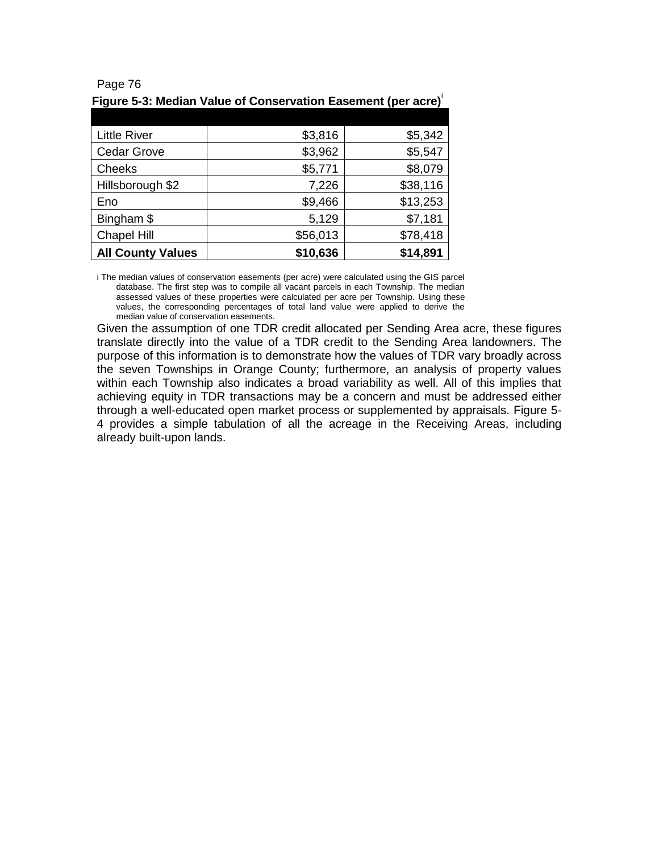| <b>Little River</b>      | \$3,816  | \$5,342  |
|--------------------------|----------|----------|
| <b>Cedar Grove</b>       | \$3,962  | \$5,547  |
| <b>Cheeks</b>            | \$5,771  | \$8,079  |
| Hillsborough \$2         | 7,226    | \$38,116 |
| Eno                      | \$9,466  | \$13,253 |
| Bingham \$               | 5,129    | \$7,181  |
| <b>Chapel Hill</b>       | \$56,013 | \$78,418 |
| <b>All County Values</b> | \$10,636 | \$14,891 |

# Page 76 **Figure 5-3: Median Value of Conservation Easement (per acre)**<sup>i</sup>

i The median values of conservation easements (per acre) were calculated using the GIS parcel database. The first step was to compile all vacant parcels in each Township. The median assessed values of these properties were calculated per acre per Township. Using these values, the corresponding percentages of total land value were applied to derive the median value of conservation easements.

Given the assumption of one TDR credit allocated per Sending Area acre, these figures translate directly into the value of a TDR credit to the Sending Area landowners. The purpose of this information is to demonstrate how the values of TDR vary broadly across the seven Townships in Orange County; furthermore, an analysis of property values within each Township also indicates a broad variability as well. All of this implies that achieving equity in TDR transactions may be a concern and must be addressed either through a well-educated open market process or supplemented by appraisals. Figure 5- 4 provides a simple tabulation of all the acreage in the Receiving Areas, including already built-upon lands.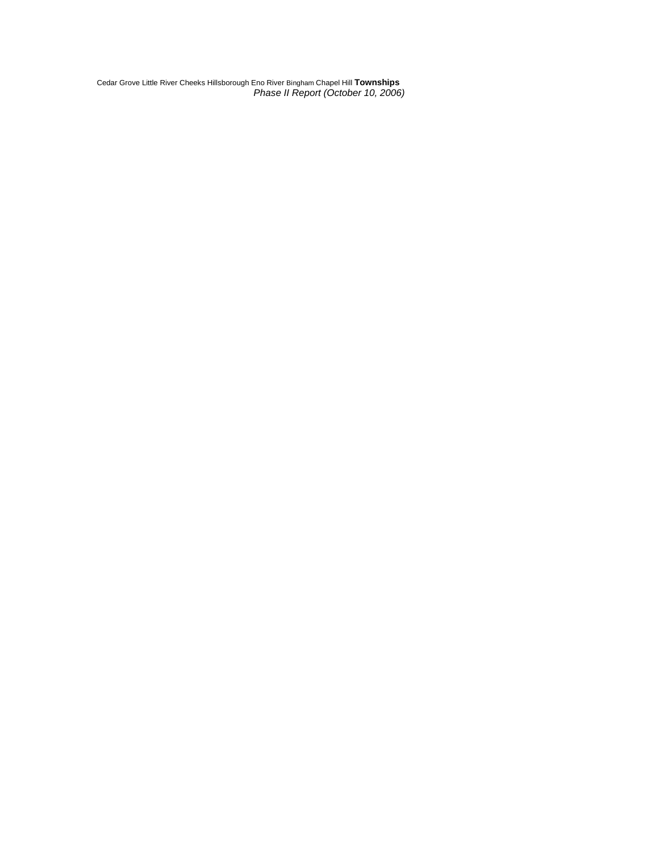Cedar Grove Little River Cheeks Hillsborough Eno River Bingham Chapel Hill **Townships**  *Phase II Report (October 10, 2006)*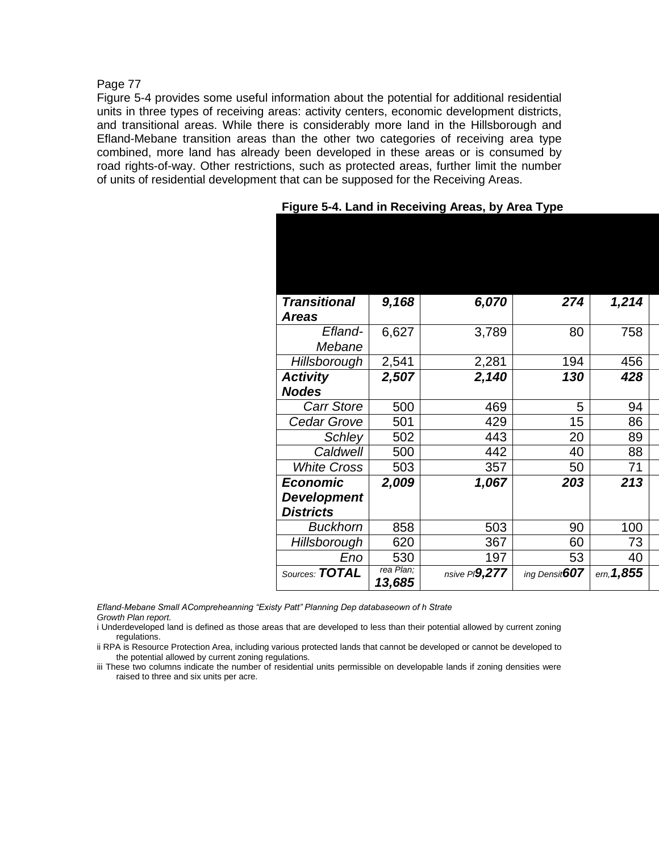Figure 5-4 provides some useful information about the potential for additional residential units in three types of receiving areas: activity centers, economic development districts, and transitional areas. While there is considerably more land in the Hillsborough and Efland-Mebane transition areas than the other two categories of receiving area type combined, more land has already been developed in these areas or is consumed by road rights-of-way. Other restrictions, such as protected areas, further limit the number of units of residential development that can be supposed for the Receiving Areas.

# **Figure 5-4. Land in Receiving Areas, by Area Type**

| <b>Transitional</b> | 9,168               | 6,070         | 274              | 1,214             |
|---------------------|---------------------|---------------|------------------|-------------------|
| <b>Areas</b>        |                     |               |                  |                   |
| Efland-             | 6,627               | 3,789         | 80               | 758               |
| Mebane              |                     |               |                  |                   |
| Hillsborough        | 2,541               | 2,281         | 194              | 456               |
| <b>Activity</b>     | 2,507               | 2,140         | 130              | 428               |
| <b>Nodes</b>        |                     |               |                  |                   |
| <b>Carr Store</b>   | 500                 | 469           | 5                | 94                |
| Cedar Grove         | 501                 | 429           | 15               | 86                |
| Schley              | 502                 | 443           | 20               | 89                |
| Caldwell            | 500                 | 442           | 40               | 88                |
| <b>White Cross</b>  | 503                 | 357           | 50               | 71                |
| <b>Economic</b>     | 2,009               | 1,067         | 203              | 213               |
| <b>Development</b>  |                     |               |                  |                   |
| <b>Districts</b>    |                     |               |                  |                   |
| <b>Buckhorn</b>     | 858                 | 503           | 90               | 100               |
| Hillsborough        | 620                 | 367           | 60               | 73                |
| Eno                 | 530                 | 197           | 53               | 40                |
| Sources: TOTAL      | rea Plan;<br>13,685 | nsive PI9,277 | ing Densit $607$ | ern, <b>1,855</b> |

*Efland-Mebane Small ACompreheanning "Existy Patt" Planning Dep databaseown of h Strate Growth Plan report.* 

i Underdeveloped land is defined as those areas that are developed to less than their potential allowed by current zoning regulations.

ii RPA is Resource Protection Area, including various protected lands that cannot be developed or cannot be developed to the potential allowed by current zoning regulations.

iii These two columns indicate the number of residential units permissible on developable lands if zoning densities were raised to three and six units per acre.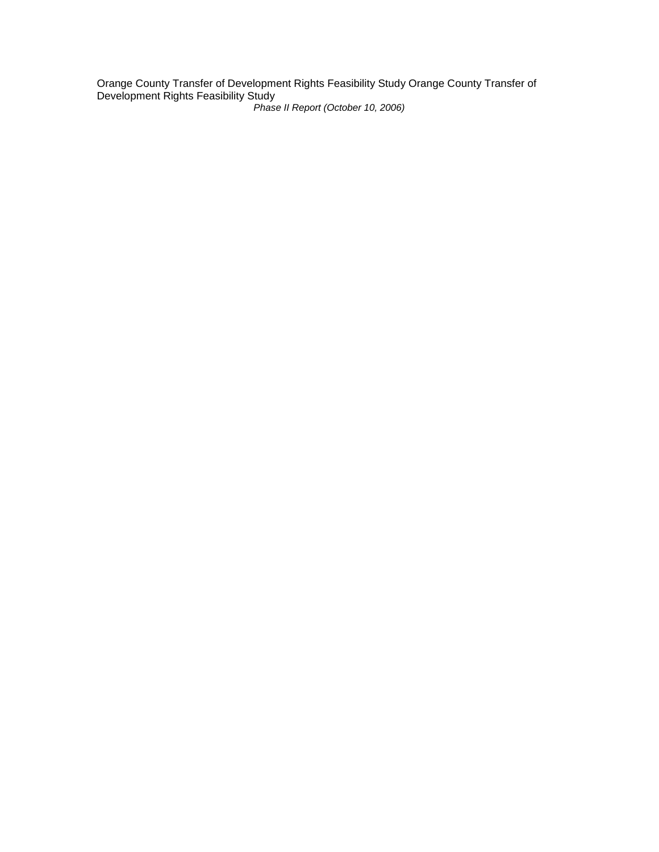Orange County Transfer of Development Rights Feasibility Study Orange County Transfer of Development Rights Feasibility Study *Phase II Report (October 10, 2006)*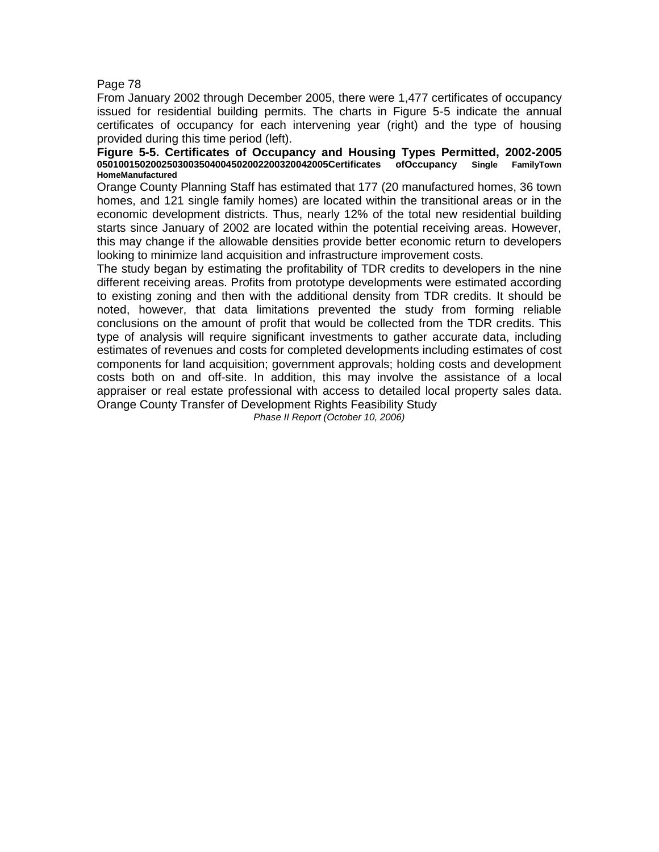From January 2002 through December 2005, there were 1,477 certificates of occupancy issued for residential building permits. The charts in Figure 5-5 indicate the annual certificates of occupancy for each intervening year (right) and the type of housing provided during this time period (left).

#### **Figure 5-5. Certificates of Occupancy and Housing Types Permitted, 2002-2005 0501001502002503003504004502002200320042005Certificates ofOccupancy Single FamilyTown HomeManufactured**

Orange County Planning Staff has estimated that 177 (20 manufactured homes, 36 town homes, and 121 single family homes) are located within the transitional areas or in the economic development districts. Thus, nearly 12% of the total new residential building starts since January of 2002 are located within the potential receiving areas. However, this may change if the allowable densities provide better economic return to developers looking to minimize land acquisition and infrastructure improvement costs.

The study began by estimating the profitability of TDR credits to developers in the nine different receiving areas. Profits from prototype developments were estimated according to existing zoning and then with the additional density from TDR credits. It should be noted, however, that data limitations prevented the study from forming reliable conclusions on the amount of profit that would be collected from the TDR credits. This type of analysis will require significant investments to gather accurate data, including estimates of revenues and costs for completed developments including estimates of cost components for land acquisition; government approvals; holding costs and development costs both on and off-site. In addition, this may involve the assistance of a local appraiser or real estate professional with access to detailed local property sales data. Orange County Transfer of Development Rights Feasibility Study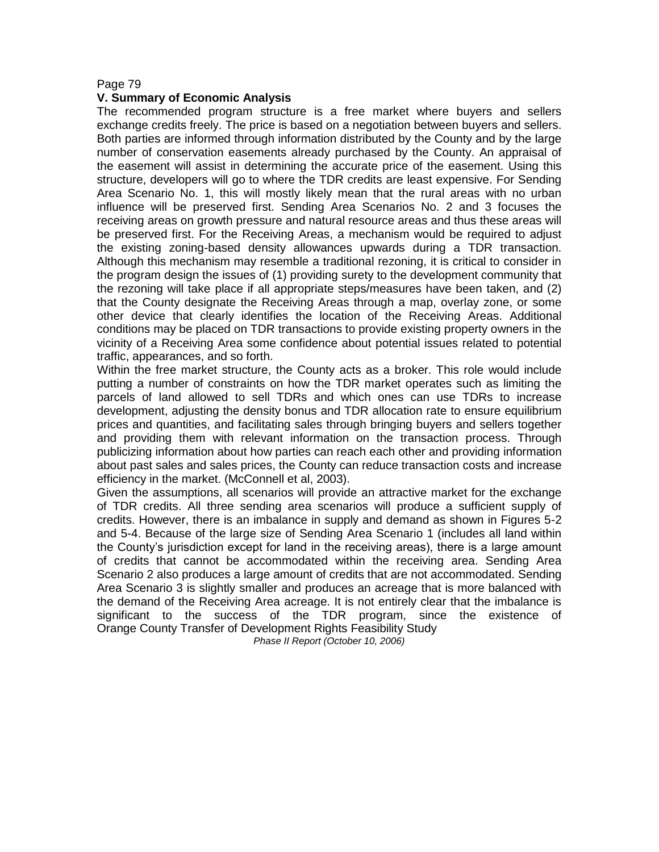### **V. Summary of Economic Analysis**

The recommended program structure is a free market where buyers and sellers exchange credits freely. The price is based on a negotiation between buyers and sellers. Both parties are informed through information distributed by the County and by the large number of conservation easements already purchased by the County. An appraisal of the easement will assist in determining the accurate price of the easement. Using this structure, developers will go to where the TDR credits are least expensive. For Sending Area Scenario No. 1, this will mostly likely mean that the rural areas with no urban influence will be preserved first. Sending Area Scenarios No. 2 and 3 focuses the receiving areas on growth pressure and natural resource areas and thus these areas will be preserved first. For the Receiving Areas, a mechanism would be required to adjust the existing zoning-based density allowances upwards during a TDR transaction. Although this mechanism may resemble a traditional rezoning, it is critical to consider in the program design the issues of (1) providing surety to the development community that the rezoning will take place if all appropriate steps/measures have been taken, and (2) that the County designate the Receiving Areas through a map, overlay zone, or some other device that clearly identifies the location of the Receiving Areas. Additional conditions may be placed on TDR transactions to provide existing property owners in the vicinity of a Receiving Area some confidence about potential issues related to potential traffic, appearances, and so forth.

Within the free market structure, the County acts as a broker. This role would include putting a number of constraints on how the TDR market operates such as limiting the parcels of land allowed to sell TDRs and which ones can use TDRs to increase development, adjusting the density bonus and TDR allocation rate to ensure equilibrium prices and quantities, and facilitating sales through bringing buyers and sellers together and providing them with relevant information on the transaction process. Through publicizing information about how parties can reach each other and providing information about past sales and sales prices, the County can reduce transaction costs and increase efficiency in the market. (McConnell et al, 2003).

Given the assumptions, all scenarios will provide an attractive market for the exchange of TDR credits. All three sending area scenarios will produce a sufficient supply of credits. However, there is an imbalance in supply and demand as shown in Figures 5-2 and 5-4. Because of the large size of Sending Area Scenario 1 (includes all land within the County's jurisdiction except for land in the receiving areas), there is a large amount of credits that cannot be accommodated within the receiving area. Sending Area Scenario 2 also produces a large amount of credits that are not accommodated. Sending Area Scenario 3 is slightly smaller and produces an acreage that is more balanced with the demand of the Receiving Area acreage. It is not entirely clear that the imbalance is significant to the success of the TDR program, since the existence of Orange County Transfer of Development Rights Feasibility Study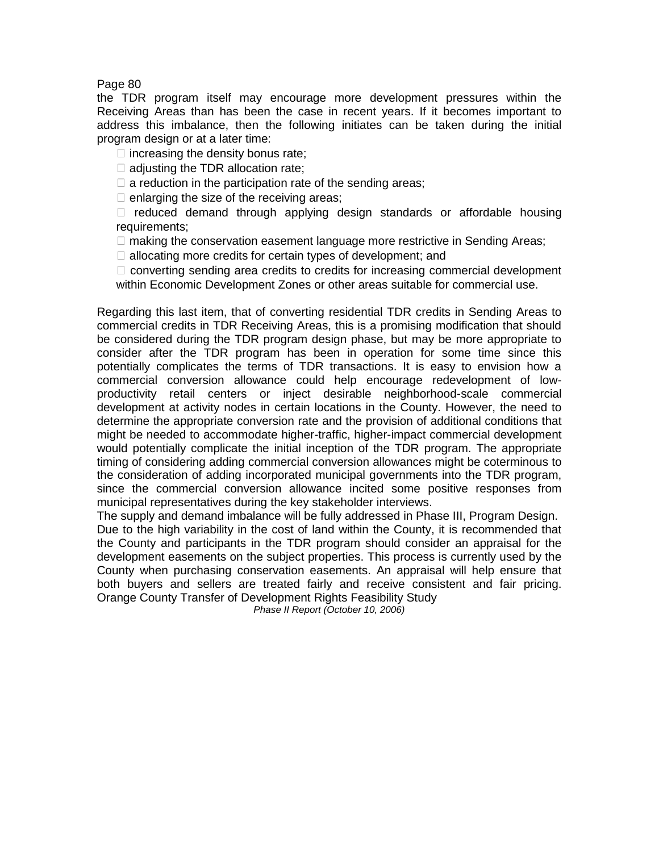the TDR program itself may encourage more development pressures within the Receiving Areas than has been the case in recent years. If it becomes important to address this imbalance, then the following initiates can be taken during the initial program design or at a later time:

- $\Box$  increasing the density bonus rate;
- $\Box$  adjusting the TDR allocation rate:

 $\Box$  a reduction in the participation rate of the sending areas;

 $\Box$  enlarging the size of the receiving areas;

 $\Box$  reduced demand through applying design standards or affordable housing requirements;

 $\Box$  making the conservation easement language more restrictive in Sending Areas;

 $\Box$  allocating more credits for certain types of development; and

 $\Box$  converting sending area credits to credits for increasing commercial development within Economic Development Zones or other areas suitable for commercial use.

Regarding this last item, that of converting residential TDR credits in Sending Areas to commercial credits in TDR Receiving Areas, this is a promising modification that should be considered during the TDR program design phase, but may be more appropriate to consider after the TDR program has been in operation for some time since this potentially complicates the terms of TDR transactions. It is easy to envision how a commercial conversion allowance could help encourage redevelopment of lowproductivity retail centers or inject desirable neighborhood-scale commercial development at activity nodes in certain locations in the County. However, the need to determine the appropriate conversion rate and the provision of additional conditions that might be needed to accommodate higher-traffic, higher-impact commercial development would potentially complicate the initial inception of the TDR program. The appropriate timing of considering adding commercial conversion allowances might be coterminous to the consideration of adding incorporated municipal governments into the TDR program, since the commercial conversion allowance incited some positive responses from municipal representatives during the key stakeholder interviews.

The supply and demand imbalance will be fully addressed in Phase III, Program Design. Due to the high variability in the cost of land within the County, it is recommended that the County and participants in the TDR program should consider an appraisal for the development easements on the subject properties. This process is currently used by the County when purchasing conservation easements. An appraisal will help ensure that both buyers and sellers are treated fairly and receive consistent and fair pricing. Orange County Transfer of Development Rights Feasibility Study